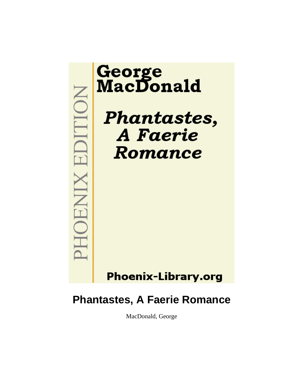

# **Phantastes, A Faerie Romance**

MacDonald, George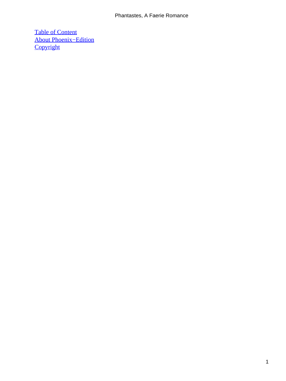## Phantastes, A Faerie Romance

[Table of Content](#page-142-0) [About Phoenix−Edition](#page-144-0) **[Copyright](#page-145-0)**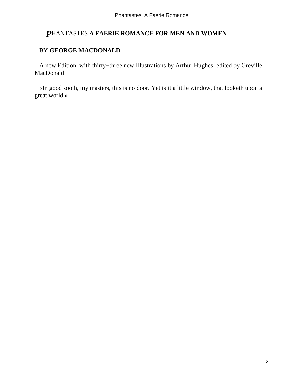## *P*HANTASTES **A FAERIE ROMANCE FOR MEN AND WOMEN**

## BY **GEORGE MACDONALD**

 A new Edition, with thirty−three new Illustrations by Arthur Hughes; edited by Greville MacDonald

 «In good sooth, my masters, this is no door. Yet is it a little window, that looketh upon a great world.»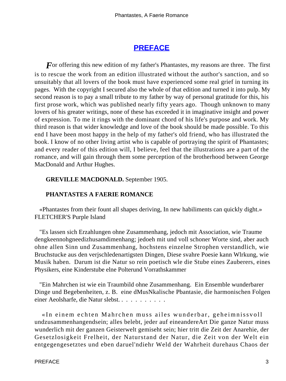# **[PREFACE](#page-142-0)**

*F* or offering this new edition of my father's Phantastes, my reasons are three. The first is to rescue the work from an edition illustrated without the author's sanction, and so unsuitably that all lovers of the book must have experienced some real grief in turning its pages. With the copyright I secured also the whole of that edition and turned it into pulp. My second reason is to pay a small tribute to my father by way of personal gratitude for this, his first prose work, which was published nearly fifty years ago. Though unknown to many lovers of his greater writings, none of these has exceeded it in imaginative insight and power of expression. To me it rings with the dominant chord of his life's purpose and work. My third reason is that wider knowledge and love of the book should be made possible. To this end I have been most happy in the help of my father's old friend, who has illustrated the book. I know of no other living artist who is capable of portraying the spirit of Phantastes; and every reader of this edition will, I believe, feel that the illustrations are a part of the romance, and will gain through them some perception of the brotherhood between George MacDonald and Arthur Hughes.

## **GREVILLE MACDONALD.** September 1905.

## **PHANTASTES A FAERIE ROMANCE**

 «Phantastes from their fount all shapes deriving, In new habiliments can quickly dight.» FLETCHER'S Purple Island

 "Es lassen sich Erzahlungen ohne Zusammenhang, jedoch mit Association, wie Traume dengkeennohgneedizhusamdimenhang; jedoeh mit und voll schoner Worte sind, aber auch ohne allen Sinn und Zusammenhang, hochstens einzelne Strophen verstandlich, wie Bruchstucke aus den verjschledenartigsten Dingen, Diese svahre Poesie kann Wlrkung, wie Musik haben. Darum ist die Natur so rein poetisch wle die Stube eines Zauberers, eines Physikers, eine Kinderstube elne Polterund Vorrathskammer

 "Ein Mahrchen ist wie ein Traumbild ohne Zusammenhang. Ein Ensemble wunderbarer Dinge und Begebenheiten, z. B. eine dMusNkalische Pbantasie, die harmonischen Folgen einer Aeolsharfe, die Natur slebst. . . . . . . . . . .

 «In einem echten Mahrchen muss ailes wunderbar, geheimnissvoll undzusammenhangendsein; alles belebt, jeder auf eineandereArt Die ganze Natur muss wunderlich mit der ganzen Geisterwelt gemiseht sein; hier tritt die Zeit der Anarehie, der Gesetzlosigkeit Frelheit, der Naturstand der Natur, die Zeit von der Welt ein entgegengesetztes und eben daruel'ndiehr Weld der Wahrheit durehaus Chaos der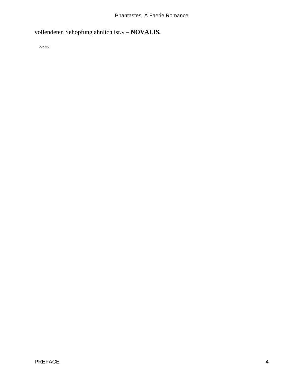vollendeten Sehopfung ahnlich ist.» – **NOVALIS.**

 $\sim\sim\sim$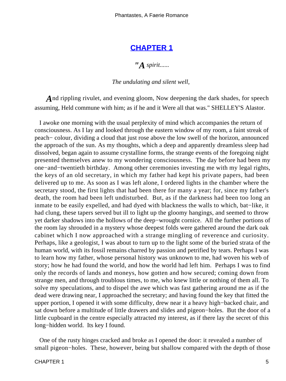Phantastes, A Faerie Romance

## **[CHAPTER 1](#page-142-0)**

*"A spirit......*

#### *The undulating and silent well,*

*A*nd rippling rivulet, and evening gloom, Now deepening the dark shades, for speech assuming, Held commune with him; as if he and it Were all that was." SHELLEY'S Alastor.

 I awoke one morning with the usual perplexity of mind which accompanies the return of consciousness. As I lay and looked through the eastern window of my room, a faint streak of peach− colour, dividing a cloud that just rose above the low swell of the horizon, announced the approach of the sun. As my thoughts, which a deep and apparently dreamless sleep had dissolved, began again to assume crystalline forms, the strange events of the foregoing night presented themselves anew to my wondering consciousness. The day before had been my one−and−twentieth birthday. Among other ceremonies investing me with my legal rights, the keys of an old secretary, in which my father had kept his private papers, had been delivered up to me. As soon as I was left alone, I ordered lights in the chamber where the secretary stood, the first lights that had been there for many a year; for, since my father's death, the room had been left undisturbed. But, as if the darkness had been too long an inmate to be easily expelled, and had dyed with blackness the walls to which, bat−like, it had clung, these tapers served but ill to light up the gloomy hangings, and seemed to throw yet darker shadows into the hollows of the deep−wrought cornice. All the further portions of the room lay shrouded in a mystery whose deepest folds were gathered around the dark oak cabinet which I now approached with a strange mingling of reverence and curiosity. Perhaps, like a geologist, I was about to turn up to the light some of the buried strata of the human world, with its fossil remains charred by passion and petrified by tears. Perhaps I was to learn how my father, whose personal history was unknown to me, had woven his web of story; how he had found the world, and how the world had left him. Perhaps I was to find only the records of lands and moneys, how gotten and how secured; coming down from strange men, and through troublous times, to me, who knew little or nothing of them all. To solve my speculations, and to dispel the awe which was fast gathering around me as if the dead were drawing near, I approached the secretary; and having found the key that fitted the upper portion, I opened it with some difficulty, drew near it a heavy high−backed chair, and sat down before a multitude of little drawers and slides and pigeon−holes. But the door of a little cupboard in the centre especially attracted my interest, as if there lay the secret of this long−hidden world. Its key I found.

 One of the rusty hinges cracked and broke as I opened the door: it revealed a number of small pigeon−holes. These, however, being but shallow compared with the depth of those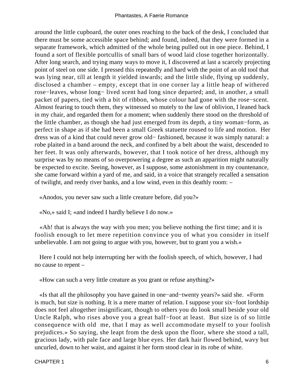around the little cupboard, the outer ones reaching to the back of the desk, I concluded that there must be some accessible space behind; and found, indeed, that they were formed in a separate framework, which admitted of the whole being pulled out in one piece. Behind, I found a sort of flexible portcullis of small bars of wood laid close together horizontally. After long search, and trying many ways to move it, I discovered at last a scarcely projecting point of steel on one side. I pressed this repeatedly and hard with the point of an old tool that was lying near, till at length it yielded inwards; and the little slide, flying up suddenly, disclosed a chamber – empty, except that in one corner lay a little heap of withered rose−leaves, whose long− lived scent had long since departed; and, in another, a small packet of papers, tied with a bit of ribbon, whose colour had gone with the rose−scent. Almost fearing to touch them, they witnessed so mutely to the law of oblivion, I leaned back in my chair, and regarded them for a moment; when suddenly there stood on the threshold of the little chamber, as though she had just emerged from its depth, a tiny woman−form, as perfect in shape as if she had been a small Greek statuette roused to life and motion. Her dress was of a kind that could never grow old− fashioned, because it was simply natural: a robe plaited in a band around the neck, and confined by a belt about the waist, descended to her feet. It was only afterwards, however, that I took notice of her dress, although my surprise was by no means of so overpowering a degree as such an apparition might naturally be expected to excite. Seeing, however, as I suppose, some astonishment in my countenance, she came forward within a yard of me, and said, in a voice that strangely recalled a sensation of twilight, and reedy river banks, and a low wind, even in this deathly room: –

«Anodos, you never saw such a little creature before, did you?»

«No,» said I; «and indeed I hardly believe I do now.»

 «Ah! that is always the way with you men; you believe nothing the first time; and it is foolish enough to let mere repetition convince you of what you consider in itself unbelievable. I am not going to argue with you, however, but to grant you a wish.»

 Here I could not help interrupting her with the foolish speech, of which, however, I had no cause to repent –

«How can such a very little creature as you grant or refuse anything?»

 «Is that all the philosophy you have gained in one−and−twenty years?» said she. «Form is much, but size is nothing. It is a mere matter of relation. I suppose your six−foot lordship does not feel altogether insignificant, though to others you do look small beside your old Uncle Ralph, who rises above you a great half−foot at least. But size is of so little consequence with old me, that I may as well accommodate myself to your foolish prejudices.» So saying, she leapt from the desk upon the floor, where she stood a tall, gracious lady, with pale face and large blue eyes. Her dark hair flowed behind, wavy but uncurled, down to her waist, and against it her form stood clear in its robe of white.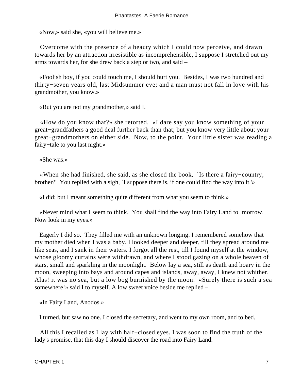«Now,» said she, «you will believe me.»

 Overcome with the presence of a beauty which I could now perceive, and drawn towards her by an attraction irresistible as incomprehensible, I suppose I stretched out my arms towards her, for she drew back a step or two, and said –

 «Foolish boy, if you could touch me, I should hurt you. Besides, I was two hundred and thirty−seven years old, last Midsummer eve; and a man must not fall in love with his grandmother, you know.»

«But you are not my grandmother,» said I.

 «How do you know that?» she retorted. «I dare say you know something of your great−grandfathers a good deal further back than that; but you know very little about your great−grandmothers on either side. Now, to the point. Your little sister was reading a fairy−tale to you last night.»

«She was.»

 «When she had finished, she said, as she closed the book, `Is there a fairy−country, brother?' You replied with a sigh, `I suppose there is, if one could find the way into it.'»

«I did; but I meant something quite different from what you seem to think.»

 «Never mind what I seem to think. You shall find the way into Fairy Land to−morrow. Now look in my eyes.»

 Eagerly I did so. They filled me with an unknown longing. I remembered somehow that my mother died when I was a baby. I looked deeper and deeper, till they spread around me like seas, and I sank in their waters. I forgot all the rest, till I found myself at the window, whose gloomy curtains were withdrawn, and where I stood gazing on a whole heaven of stars, small and sparkling in the moonlight. Below lay a sea, still as death and hoary in the moon, sweeping into bays and around capes and islands, away, away, I knew not whither. Alas! it was no sea, but a low bog burnished by the moon. «Surely there is such a sea somewhere!» said I to myself. A low sweet voice beside me replied –

«In Fairy Land, Anodos.»

I turned, but saw no one. I closed the secretary, and went to my own room, and to bed.

 All this I recalled as I lay with half−closed eyes. I was soon to find the truth of the lady's promise, that this day I should discover the road into Fairy Land.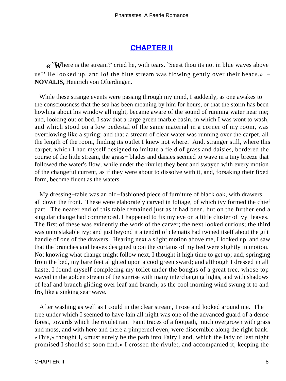# **[CHAPTER II](#page-142-0)**

*«`W*here is the stream?' cried he, with tears. `Seest thou its not in blue waves above us?' He looked up, and lo! the blue stream was flowing gently over their heads.» – **NOVALIS,** Heinrich von Ofterdingen.

 While these strange events were passing through my mind, I suddenly, as one awakes to the consciousness that the sea has been moaning by him for hours, or that the storm has been howling about his window all night, became aware of the sound of running water near me; and, looking out of bed, I saw that a large green marble basin, in which I was wont to wash, and which stood on a low pedestal of the same material in a corner of my room, was overflowing like a spring; and that a stream of clear water was running over the carpet, all the length of the room, finding its outlet I knew not where. And, stranger still, where this carpet, which I had myself designed to imitate a field of grass and daisies, bordered the course of the little stream, the grass− blades and daisies seemed to wave in a tiny breeze that followed the water's flow; while under the rivulet they bent and swayed with every motion of the changeful current, as if they were about to dissolve with it, and, forsaking their fixed form, become fluent as the waters.

 My dressing−table was an old−fashioned piece of furniture of black oak, with drawers all down the front. These were elaborately carved in foliage, of which ivy formed the chief part. The nearer end of this table remained just as it had been, but on the further end a singular change had commenced. I happened to fix my eye on a little cluster of ivy−leaves. The first of these was evidently the work of the carver; the next looked curious; the third was unmistakable ivy; and just beyond it a tendril of clematis had twined itself about the gilt handle of one of the drawers. Hearing next a slight motion above me, I looked up, and saw that the branches and leaves designed upon the curtains of my bed were slightly in motion. Not knowing what change might follow next, I thought it high time to get up; and, springing from the bed, my bare feet alighted upon a cool green sward; and although I dressed in all haste, I found myself completing my toilet under the boughs of a great tree, whose top waved in the golden stream of the sunrise with many interchanging lights, and with shadows of leaf and branch gliding over leaf and branch, as the cool morning wind swung it to and fro, like a sinking sea−wave.

 After washing as well as I could in the clear stream, I rose and looked around me. The tree under which I seemed to have lain all night was one of the advanced guard of a dense forest, towards which the rivulet ran. Faint traces of a footpath, much overgrown with grass and moss, and with here and there a pimpernel even, were discernible along the right bank. «This,» thought I, «must surely be the path into Fairy Land, which the lady of last night promised I should so soon find.» I crossed the rivulet, and accompanied it, keeping the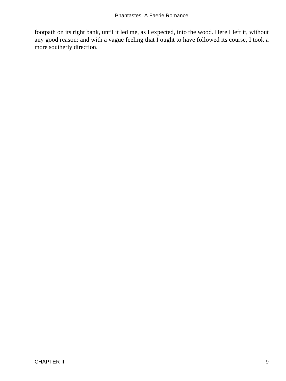footpath on its right bank, until it led me, as I expected, into the wood. Here I left it, without any good reason: and with a vague feeling that I ought to have followed its course, I took a more southerly direction.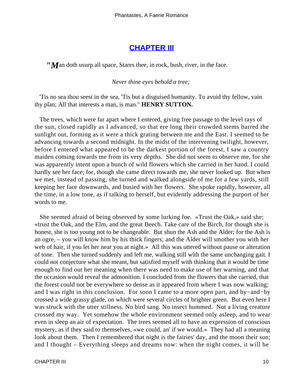## **[CHAPTER III](#page-142-0)**

*"M*an doth usurp all space, Stares thee, in rock, bush, river, in the face.

#### *Never thine eyes behold a tree;*

 'Tis no sea thou seest in the sea, 'Tis but a disguised humanity. To avoid thy fellow, vain thy plan; All that interests a man, is man." **HENRY SUTTON.**

 The trees, which were far apart where I entered, giving free passage to the level rays of the sun, closed rapidly as I advanced, so that ere long their crowded stems barred the sunlight out, forming as it were a thick grating between me and the East. I seemed to be advancing towards a second midnight. In the midst of the intervening twilight, however, before I entered what appeared to be the darkest portion of the forest, I saw a country maiden coming towards me from its very depths. She did not seem to observe me, for she was apparently intent upon a bunch of wild flowers which she carried in her hand. I could hardly see her face; for, though she came direct towards me, she never looked up. But when we met, instead of passing, she turned and walked alongside of me for a few yards, still keeping her face downwards, and busied with her flowers. She spoke rapidly, however, all the time, in a low tone, as if talking to herself, but evidently addressing the purport of her words to me.

 She seemed afraid of being observed by some lurking foe. «Trust the Oak,» said she; «trust the Oak, and the Elm, and the great Beech. Take care of the Birch, for though she is honest, she is too young not to be changeable. But shun the Ash and the Alder; for the Ash is an ogre, – you will know him by his thick fingers; and the Alder will smother you with her web of hair, if you let her near you at night.» All this was uttered without pause or alteration of tone. Then she turned suddenly and left me, walking still with the same unchanging gait. I could not conjecture what she meant, but satisfied myself with thinking that it would be time enough to find out her meaning when there was need to make use of her warning, and that the occasion would reveal the admonition. I concluded from the flowers that she carried, that the forest could not be everywhere so dense as it appeared from where I was now walking; and I was right in this conclusion. For soon I came to a more open part, and by−and−by crossed a wide grassy glade, on which were several circles of brighter green. But even here I was struck with the utter stillness. No bird sang. No insect hummed. Not a living creature crossed my way. Yet somehow the whole environment seemed only asleep, and to wear even in sleep an air of expectation. The trees seemed all to have an expression of conscious mystery, as if they said to themselves, «we could, an' if we would.» They had all a meaning look about them. Then I remembered that night is the fairies' day, and the moon their sun; and I thought – Everything sleeps and dreams now: when the night comes, it will be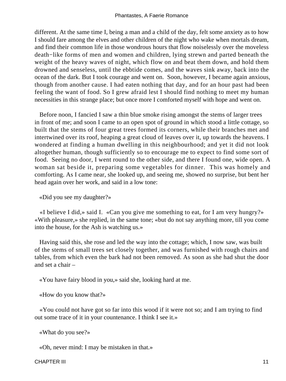different. At the same time I, being a man and a child of the day, felt some anxiety as to how I should fare among the elves and other children of the night who wake when mortals dream, and find their common life in those wondrous hours that flow noiselessly over the moveless death−like forms of men and women and children, lying strewn and parted beneath the weight of the heavy waves of night, which flow on and beat them down, and hold them drowned and senseless, until the ebbtide comes, and the waves sink away, back into the ocean of the dark. But I took courage and went on. Soon, however, I became again anxious, though from another cause. I had eaten nothing that day, and for an hour past had been feeling the want of food. So I grew afraid lest I should find nothing to meet my human necessities in this strange place; but once more I comforted myself with hope and went on.

 Before noon, I fancied I saw a thin blue smoke rising amongst the stems of larger trees in front of me; and soon I came to an open spot of ground in which stood a little cottage, so built that the stems of four great trees formed its corners, while their branches met and intertwined over its roof, heaping a great cloud of leaves over it, up towards the heavens. I wondered at finding a human dwelling in this neighbourhood; and yet it did not look altogether human, though sufficiently so to encourage me to expect to find some sort of food. Seeing no door, I went round to the other side, and there I found one, wide open. A woman sat beside it, preparing some vegetables for dinner. This was homely and comforting. As I came near, she looked up, and seeing me, showed no surprise, but bent her head again over her work, and said in a low tone:

«Did you see my daughter?»

 «I believe I did,» said I. «Can you give me something to eat, for I am very hungry?» «With pleasure,» she replied, in the same tone; «but do not say anything more, till you come into the house, for the Ash is watching us.»

 Having said this, she rose and led the way into the cottage; which, I now saw, was built of the stems of small trees set closely together, and was furnished with rough chairs and tables, from which even the bark had not been removed. As soon as she had shut the door and set a chair –

«You have fairy blood in you,» said she, looking hard at me.

«How do you know that?»

 «You could not have got so far into this wood if it were not so; and I am trying to find out some trace of it in your countenance. I think I see it.»

«What do you see?»

«Oh, never mind: I may be mistaken in that.»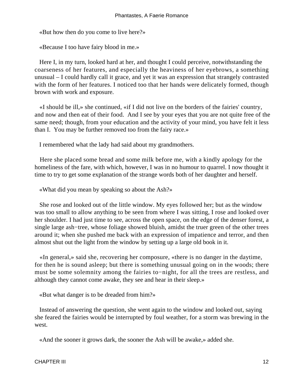«But how then do you come to live here?»

«Because I too have fairy blood in me.»

 Here I, in my turn, looked hard at her, and thought I could perceive, notwithstanding the coarseness of her features, and especially the heaviness of her eyebrows, a something unusual – I could hardly call it grace, and yet it was an expression that strangely contrasted with the form of her features. I noticed too that her hands were delicately formed, though brown with work and exposure.

 «I should be ill,» she continued, «if I did not live on the borders of the fairies' country, and now and then eat of their food. And I see by your eyes that you are not quite free of the same need; though, from your education and the activity of your mind, you have felt it less than I. You may be further removed too from the fairy race.»

I remembered what the lady had said about my grandmothers.

 Here she placed some bread and some milk before me, with a kindly apology for the homeliness of the fare, with which, however, I was in no humour to quarrel. I now thought it time to try to get some explanation of the strange words both of her daughter and herself.

«What did you mean by speaking so about the Ash?»

 She rose and looked out of the little window. My eyes followed her; but as the window was too small to allow anything to be seen from where I was sitting, I rose and looked over her shoulder. I had just time to see, across the open space, on the edge of the denser forest, a single large ash−tree, whose foliage showed bluish, amidst the truer green of the other trees around it; when she pushed me back with an expression of impatience and terror, and then almost shut out the light from the window by setting up a large old book in it.

 «In general,» said she, recovering her composure, «there is no danger in the daytime, for then he is sound asleep; but there is something unusual going on in the woods; there must be some solemnity among the fairies to−night, for all the trees are restless, and although they cannot come awake, they see and hear in their sleep.»

«But what danger is to be dreaded from him?»

 Instead of answering the question, she went again to the window and looked out, saying she feared the fairies would be interrupted by foul weather, for a storm was brewing in the west.

«And the sooner it grows dark, the sooner the Ash will be awake,» added she.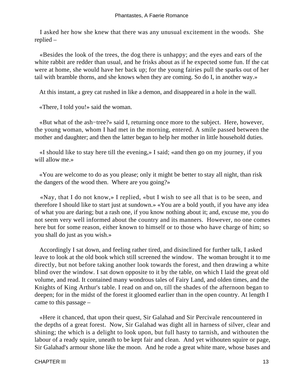I asked her how she knew that there was any unusual excitement in the woods. She replied –

 «Besides the look of the trees, the dog there is unhappy; and the eyes and ears of the white rabbit are redder than usual, and he frisks about as if he expected some fun. If the cat were at home, she would have her back up; for the young fairies pull the sparks out of her tail with bramble thorns, and she knows when they are coming. So do I, in another way.»

At this instant, a grey cat rushed in like a demon, and disappeared in a hole in the wall.

«There, I told you!» said the woman.

 «But what of the ash−tree?» said I, returning once more to the subject. Here, however, the young woman, whom I had met in the morning, entered. A smile passed between the mother and daughter; and then the latter began to help her mother in little household duties.

 «I should like to stay here till the evening,» I said; «and then go on my journey, if you will allow me.»

 «You are welcome to do as you please; only it might be better to stay all night, than risk the dangers of the wood then. Where are you going?»

 «Nay, that I do not know,» I replied, «but I wish to see all that is to be seen, and therefore I should like to start just at sundown.» «You are a bold youth, if you have any idea of what you are daring; but a rash one, if you know nothing about it; and, excuse me, you do not seem very well informed about the country and its manners. However, no one comes here but for some reason, either known to himself or to those who have charge of him; so you shall do just as you wish.»

 Accordingly I sat down, and feeling rather tired, and disinclined for further talk, I asked leave to look at the old book which still screened the window. The woman brought it to me directly, but not before taking another look towards the forest, and then drawing a white blind over the window. I sat down opposite to it by the table, on which I laid the great old volume, and read. It contained many wondrous tales of Fairy Land, and olden times, and the Knights of King Arthur's table. I read on and on, till the shades of the afternoon began to deepen; for in the midst of the forest it gloomed earlier than in the open country. At length I came to this passage –

 «Here it chanced, that upon their quest, Sir Galahad and Sir Percivale rencountered in the depths of a great forest. Now, Sir Galahad was dight all in harness of silver, clear and shining; the which is a delight to look upon, but full hasty to tarnish, and withouten the labour of a ready squire, uneath to be kept fair and clean. And yet withouten squire or page, Sir Galahad's armour shone like the moon. And he rode a great white mare, whose bases and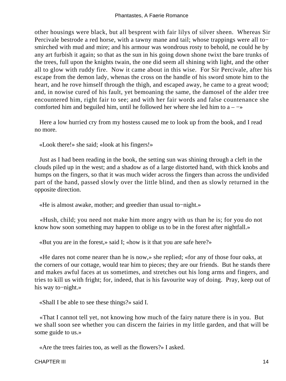other housings were black, but all besprent with fair lilys of silver sheen. Whereas Sir Percivale bestrode a red horse, with a tawny mane and tail; whose trappings were all to− smirched with mud and mire; and his armour was wondrous rosty to behold, ne could he by any art furbish it again; so that as the sun in his going down shone twixt the bare trunks of the trees, full upon the knights twain, the one did seem all shining with light, and the other all to glow with ruddy fire. Now it came about in this wise. For Sir Percivale, after his escape from the demon lady, whenas the cross on the handle of his sword smote him to the heart, and he rove himself through the thigh, and escaped away, he came to a great wood; and, in nowise cured of his fault, yet bemoaning the same, the damosel of the alder tree encountered him, right fair to see; and with her fair words and false countenance she comforted him and beguiled him, until he followed her where she led him to  $a - \rightarrow \infty$ 

 Here a low hurried cry from my hostess caused me to look up from the book, and I read no more.

«Look there!» she said; «look at his fingers!»

 Just as I had been reading in the book, the setting sun was shining through a cleft in the clouds piled up in the west; and a shadow as of a large distorted hand, with thick knobs and humps on the fingers, so that it was much wider across the fingers than across the undivided part of the hand, passed slowly over the little blind, and then as slowly returned in the opposite direction.

«He is almost awake, mother; and greedier than usual to−night.»

 «Hush, child; you need not make him more angry with us than he is; for you do not know how soon something may happen to oblige us to be in the forest after nightfall.»

«But you are in the forest,» said I; «how is it that you are safe here?»

 «He dares not come nearer than he is now,» she replied; «for any of those four oaks, at the corners of our cottage, would tear him to pieces; they are our friends. But he stands there and makes awful faces at us sometimes, and stretches out his long arms and fingers, and tries to kill us with fright; for, indeed, that is his favourite way of doing. Pray, keep out of his way to−night.»

«Shall I be able to see these things?» said I.

 «That I cannot tell yet, not knowing how much of the fairy nature there is in you. But we shall soon see whether you can discern the fairies in my little garden, and that will be some guide to us.»

«Are the trees fairies too, as well as the flowers?» I asked.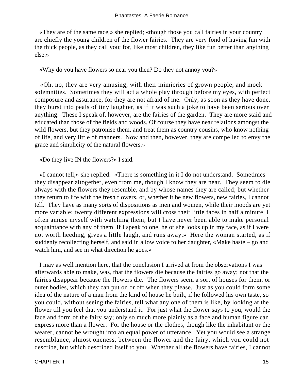«They are of the same race,» she replied; «though those you call fairies in your country are chiefly the young children of the flower fairies. They are very fond of having fun with the thick people, as they call you; for, like most children, they like fun better than anything else.»

«Why do you have flowers so near you then? Do they not annoy you?»

 «Oh, no, they are very amusing, with their mimicries of grown people, and mock solemnities. Sometimes they will act a whole play through before my eyes, with perfect composure and assurance, for they are not afraid of me. Only, as soon as they have done, they burst into peals of tiny laughter, as if it was such a joke to have been serious over anything. These I speak of, however, are the fairies of the garden. They are more staid and educated than those of the fields and woods. Of course they have near relations amongst the wild flowers, but they patronise them, and treat them as country cousins, who know nothing of life, and very little of manners. Now and then, however, they are compelled to envy the grace and simplicity of the natural flowers.»

«Do they live IN the flowers?» I said.

 «I cannot tell,» she replied. «There is something in it I do not understand. Sometimes they disappear altogether, even from me, though I know they are near. They seem to die always with the flowers they resemble, and by whose names they are called; but whether they return to life with the fresh flowers, or, whether it be new flowers, new fairies, I cannot tell. They have as many sorts of dispositions as men and women, while their moods are yet more variable; twenty different expressions will cross their little faces in half a minute. I often amuse myself with watching them, but I have never been able to make personal acquaintance with any of them. If I speak to one, he or she looks up in my face, as if I were not worth heeding, gives a little laugh, and runs away.» Here the woman started, as if suddenly recollecting herself, and said in a low voice to her daughter, «Make haste – go and watch him, and see in what direction he goes.»

 I may as well mention here, that the conclusion I arrived at from the observations I was afterwards able to make, was, that the flowers die because the fairies go away; not that the fairies disappear because the flowers die. The flowers seem a sort of houses for them, or outer bodies, which they can put on or off when they please. Just as you could form some idea of the nature of a man from the kind of house he built, if he followed his own taste, so you could, without seeing the fairies, tell what any one of them is like, by looking at the flower till you feel that you understand it. For just what the flower says to you, would the face and form of the fairy say; only so much more plainly as a face and human figure can express more than a flower. For the house or the clothes, though like the inhabitant or the wearer, cannot be wrought into an equal power of utterance. Yet you would see a strange resemblance, almost oneness, between the flower and the fairy, which you could not describe, but which described itself to you. Whether all the flowers have fairies, I cannot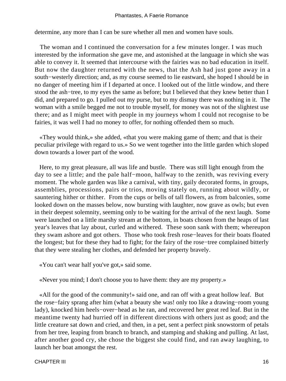determine, any more than I can be sure whether all men and women have souls.

 The woman and I continued the conversation for a few minutes longer. I was much interested by the information she gave me, and astonished at the language in which she was able to convey it. It seemed that intercourse with the fairies was no bad education in itself. But now the daughter returned with the news, that the Ash had just gone away in a south−westerly direction; and, as my course seemed to lie eastward, she hoped I should be in no danger of meeting him if I departed at once. I looked out of the little window, and there stood the ash−tree, to my eyes the same as before; but I believed that they knew better than I did, and prepared to go. I pulled out my purse, but to my dismay there was nothing in it. The woman with a smile begged me not to trouble myself, for money was not of the slightest use there; and as I might meet with people in my journeys whom I could not recognise to be fairies, it was well I had no money to offer, for nothing offended them so much.

 «They would think,» she added, «that you were making game of them; and that is their peculiar privilege with regard to us.» So we went together into the little garden which sloped down towards a lower part of the wood.

 Here, to my great pleasure, all was life and bustle. There was still light enough from the day to see a little; and the pale half−moon, halfway to the zenith, was reviving every moment. The whole garden was like a carnival, with tiny, gaily decorated forms, in groups, assemblies, processions, pairs or trios, moving stately on, running about wildly, or sauntering hither or thither. From the cups or bells of tall flowers, as from balconies, some looked down on the masses below, now bursting with laughter, now grave as owls; but even in their deepest solemnity, seeming only to be waiting for the arrival of the next laugh. Some were launched on a little marshy stream at the bottom, in boats chosen from the heaps of last year's leaves that lay about, curled and withered. These soon sank with them; whereupon they swam ashore and got others. Those who took fresh rose−leaves for their boats floated the longest; but for these they had to fight; for the fairy of the rose−tree complained bitterly that they were stealing her clothes, and defended her property bravely.

«You can't wear half you've got,» said some.

«Never you mind; I don't choose you to have them: they are my property.»

 «All for the good of the community!» said one, and ran off with a great hollow leaf. But the rose−fairy sprang after him (what a beauty she was! only too like a drawing−room young lady), knocked him heels−over−head as he ran, and recovered her great red leaf. But in the meantime twenty had hurried off in different directions with others just as good; and the little creature sat down and cried, and then, in a pet, sent a perfect pink snowstorm of petals from her tree, leaping from branch to branch, and stamping and shaking and pulling. At last, after another good cry, she chose the biggest she could find, and ran away laughing, to launch her boat amongst the rest.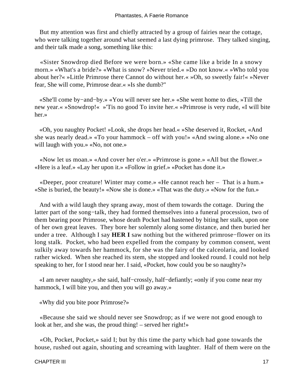But my attention was first and chiefly attracted by a group of fairies near the cottage, who were talking together around what seemed a last dying primrose. They talked singing, and their talk made a song, something like this:

 «Sister Snowdrop died Before we were born.» «She came like a bride In a snowy morn.» «What's a bride?» «What is snow? »Never tried.« »Do not know.« »Who told you about her?« »Little Primrose there Cannot do without her.« »Oh, so sweetly fair!« »Never fear, She will come, Primrose dear.« »Is she dumb?"

 «She'll come by−and−by.» «You will never see her.» «She went home to dies, »Till the new year.« »Snowdrop!« »'Tis no good To invite her.« »Primrose is very rude, «I will bite her.»

 «Oh, you naughty Pocket! »Look, she drops her head.« »She deserved it, Rocket, «And she was nearly dead.» «To your hammock – off with you!» «And swing alone.» «No one will laugh with you.» «No, not one.»

 «Now let us moan.» «And cover her o'er.» «Primrose is gone.» «All but the flower.» «Here is a leaf.» «Lay her upon it.» «Follow in grief.» «Pocket has done it.»

 «Deeper, poor creature! Winter may come.» «He cannot reach her – That is a hum.» «She is buried, the beauty!» «Now she is done.» «That was the duty.» «Now for the fun.»

 And with a wild laugh they sprang away, most of them towards the cottage. During the latter part of the song−talk, they had formed themselves into a funeral procession, two of them bearing poor Primrose, whose death Pocket had hastened by biting her stalk, upon one of her own great leaves. They bore her solemnly along some distance, and then buried her under a tree. Although I say **HER I** saw nothing but the withered primrose−flower on its long stalk. Pocket, who had been expelled from the company by common consent, went sulkily away towards her hammock, for she was the fairy of the calceolaria, and looked rather wicked. When she reached its stem, she stopped and looked round. I could not help speaking to her, for I stood near her. I said, «Pocket, how could you be so naughty?»

 «I am never naughty,» she said, half−crossly, half−defiantly; «only if you come near my hammock, I will bite you, and then you will go away.»

«Why did you bite poor Primrose?»

 «Because she said we should never see Snowdrop; as if we were not good enough to look at her, and she was, the proud thing! – served her right!»

 «Oh, Pocket, Pocket,» said I; but by this time the party which had gone towards the house, rushed out again, shouting and screaming with laughter. Half of them were on the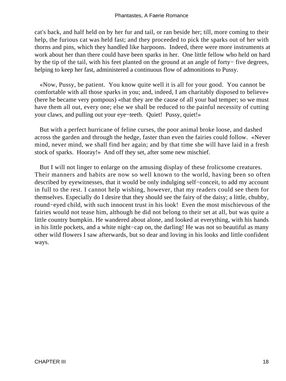cat's back, and half held on by her fur and tail, or ran beside her; till, more coming to their help, the furious cat was held fast; and they proceeded to pick the sparks out of her with thorns and pins, which they handled like harpoons. Indeed, there were more instruments at work about her than there could have been sparks in her. One little fellow who held on hard by the tip of the tail, with his feet planted on the ground at an angle of forty− five degrees, helping to keep her fast, administered a continuous flow of admonitions to Pussy.

 «Now, Pussy, be patient. You know quite well it is all for your good. You cannot be comfortable with all those sparks in you; and, indeed, I am charitably disposed to believe» (here he became very pompous) «that they are the cause of all your bad temper; so we must have them all out, every one; else we shall be reduced to the painful necessity of cutting your claws, and pulling out your eye−teeth. Quiet! Pussy, quiet!»

 But with a perfect hurricane of feline curses, the poor animal broke loose, and dashed across the garden and through the hedge, faster than even the fairies could follow. «Never mind, never mind, we shall find her again; and by that time she will have laid in a fresh stock of sparks. Hooray!» And off they set, after some new mischief.

 But I will not linger to enlarge on the amusing display of these frolicsome creatures. Their manners and habits are now so well known to the world, having been so often described by eyewitnesses, that it would be only indulging self−conceit, to add my account in full to the rest. I cannot help wishing, however, that my readers could see them for themselves. Especially do I desire that they should see the fairy of the daisy; a little, chubby, round−eyed child, with such innocent trust in his look! Even the most mischievous of the fairies would not tease him, although he did not belong to their set at all, but was quite a little country bumpkin. He wandered about alone, and looked at everything, with his hands in his little pockets, and a white night−cap on, the darling! He was not so beautiful as many other wild flowers I saw afterwards, but so dear and loving in his looks and little confident ways.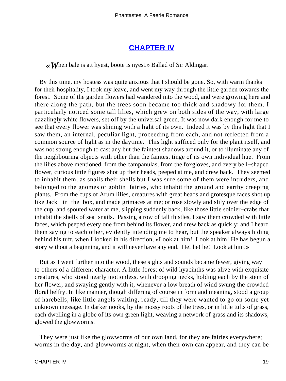## **[CHAPTER IV](#page-142-0)**

*«W*hen bale is att hyest, boote is nyest.» Ballad of Sir Aldingar.

 By this time, my hostess was quite anxious that I should be gone. So, with warm thanks for their hospitality, I took my leave, and went my way through the little garden towards the forest. Some of the garden flowers had wandered into the wood, and were growing here and there along the path, but the trees soon became too thick and shadowy for them. I particularly noticed some tall lilies, which grew on both sides of the way, with large dazzlingly white flowers, set off by the universal green. It was now dark enough for me to see that every flower was shining with a light of its own. Indeed it was by this light that I saw them, an internal, peculiar light, proceeding from each, and not reflected from a common source of light as in the daytime. This light sufficed only for the plant itself, and was not strong enough to cast any but the faintest shadows around it, or to illuminate any of the neighbouring objects with other than the faintest tinge of its own individual hue. From the lilies above mentioned, from the campanulas, from the foxgloves, and every bell−shaped flower, curious little figures shot up their heads, peeped at me, and drew back. They seemed to inhabit them, as snails their shells but I was sure some of them were intruders, and belonged to the gnomes or goblin−fairies, who inhabit the ground and earthy creeping plants. From the cups of Arum lilies, creatures with great heads and grotesque faces shot up like Jack− in−the−box, and made grimaces at me; or rose slowly and slily over the edge of the cup, and spouted water at me, slipping suddenly back, like those little soldier−crabs that inhabit the shells of sea−snails. Passing a row of tall thistles, I saw them crowded with little faces, which peeped every one from behind its flower, and drew back as quickly; and I heard them saying to each other, evidently intending me to hear, but the speaker always hiding behind his tuft, when I looked in his direction, «Look at him! Look at him! He has begun a story without a beginning, and it will never have any end. He! he! he! Look at him!»

 But as I went further into the wood, these sights and sounds became fewer, giving way to others of a different character. A little forest of wild hyacinths was alive with exquisite creatures, who stood nearly motionless, with drooping necks, holding each by the stem of her flower, and swaying gently with it, whenever a low breath of wind swung the crowded floral belfry. In like manner, though differing of course in form and meaning, stood a group of harebells, like little angels waiting, ready, till they were wanted to go on some yet unknown message. In darker nooks, by the mossy roots of the trees, or in little tufts of grass, each dwelling in a globe of its own green light, weaving a network of grass and its shadows, glowed the glowworms.

 They were just like the glowworms of our own land, for they are fairies everywhere; worms in the day, and glowworms at night, when their own can appear, and they can be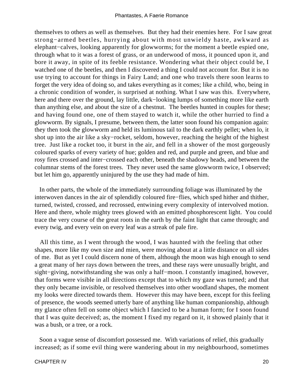themselves to others as well as themselves. But they had their enemies here. For I saw great strong−armed beetles, hurrying about with most unwieldy haste, awkward as elephant−calves, looking apparently for glowworms; for the moment a beetle espied one, through what to it was a forest of grass, or an underwood of moss, it pounced upon it, and bore it away, in spite of its feeble resistance. Wondering what their object could be, I watched one of the beetles, and then I discovered a thing I could not account for. But it is no use trying to account for things in Fairy Land; and one who travels there soon learns to forget the very idea of doing so, and takes everything as it comes; like a child, who, being in a chronic condition of wonder, is surprised at nothing. What I saw was this. Everywhere, here and there over the ground, lay little, dark−looking lumps of something more like earth than anything else, and about the size of a chestnut. The beetles hunted in couples for these; and having found one, one of them stayed to watch it, while the other hurried to find a glowworm. By signals, I presume, between them, the latter soon found his companion again: they then took the glowworm and held its luminous tail to the dark earthly pellet; when lo, it shot up into the air like a sky−rocket, seldom, however, reaching the height of the highest tree. Just like a rocket too, it burst in the air, and fell in a shower of the most gorgeously coloured sparks of every variety of hue; golden and red, and purple and green, and blue and rosy fires crossed and inter−crossed each other, beneath the shadowy heads, and between the columnar stems of the forest trees. They never used the same glowworm twice, I observed; but let him go, apparently uninjured by the use they had made of him.

 In other parts, the whole of the immediately surrounding foliage was illuminated by the interwoven dances in the air of splendidly coloured fire−flies, which sped hither and thither, turned, twisted, crossed, and recrossed, entwining every complexity of intervolved motion. Here and there, whole mighty trees glowed with an emitted phosphorescent light. You could trace the very course of the great roots in the earth by the faint light that came through; and every twig, and every vein on every leaf was a streak of pale fire.

 All this time, as I went through the wood, I was haunted with the feeling that other shapes, more like my own size and mien, were moving about at a little distance on all sides of me. But as yet I could discern none of them, although the moon was high enough to send a great many of her rays down between the trees, and these rays were unusually bright, and sight−giving, notwithstanding she was only a half−moon. I constantly imagined, however, that forms were visible in all directions except that to which my gaze was turned; and that they only became invisible, or resolved themselves into other woodland shapes, the moment my looks were directed towards them. However this may have been, except for this feeling of presence, the woods seemed utterly bare of anything like human companionship, although my glance often fell on some object which I fancied to be a human form; for I soon found that I was quite deceived; as, the moment I fixed my regard on it, it showed plainly that it was a bush, or a tree, or a rock.

 Soon a vague sense of discomfort possessed me. With variations of relief, this gradually increased; as if some evil thing were wandering about in my neighbourhood, sometimes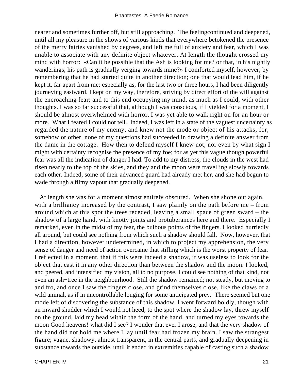nearer and sometimes further off, but still approaching. The feelingcontinued and deepened, until all my pleasure in the shows of various kinds that everywhere betokened the presence of the merry fairies vanished by degrees, and left me full of anxiety and fear, which I was unable to associate with any definite object whatever. At length the thought crossed my mind with horror: «Can it be possible that the Ash is looking for me? or that, in his nightly wanderings, his path is gradually verging towards mine?» I comforted myself, however, by remembering that he had started quite in another direction; one that would lead him, if he kept it, far apart from me; especially as, for the last two or three hours, I had been diligently journeying eastward. I kept on my way, therefore, striving by direct effort of the will against the encroaching fear; and to this end occupying my mind, as much as I could, with other thoughts. I was so far successful that, although I was conscious, if I yielded for a moment, I should be almost overwhelmed with horror, I was yet able to walk right on for an hour or more. What I feared I could not tell. Indeed, I was left in a state of the vaguest uncertainty as regarded the nature of my enemy, and knew not the mode or object of his attacks; for, somehow or other, none of my questions had succeeded in drawing a definite answer from the dame in the cottage. How then to defend myself I knew not; nor even by what sign I might with certainty recognise the presence of my foe; for as yet this vague though powerful fear was all the indication of danger I had. To add to my distress, the clouds in the west had risen nearly to the top of the skies, and they and the moon were travelling slowly towards each other. Indeed, some of their advanced guard had already met her, and she had begun to wade through a filmy vapour that gradually deepened.

 At length she was for a moment almost entirely obscured. When she shone out again, with a brilliancy increased by the contrast, I saw plainly on the path before me – from around which at this spot the trees receded, leaving a small space of green sward – the shadow of a large hand, with knotty joints and protuberances here and there. Especially I remarked, even in the midst of my fear, the bulbous points of the fingers. I looked hurriedly all around, but could see nothing from which such a shadow should fall. Now, however, that I had a direction, however undetermined, in which to project my apprehension, the very sense of danger and need of action overcame that stifling which is the worst property of fear. I reflected in a moment, that if this were indeed a shadow, it was useless to look for the object that cast it in any other direction than between the shadow and the moon. I looked, and peered, and intensified my vision, all to no purpose. I could see nothing of that kind, not even an ash−tree in the neighbourhood. Still the shadow remained; not steady, but moving to and fro, and once I saw the fingers close, and grind themselves close, like the claws of a wild animal, as if in uncontrollable longing for some anticipated prey. There seemed but one mode left of discovering the substance of this shadow. I went forward boldly, though with an inward shudder which I would not heed, to the spot where the shadow lay, threw myself on the ground, laid my head within the form of the hand, and turned my eyes towards the moon Good heavens! what did I see? I wonder that ever I arose, and that the very shadow of the hand did not hold me where I lay until fear had frozen my brain. I saw the strangest figure; vague, shadowy, almost transparent, in the central parts, and gradually deepening in substance towards the outside, until it ended in extremities capable of casting such a shadow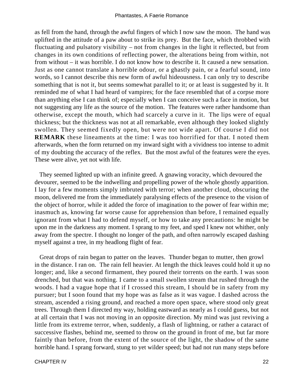as fell from the hand, through the awful fingers of which I now saw the moon. The hand was uplifted in the attitude of a paw about to strike its prey. But the face, which throbbed with fluctuating and pulsatory visibility – not from changes in the light it reflected, but from changes in its own conditions of reflecting power, the alterations being from within, not from without – it was horrible. I do not know how to describe it. It caused a new sensation. Just as one cannot translate a horrible odour, or a ghastly pain, or a fearful sound, into words, so I cannot describe this new form of awful hideousness. I can only try to describe something that is not it, but seems somewhat parallel to it; or at least is suggested by it. It reminded me of what I had heard of vampires; for the face resembled that of a corpse more than anything else I can think of; especially when I can conceive such a face in motion, but not suggesting any life as the source of the motion. The features were rather handsome than otherwise, except the mouth, which had scarcely a curve in it. The lips were of equal thickness; but the thickness was not at all remarkable, even although they looked slightly swollen. They seemed fixedly open, but were not wide apart. Of course I did not **REMARK** these lineaments at the time: I was too horrified for that. I noted them afterwards, when the form returned on my inward sight with a vividness too intense to admit of my doubting the accuracy of the reflex. But the most awful of the features were the eyes. These were alive, yet not with life.

 They seemed lighted up with an infinite greed. A gnawing voracity, which devoured the devourer, seemed to be the indwelling and propelling power of the whole ghostly apparition. I lay for a few moments simply imbruted with terror; when another cloud, obscuring the moon, delivered me from the immediately paralysing effects of the presence to the vision of the object of horror, while it added the force of imagination to the power of fear within me; inasmuch as, knowing far worse cause for apprehension than before, I remained equally ignorant from what I had to defend myself, or how to take any precautions: he might be upon me in the darkness any moment. I sprang to my feet, and sped I knew not whither, only away from the spectre. I thought no longer of the path, and often narrowly escaped dashing myself against a tree, in my headlong flight of fear.

 Great drops of rain began to patter on the leaves. Thunder began to mutter, then growl in the distance. I ran on. The rain fell heavier. At length the thick leaves could hold it up no longer; and, like a second firmament, they poured their torrents on the earth. I was soon drenched, but that was nothing. I came to a small swollen stream that rushed through the woods. I had a vague hope that if I crossed this stream, I should be in safety from my pursuer; but I soon found that my hope was as false as it was vague. I dashed across the stream, ascended a rising ground, and reached a more open space, where stood only great trees. Through them I directed my way, holding eastward as nearly as I could guess, but not at all certain that I was not moving in an opposite direction. My mind was just reviving a little from its extreme terror, when, suddenly, a flash of lightning, or rather a cataract of successive flashes, behind me, seemed to throw on the ground in front of me, but far more faintly than before, from the extent of the source of the light, the shadow of the same horrible hand. I sprang forward, stung to yet wilder speed; but had not run many steps before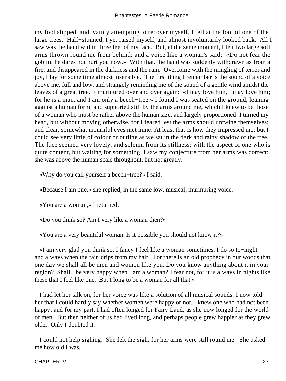my foot slipped, and, vainly attempting to recover myself, I fell at the foot of one of the large trees. Half−stunned, I yet raised myself, and almost involuntarily looked back. All I saw was the hand within three feet of my face. But, at the same moment, I felt two large soft arms thrown round me from behind; and a voice like a woman's said: «Do not fear the goblin; he dares not hurt you now.» With that, the hand was suddenly withdrawn as from a fire, and disappeared in the darkness and the rain. Overcome with the mingling of terror and joy, I lay for some time almost insensible. The first thing I remember is the sound of a voice above me, full and low, and strangely reminding me of the sound of a gentle wind amidst the leaves of a great tree. It murmured over and over again: «I may love him, I may love him; for he is a man, and I am only a beech−tree.» I found I was seated on the ground, leaning against a human form, and supported still by the arms around me, which I knew to be those of a woman who must be rather above the human size, and largely proportioned. I turned my head, but without moving otherwise, for I feared lest the arms should untwine themselves; and clear, somewhat mournful eyes met mine. At least that is how they impressed me; but I could see very little of colour or outline as we sat in the dark and rainy shadow of the tree. The face seemed very lovely, and solemn from its stillness; with the aspect of one who is quite content, but waiting for something. I saw my conjecture from her arms was correct: she was above the human scale throughout, but not greatly.

«Why do you call yourself a beech−tree?» I said.

«Because I am one,» she replied, in the same low, musical, murmuring voice.

«You are a woman,» I returned.

«Do you think so? Am I very like a woman then?»

«You are a very beautiful woman. Is it possible you should not know it?»

 «I am very glad you think so. I fancy I feel like a woman sometimes. I do so to−night – and always when the rain drips from my hair. For there is an old prophecy in our woods that one day we shall all be men and women like you. Do you know anything about it in your region? Shall I be very happy when I am a woman? I fear not, for it is always in nights like these that I feel like one. But I long to be a woman for all that.»

 I had let her talk on, for her voice was like a solution of all musical sounds. I now told her that I could hardly say whether women were happy or not. I knew one who had not been happy; and for my part, I had often longed for Fairy Land, as she now longed for the world of men. But then neither of us had lived long, and perhaps people grew happier as they grew older. Only I doubted it.

 I could not help sighing. She felt the sigh, for her arms were still round me. She asked me how old I was.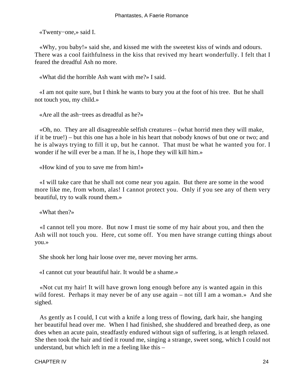«Twenty−one,» said I.

 «Why, you baby!» said she, and kissed me with the sweetest kiss of winds and odours. There was a cool faithfulness in the kiss that revived my heart wonderfully. I felt that I feared the dreadful Ash no more.

«What did the horrible Ash want with me?» I said.

 «I am not quite sure, but I think he wants to bury you at the foot of his tree. But he shall not touch you, my child.»

«Are all the ash−trees as dreadful as he?»

 «Oh, no. They are all disagreeable selfish creatures – (what horrid men they will make, if it be true!) – but this one has a hole in his heart that nobody knows of but one or two; and he is always trying to fill it up, but he cannot. That must be what he wanted you for. I wonder if he will ever be a man. If he is, I hope they will kill him.»

«How kind of you to save me from him!»

 «I will take care that he shall not come near you again. But there are some in the wood more like me, from whom, alas! I cannot protect you. Only if you see any of them very beautiful, try to walk round them.»

«What then?»

 «I cannot tell you more. But now I must tie some of my hair about you, and then the Ash will not touch you. Here, cut some off. You men have strange cutting things about you.»

She shook her long hair loose over me, never moving her arms.

«I cannot cut your beautiful hair. It would be a shame.»

 «Not cut my hair! It will have grown long enough before any is wanted again in this wild forest. Perhaps it may never be of any use again – not till I am a woman.» And she sighed.

 As gently as I could, I cut with a knife a long tress of flowing, dark hair, she hanging her beautiful head over me. When I had finished, she shuddered and breathed deep, as one does when an acute pain, steadfastly endured without sign of suffering, is at length relaxed. She then took the hair and tied it round me, singing a strange, sweet song, which I could not understand, but which left in me a feeling like this –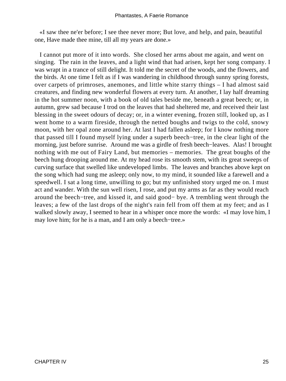«I saw thee ne'er before; I see thee never more; But love, and help, and pain, beautiful one, Have made thee mine, till all my years are done.»

 I cannot put more of it into words. She closed her arms about me again, and went on singing. The rain in the leaves, and a light wind that had arisen, kept her song company. I was wrapt in a trance of still delight. It told me the secret of the woods, and the flowers, and the birds. At one time I felt as if I was wandering in childhood through sunny spring forests, over carpets of primroses, anemones, and little white starry things – I had almost said creatures, and finding new wonderful flowers at every turn. At another, I lay half dreaming in the hot summer noon, with a book of old tales beside me, beneath a great beech; or, in autumn, grew sad because I trod on the leaves that had sheltered me, and received their last blessing in the sweet odours of decay; or, in a winter evening, frozen still, looked up, as I went home to a warm fireside, through the netted boughs and twigs to the cold, snowy moon, with her opal zone around her. At last I had fallen asleep; for I know nothing more that passed till I found myself lying under a superb beech−tree, in the clear light of the morning, just before sunrise. Around me was a girdle of fresh beech−leaves. Alas! I brought nothing with me out of Fairy Land, but memories – memories. The great boughs of the beech hung drooping around me. At my head rose its smooth stem, with its great sweeps of curving surface that swelled like undeveloped limbs. The leaves and branches above kept on the song which had sung me asleep; only now, to my mind, it sounded like a farewell and a speedwell. I sat a long time, unwilling to go; but my unfinished story urged me on. I must act and wander. With the sun well risen, I rose, and put my arms as far as they would reach around the beech−tree, and kissed it, and said good− bye. A trembling went through the leaves; a few of the last drops of the night's rain fell from off them at my feet; and as I walked slowly away, I seemed to hear in a whisper once more the words: «I may love him, I may love him; for he is a man, and I am only a beech−tree.»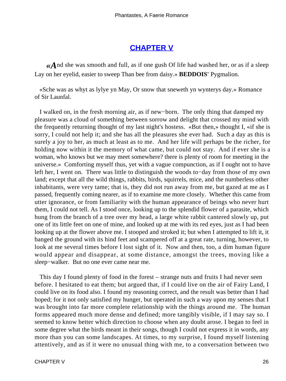# **[CHAPTER V](#page-142-0)**

*«A*nd she was smooth and full, as if one gush Of life had washed her, or as if a sleep Lay on her eyelid, easier to sweep Than bee from daisy.» **BEDDOIS'** Pygmalion.

 «Sche was as whyt as lylye yn May, Or snow that sneweth yn wynterys day.» Romance of Sir Launfal.

 I walked on, in the fresh morning air, as if new−born. The only thing that damped my pleasure was a cloud of something between sorrow and delight that crossed my mind with the frequently returning thought of my last night's hostess. «But then,» thought I, «if she is sorry, I could not help it; and she has all the pleasures she ever had. Such a day as this is surely a joy to her, as much at least as to me. And her life will perhaps be the richer, for holding now within it the memory of what came, but could not stay. And if ever she is a woman, who knows but we may meet somewhere? there is plenty of room for meeting in the universe.» Comforting myself thus, yet with a vague compunction, as if I ought not to have left her, I went on. There was little to distinguish the woods to−day from those of my own land; except that all the wild things, rabbits, birds, squirrels, mice, and the numberless other inhabitants, were very tame; that is, they did not run away from me, but gazed at me as I passed, frequently coming nearer, as if to examine me more closely. Whether this came from utter ignorance, or from familiarity with the human appearance of beings who never hurt them, I could not tell. As I stood once, looking up to the splendid flower of a parasite, which hung from the branch of a tree over my head, a large white rabbit cantered slowly up, put one of its little feet on one of mine, and looked up at me with its red eyes, just as I had been looking up at the flower above me. I stooped and stroked it; but when I attempted to lift it, it banged the ground with its hind feet and scampered off at a great rate, turning, however, to look at me several times before I lost sight of it. Now and then, too, a dim human figure would appear and disappear, at some distance, amongst the trees, moving like a sleep−walker. But no one ever came near me.

 This day I found plenty of food in the forest – strange nuts and fruits I had never seen before. I hesitated to eat them; but argued that, if I could live on the air of Fairy Land, I could live on its food also. I found my reasoning correct, and the result was better than I had hoped; for it not only satisfied my hunger, but operated in such a way upon my senses that I was brought into far more complete relationship with the things around me. The human forms appeared much more dense and defined; more tangibly visible, if I may say so. I seemed to know better which direction to choose when any doubt arose. I began to feel in some degree what the birds meant in their songs, though I could not express it in words, any more than you can some landscapes. At times, to my surprise, I found myself listening attentively, and as if it were no unusual thing with me, to a conversation between two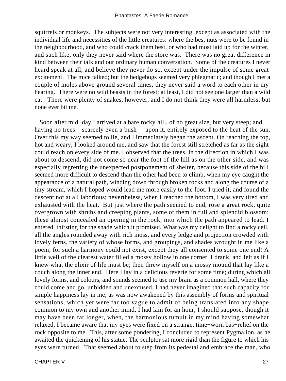squirrels or monkeys. The subjects were not very interesting, except as associated with the individual life and necessities of the little creatures: where the best nuts were to be found in the neighbourhood, and who could crack them best, or who had most laid up for the winter, and such like; only they never said where the store was. There was no great difference in kind between their talk and our ordinary human conversation. Some of the creatures I never heard speak at all, and believe they never do so, except under the impulse of some great excitement. The mice talked; but the hedgehogs seemed very phlegmatic; and though I met a couple of moles above ground several times, they never said a word to each other in my hearing. There were no wild beasts in the forest; at least, I did not see one larger than a wild cat. There were plenty of snakes, however, and I do not think they were all harmless; but none ever bit me.

 Soon after mid−day I arrived at a bare rocky hill, of no great size, but very steep; and having no trees – scarcely even a bush – upon it, entirely exposed to the heat of the sun. Over this my way seemed to lie, and I immediately began the ascent. On reaching the top, hot and weary, I looked around me, and saw that the forest still stretched as far as the sight could reach on every side of me. I observed that the trees, in the direction in which I was about to descend, did not come so near the foot of the hill as on the other side, and was especially regretting the unexpected postponement of shelter, because this side of the hill seemed more difficult to descend than the other had been to climb, when my eye caught the appearance of a natural path, winding down through broken rocks and along the course of a tiny stream, which I hoped would lead me more easily to the foot. I tried it, and found the descent not at all laborious; nevertheless, when I reached the bottom, I was very tired and exhausted with the heat. But just where the path seemed to end, rose a great rock, quite overgrown with shrubs and creeping plants, some of them in full and splendid blossom: these almost concealed an opening in the rock, into which the path appeared to lead. I entered, thirsting for the shade which it promised. What was my delight to find a rocky cell, all the angles rounded away with rich moss, and every ledge and projection crowded with lovely ferns, the variety of whose forms, and groupings, and shades wrought in me like a poem; for such a harmony could not exist, except they all consented to some one end! A little well of the clearest water filled a mossy hollow in one corner. I drank, and felt as if I knew what the elixir of life must be; then threw myself on a mossy mound that lay like a couch along the inner end. Here I lay in a delicious reverie for some time; during which all lovely forms, and colours, and sounds seemed to use my brain as a common hall, where they could come and go, unbidden and unexcused. I had never imagined that such capacity for simple happiness lay in me, as was now awakened by this assembly of forms and spiritual sensations, which yet were far too vague to admit of being translated into any shape common to my own and another mind. I had lain for an hour, I should suppose, though it may have been far longer, when, the harmonious tumult in my mind having somewhat relaxed, I became aware that my eyes were fixed on a strange, time−worn bas−relief on the rock opposite to me. This, after some pondering, I concluded to represent Pygmalion, as he awaited the quickening of his statue. The sculptor sat more rigid than the figure to which his eyes were turned. That seemed about to step from its pedestal and embrace the man, who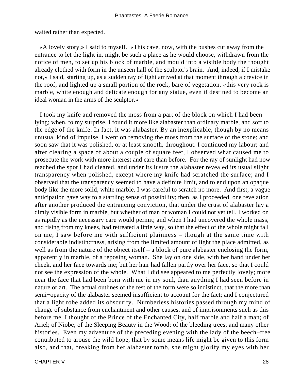waited rather than expected.

 «A lovely story,» I said to myself. «This cave, now, with the bushes cut away from the entrance to let the light in, might be such a place as he would choose, withdrawn from the notice of men, to set up his block of marble, and mould into a visible body the thought already clothed with form in the unseen hall of the sculptor's brain. And, indeed, if I mistake not,» I said, starting up, as a sudden ray of light arrived at that moment through a crevice in the roof, and lighted up a small portion of the rock, bare of vegetation, «this very rock is marble, white enough and delicate enough for any statue, even if destined to become an ideal woman in the arms of the sculptor.»

 I took my knife and removed the moss from a part of the block on which I had been lying; when, to my surprise, I found it more like alabaster than ordinary marble, and soft to the edge of the knife. In fact, it was alabaster. By an inexplicable, though by no means unusual kind of impulse, I went on removing the moss from the surface of the stone; and soon saw that it was polished, or at least smooth, throughout. I continued my labour; and after clearing a space of about a couple of square feet, I observed what caused me to prosecute the work with more interest and care than before. For the ray of sunlight had now reached the spot I had cleared, and under its lustre the alabaster revealed its usual slight transparency when polished, except where my knife had scratched the surface; and I observed that the transparency seemed to have a definite limit, and to end upon an opaque body like the more solid, white marble. I was careful to scratch no more. And first, a vague anticipation gave way to a startling sense of possibility; then, as I proceeded, one revelation after another produced the entrancing conviction, that under the crust of alabaster lay a dimly visible form in marble, but whether of man or woman I could not yet tell. I worked on as rapidly as the necessary care would permit; and when I had uncovered the whole mass, and rising from my knees, had retreated a little way, so that the effect of the whole might fall on me, I saw before me with sufficient plainness – though at the same time with considerable indistinctness, arising from the limited amount of light the place admitted, as well as from the nature of the object itself – a block of pure alabaster enclosing the form, apparently in marble, of a reposing woman. She lay on one side, with her hand under her cheek, and her face towards me; but her hair had fallen partly over her face, so that I could not see the expression of the whole. What I did see appeared to me perfectly lovely; more near the face that had been born with me in my soul, than anything I had seen before in nature or art. The actual outlines of the rest of the form were so indistinct, that the more than semi−opacity of the alabaster seemed insufficient to account for the fact; and I conjectured that a light robe added its obscurity. Numberless histories passed through my mind of change of substance from enchantment and other causes, and of imprisonments such as this before me. I thought of the Prince of the Enchanted City, half marble and half a man; of Ariel; of Niobe; of the Sleeping Beauty in the Wood; of the bleeding trees; and many other histories. Even my adventure of the preceding evening with the lady of the beech−tree contributed to arouse the wild hope, that by some means life might be given to this form also, and that, breaking from her alabaster tomb, she might glorify my eyes with her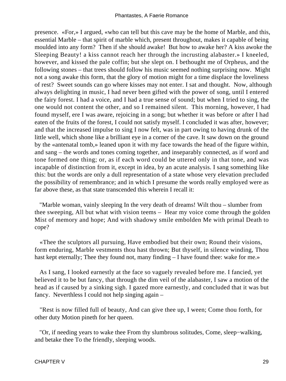presence. «For,» I argued, «who can tell but this cave may be the home of Marble, and this, essential Marble – that spirit of marble which, present throughout, makes it capable of being moulded into any form? Then if she should awake! But how to awake her? A kiss awoke the Sleeping Beauty! a kiss cannot reach her through the incrusting alabaster.» I kneeled, however, and kissed the pale coffin; but she slept on. I bethought me of Orpheus, and the following stones – that trees should follow his music seemed nothing surprising now. Might not a song awake this form, that the glory of motion might for a time displace the loveliness of rest? Sweet sounds can go where kisses may not enter. I sat and thought. Now, although always delighting in music, I had never been gifted with the power of song, until I entered the fairy forest. I had a voice, and I had a true sense of sound; but when I tried to sing, the one would not content the other, and so I remained silent. This morning, however, I had found myself, ere I was aware, rejoicing in a song; but whether it was before or after I had eaten of the fruits of the forest, I could not satisfy myself. I concluded it was after, however; and that the increased impulse to sing I now felt, was in part owing to having drunk of the little well, which shone like a brilliant eye in a corner of the cave. It saw down on the ground by the «antenatal tomb,» leaned upon it with my face towards the head of the figure within, and sang – the words and tones coming together, and inseparably connected, as if word and tone formed one thing; or, as if each word could be uttered only in that tone, and was incapable of distinction from it, except in idea, by an acute analysis. I sang something like this: but the words are only a dull representation of a state whose very elevation precluded the possibility of remembrance; and in which I presume the words really employed were as far above these, as that state transcended this wherein I recall it:

 "Marble woman, vainly sleeping In the very death of dreams! Wilt thou – slumber from thee sweeping, All but what with vision teems – Hear my voice come through the golden Mist of memory and hope; And with shadowy smile embolden Me with primal Death to cope?

 «Thee the sculptors all pursuing, Have embodied but their own; Round their visions, form enduring, Marble vestments thou hast thrown; But thyself, in silence winding, Thou hast kept eternally; Thee they found not, many finding  $-$  I have found thee: wake for me.»

 As I sang, I looked earnestly at the face so vaguely revealed before me. I fancied, yet believed it to be but fancy, that through the dim veil of the alabaster, I saw a motion of the head as if caused by a sinking sigh. I gazed more earnestly, and concluded that it was but fancy. Neverthless I could not help singing again –

 "Rest is now filled full of beauty, And can give thee up, I ween; Come thou forth, for other duty Motion pineth for her queen.

 "Or, if needing years to wake thee From thy slumbrous solitudes, Come, sleep−walking, and betake thee To the friendly, sleeping woods.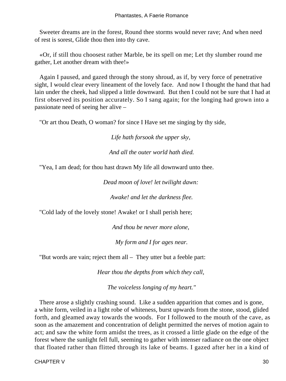Sweeter dreams are in the forest, Round thee storms would never rave; And when need of rest is sorest, Glide thou then into thy cave.

 «Or, if still thou choosest rather Marble, be its spell on me; Let thy slumber round me gather, Let another dream with thee!»

 Again I paused, and gazed through the stony shroud, as if, by very force of penetrative sight, I would clear every lineament of the lovely face. And now I thought the hand that had lain under the cheek, had slipped a little downward. But then I could not be sure that I had at first observed its position accurately. So I sang again; for the longing had grown into a passionate need of seeing her alive –

"Or art thou Death, O woman? for since I Have set me singing by thy side,

*Life hath forsook the upper sky,* 

*And all the outer world hath died.*

"Yea, I am dead; for thou hast drawn My life all downward unto thee.

*Dead moon of love! let twilight dawn:* 

*Awake! and let the darkness flee.*

"Cold lady of the lovely stone! Awake! or I shall perish here;

*And thou be never more alone,* 

*My form and I for ages near.*

"But words are vain; reject them all – They utter but a feeble part:

*Hear thou the depths from which they call,* 

*The voiceless longing of my heart."*

 There arose a slightly crashing sound. Like a sudden apparition that comes and is gone, a white form, veiled in a light robe of whiteness, burst upwards from the stone, stood, glided forth, and gleamed away towards the woods. For I followed to the mouth of the cave, as soon as the amazement and concentration of delight permitted the nerves of motion again to act; and saw the white form amidst the trees, as it crossed a little glade on the edge of the forest where the sunlight fell full, seeming to gather with intenser radiance on the one object that floated rather than flitted through its lake of beams. I gazed after her in a kind of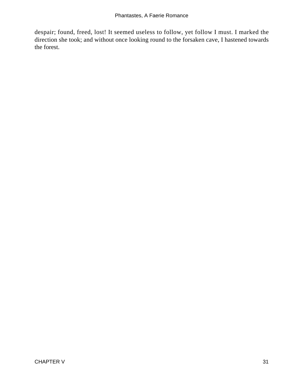despair; found, freed, lost! It seemed useless to follow, yet follow I must. I marked the direction she took; and without once looking round to the forsaken cave, I hastened towards the forest.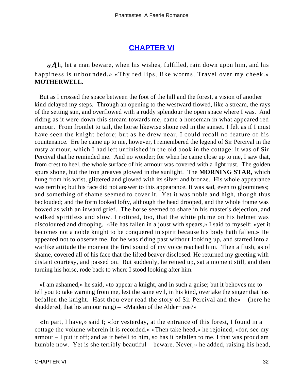## **[CHAPTER VI](#page-142-0)**

*«A*h, let a man beware, when his wishes, fulfilled, rain down upon him, and his happiness is unbounded.» «Thy red lips, like worms, Travel over my cheek.» **MOTHERWELL.**

 But as I crossed the space between the foot of the hill and the forest, a vision of another kind delayed my steps. Through an opening to the westward flowed, like a stream, the rays of the setting sun, and overflowed with a ruddy splendour the open space where I was. And riding as it were down this stream towards me, came a horseman in what appeared red armour. From frontlet to tail, the horse likewise shone red in the sunset. I felt as if I must have seen the knight before; but as he drew near, I could recall no feature of his countenance. Ere he came up to me, however, I remembered the legend of Sir Percival in the rusty armour, which I had left unfinished in the old book in the cottage: it was of Sir Percival that he reminded me. And no wonder; for when he came close up to me, I saw that, from crest to heel, the whole surface of his armour was covered with a light rust. The golden spurs shone, but the iron greaves glowed in the sunlight. The **MORNING STAR,** which hung from his wrist, glittered and glowed with its silver and bronze. His whole appearance was terrible; but his face did not answer to this appearance. It was sad, even to gloominess; and something of shame seemed to cover it. Yet it was noble and high, though thus beclouded; and the form looked lofty, although the head drooped, and the whole frame was bowed as with an inward grief. The horse seemed to share in his master's dejection, and walked spiritless and slow. I noticed, too, that the white plume on his helmet was discoloured and drooping. «He has fallen in a joust with spears,» I said to myself; «yet it becomes not a noble knight to be conquered in spirit because his body hath fallen.» He appeared not to observe me, for he was riding past without looking up, and started into a warlike attitude the moment the first sound of my voice reached him. Then a flush, as of shame, covered all of his face that the lifted beaver disclosed. He returned my greeting with distant courtesy, and passed on. But suddenly, he reined up, sat a moment still, and then turning his horse, rode back to where I stood looking after him.

 «I am ashamed,» he said, «to appear a knight, and in such a guise; but it behoves me to tell you to take warning from me, lest the same evil, in his kind, overtake the singer that has befallen the knight. Hast thou ever read the story of Sir Percival and the» – (here he shuddered, that his armour rang) – «Maiden of the Alder−tree?»

 «In part, I have,» said I; «for yesterday, at the entrance of this forest, I found in a cottage the volume wherein it is recorded.» «Then take heed,» he rejoined; «for, see my armour – I put it off; and as it befell to him, so has it befallen to me. I that was proud am humble now. Yet is she terribly beautiful – beware. Never,» he added, raising his head,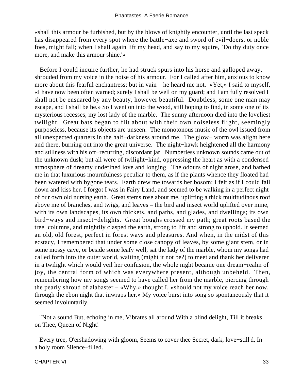«shall this armour be furbished, but by the blows of knightly encounter, until the last speck has disappeared from every spot where the battle−axe and sword of evil−doers, or noble foes, might fall; when I shall again lift my head, and say to my squire, `Do thy duty once more, and make this armour shine.'»

 Before I could inquire further, he had struck spurs into his horse and galloped away, shrouded from my voice in the noise of his armour. For I called after him, anxious to know more about this fearful enchantress; but in vain – he heard me not. «Yet,» I said to myself, «I have now been often warned; surely I shall be well on my guard; and I am fully resolved I shall not be ensnared by any beauty, however beautiful. Doubtless, some one man may escape, and I shall be he.» So I went on into the wood, still hoping to find, in some one of its mysterious recesses, my lost lady of the marble. The sunny afternoon died into the loveliest twilight. Great bats began to flit about with their own noiseless flight, seemingly purposeless, because its objects are unseen. The monotonous music of the owl issued from all unexpected quarters in the half−darkness around me. The glow− worm was alight here and there, burning out into the great universe. The night−hawk heightened all the harmony and stillness with his oft−recurring, discordant jar. Numberless unknown sounds came out of the unknown dusk; but all were of twilight−kind, oppressing the heart as with a condensed atmosphere of dreamy undefined love and longing. The odours of night arose, and bathed me in that luxurious mournfulness peculiar to them, as if the plants whence they floated had been watered with bygone tears. Earth drew me towards her bosom; I felt as if I could fall down and kiss her. I forgot I was in Fairy Land, and seemed to be walking in a perfect night of our own old nursing earth. Great stems rose about me, uplifting a thick multitudinous roof above me of branches, and twigs, and leaves – the bird and insect world uplifted over mine, with its own landscapes, its own thickets, and paths, and glades, and dwellings; its own bird−ways and insect−delights. Great boughs crossed my path; great roots based the tree−columns, and mightily clasped the earth, strong to lift and strong to uphold. It seemed an old, old forest, perfect in forest ways and pleasures. And when, in the midst of this ecstacy, I remembered that under some close canopy of leaves, by some giant stem, or in some mossy cave, or beside some leafy well, sat the lady of the marble, whom my songs had called forth into the outer world, waiting (might it not be?) to meet and thank her deliverer in a twilight which would veil her confusion, the whole night became one dream−realm of joy, the central form of which was everywhere present, although unbeheld. Then, remembering how my songs seemed to have called her from the marble, piercing through the pearly shroud of alabaster – «Why,» thought I, «should not my voice reach her now, through the ebon night that inwraps her.» My voice burst into song so spontaneously that it seemed involuntarily.

 "Not a sound But, echoing in me, Vibrates all around With a blind delight, Till it breaks on Thee, Queen of Night!

 Every tree, O'ershadowing with gloom, Seems to cover thee Secret, dark, love−still'd, In a holy room Silence−filled.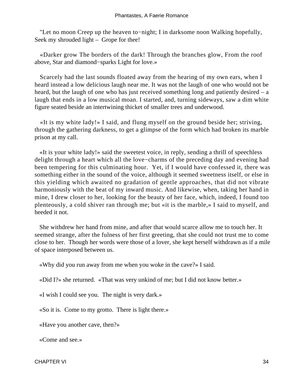"Let no moon Creep up the heaven to−night; I in darksome noon Walking hopefully, Seek my shrouded light – Grope for thee!

 «Darker grow The borders of the dark! Through the branches glow, From the roof above, Star and diamond−sparks Light for love.»

 Scarcely had the last sounds floated away from the hearing of my own ears, when I heard instead a low delicious laugh near me. It was not the laugh of one who would not be heard, but the laugh of one who has just received something long and patiently desired – a laugh that ends in a low musical moan. I started, and, turning sideways, saw a dim white figure seated beside an intertwining thicket of smaller trees and underwood.

 «It is my white lady!» I said, and flung myself on the ground beside her; striving, through the gathering darkness, to get a glimpse of the form which had broken its marble prison at my call.

 «It is your white lady!» said the sweetest voice, in reply, sending a thrill of speechless delight through a heart which all the love−charms of the preceding day and evening had been tempering for this culminating hour. Yet, if I would have confessed it, there was something either in the sound of the voice, although it seemed sweetness itself, or else in this yielding which awaited no gradation of gentle approaches, that did not vibrate harmoniously with the beat of my inward music. And likewise, when, taking her hand in mine, I drew closer to her, looking for the beauty of her face, which, indeed, I found too plenteously, a cold shiver ran through me; but «it is the marble,» I said to myself, and heeded it not.

 She withdrew her hand from mine, and after that would scarce allow me to touch her. It seemed strange, after the fulness of her first greeting, that she could not trust me to come close to her. Though her words were those of a lover, she kept herself withdrawn as if a mile of space interposed between us.

«Why did you run away from me when you woke in the cave?» I said.

«Did I?» she returned. «That was very unkind of me; but I did not know better.»

«I wish I could see you. The night is very dark.»

«So it is. Come to my grotto. There is light there.»

«Have you another cave, then?»

«Come and see.»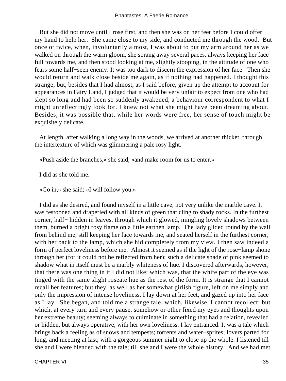But she did not move until I rose first, and then she was on her feet before I could offer my hand to help her. She came close to my side, and conducted me through the wood. But once or twice, when, involuntarily almost, I was about to put my arm around her as we walked on through the warm gloom, she sprang away several paces, always keeping her face full towards me, and then stood looking at me, slightly stooping, in the attitude of one who fears some half−seen enemy. It was too dark to discern the expression of her face. Then she would return and walk close beside me again, as if nothing had happened. I thought this strange; but, besides that I had almost, as I said before, given up the attempt to account for appearances in Fairy Land, I judged that it would be very unfair to expect from one who had slept so long and had been so suddenly awakened, a behaviour correspondent to what I might unreflectingly look for. I knew not what she might have been dreaming about. Besides, it was possible that, while her words were free, her sense of touch might be exquisitely delicate.

 At length, after walking a long way in the woods, we arrived at another thicket, through the intertexture of which was glimmering a pale rosy light.

«Push aside the branches,» she said, «and make room for us to enter.»

I did as she told me.

«Go in,» she said; «I will follow you.»

 I did as she desired, and found myself in a little cave, not very unlike the marble cave. It was festooned and draperied with all kinds of green that cling to shady rocks. In the furthest corner, half− hidden in leaves, through which it glowed, mingling lovely shadows between them, burned a bright rosy flame on a little earthen lamp. The lady glided round by the wall from behind me, still keeping her face towards me, and seated herself in the furthest corner, with her back to the lamp, which she hid completely from my view. I then saw indeed a form of perfect loveliness before me. Almost it seemed as if the light of the rose−lamp shone through her (for it could not be reflected from her); such a delicate shade of pink seemed to shadow what in itself must be a marbly whiteness of hue. I discovered afterwards, however, that there was one thing in it I did not like; which was, that the white part of the eye was tinged with the same slight roseate hue as the rest of the form. It is strange that I cannot recall her features; but they, as well as her somewhat girlish figure, left on me simply and only the impression of intense loveliness. I lay down at her feet, and gazed up into her face as I lay. She began, and told me a strange tale, which, likewise, I cannot recollect; but which, at every turn and every pause, somehow or other fixed my eyes and thoughts upon her extreme beauty; seeming always to culminate in something that had a relation, revealed or hidden, but always operative, with her own loveliness. I lay entranced. It was a tale which brings back a feeling as of snows and tempests; torrents and water−sprites; lovers parted for long, and meeting at last; with a gorgeous summer night to close up the whole. I listened till she and I were blended with the tale; till she and I were the whole history. And we had met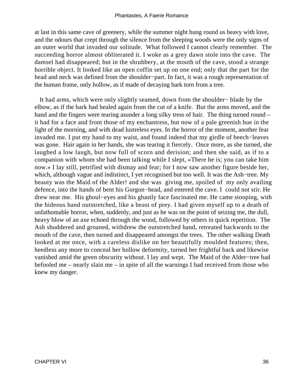at last in this same cave of greenery, while the summer night hung round us heavy with love, and the odours that crept through the silence from the sleeping woods were the only signs of an outer world that invaded our solitude. What followed I cannot clearly remember. The succeeding horror almost obliterated it. I woke as a grey dawn stole into the cave. The damsel had disappeared; but in the shrubbery, at the mouth of the cave, stood a strange horrible object. It looked like an open coffin set up on one end; only that the part for the head and neck was defined from the shoulder−part. In fact, it was a rough representation of the human frame, only hollow, as if made of decaying bark torn from a tree.

 It had arms, which were only slightly seamed, down from the shoulder− blade by the elbow, as if the bark had healed again from the cut of a knife. But the arms moved, and the hand and the fingers were tearing asunder a long silky tress of hair. The thing turned round – it had for a face and front those of my enchantress, but now of a pale greenish hue in the light of the morning, and with dead lustreless eyes. In the horror of the moment, another fear invaded me. I put my hand to my waist, and found indeed that my girdle of beech−leaves was gone. Hair again in her hands, she was tearing it fiercely. Once more, as she turned, she laughed a low laugh, but now full of scorn and derision; and then she said, as if to a companion with whom she had been talking while I slept, «There he is; you can take him now.» I lay still, petrified with dismay and fear; for I now saw another figure beside her, which, although vague and indistinct, I yet recognised but too well. It was the Ash−tree. My beauty was the Maid of the Alder! and she was giving me, spoiled of my only availing defence, into the hands of bent his Gorgon−head, and entered the cave. I could not stir. He drew near me. His ghoul−eyes and his ghastly face fascinated me. He came stooping, with the hideous hand outstretched, like a beast of prey. I had given myself up to a death of unfathomable horror, when, suddenly, and just as he was on the point of seizing me, the dull, heavy blow of an axe echoed through the wood, followed by others in quick repetition. The Ash shuddered and groaned, withdrew the outstretched hand, retreated backwards to the mouth of the cave, then turned and disappeared amongst the trees. The other walking Death looked at me once, with a careless dislike on her beautifully moulded features; then, heedless any more to conceal her hollow deformity, turned her frightful back and likewise vanished amid the green obscurity without. I lay and wept. The Maid of the Alder−tree had befooled me – nearly slain me – in spite of all the warnings I had received from those who knew my danger.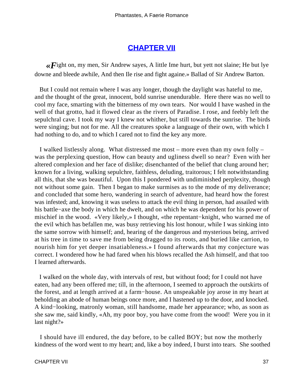# **[CHAPTER VII](#page-142-0)**

*«F*ight on, my men, Sir Andrew sayes, A little Ime hurt, but yett not slaine; He but lye downe and bleede awhile, And then Ile rise and fight againe.» Ballad of Sir Andrew Barton.

 But I could not remain where I was any longer, though the daylight was hateful to me, and the thought of the great, innocent, bold sunrise unendurable. Here there was no well to cool my face, smarting with the bitterness of my own tears. Nor would I have washed in the well of that grotto, had it flowed clear as the rivers of Paradise. I rose, and feebly left the sepulchral cave. I took my way I knew not whither, but still towards the sunrise. The birds were singing; but not for me. All the creatures spoke a language of their own, with which I had nothing to do, and to which I cared not to find the key any more.

 I walked listlessly along. What distressed me most – more even than my own folly – was the perplexing question, How can beauty and ugliness dwell so near? Even with her altered complexion and her face of dislike; disenchanted of the belief that clung around her; known for a living, walking sepulchre, faithless, deluding, traitorous; I felt notwithstanding all this, that she was beautiful. Upon this I pondered with undiminished perplexity, though not without some gain. Then I began to make surmises as to the mode of my deliverance; and concluded that some hero, wandering in search of adventure, had heard how the forest was infested; and, knowing it was useless to attack the evil thing in person, had assailed with his battle−axe the body in which he dwelt, and on which he was dependent for his power of mischief in the wood. «Very likely,» I thought, «the repentant−knight, who warned me of the evil which has befallen me, was busy retrieving his lost honour, while I was sinking into the same sorrow with himself; and, hearing of the dangerous and mysterious being, arrived at his tree in time to save me from being dragged to its roots, and buried like carrion, to nourish him for yet deeper insatiableness.» I found afterwards that my conjecture was correct. I wondered how he had fared when his blows recalled the Ash himself, and that too I learned afterwards.

 I walked on the whole day, with intervals of rest, but without food; for I could not have eaten, had any been offered me; till, in the afternoon, I seemed to approach the outskirts of the forest, and at length arrived at a farm−house. An unspeakable joy arose in my heart at beholding an abode of human beings once more, and I hastened up to the door, and knocked. A kind−looking, matronly woman, still handsome, made her appearance; who, as soon as she saw me, said kindly, «Ah, my poor boy, you have come from the wood! Were you in it last night?»

 I should have ill endured, the day before, to be called BOY; but now the motherly kindness of the word went to my heart; and, like a boy indeed, I burst into tears. She soothed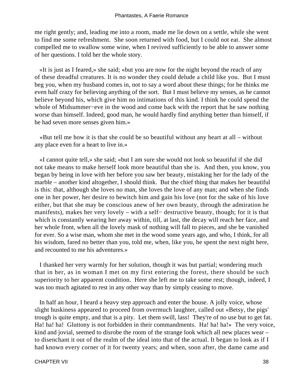me right gently; and, leading me into a room, made me lie down on a settle, while she went to find me some refreshment. She soon returned with food, but I could not eat. She almost compelled me to swallow some wine, when I revived sufficiently to be able to answer some of her questions. I told her the whole story.

 «It is just as I feared,» she said; «but you are now for the night beyond the reach of any of these dreadful creatures. It is no wonder they could delude a child like you. But I must beg you, when my husband comes in, not to say a word about these things; for he thinks me even half crazy for believing anything of the sort. But I must believe my senses, as he cannot believe beyond his, which give him no intimations of this kind. I think he could spend the whole of Midsummer−eve in the wood and come back with the report that he saw nothing worse than himself. Indeed, good man, he would hardly find anything better than himself, if he had seven more senses given him.»

 «But tell me how it is that she could be so beautiful without any heart at all – without any place even for a heart to live in.»

 «I cannot quite tell,» she said; «but I am sure she would not look so beautiful if she did not take means to make herself look more beautiful than she is. And then, you know, you began by being in love with her before you saw her beauty, mistaking her for the lady of the marble – another kind altogether, I should think. But the chief thing that makes her beautiful is this: that, although she loves no man, she loves the love of any man; and when she finds one in her power, her desire to bewitch him and gain his love (not for the sake of his love either, but that she may be conscious anew of her own beauty, through the admiration he manifests), makes her very lovely – with a self− destructive beauty, though; for it is that which is constantly wearing her away within, till, at last, the decay will reach her face, and her whole front, when all the lovely mask of nothing will fall to pieces, and she be vanished for ever. So a wise man, whom she met in the wood some years ago, and who, I think, for all his wisdom, fared no better than you, told me, when, like you, he spent the next night here, and recounted to me his adventures.»

 I thanked her very warmly for her solution, though it was but partial; wondering much that in her, as in woman I met on my first entering the forest, there should be such superiority to her apparent condition. Here she left me to take some rest; though, indeed, I was too much agitated to rest in any other way than by simply ceasing to move.

In half an hour, I heard a heavy step approach and enter the house. A jolly voice, whose slight huskiness appeared to proceed from overmuch laughter, called out «Betsy, the pigs' trough is quite empty, and that is a pity. Let them swill, lass! They're of no use but to get fat. Ha! ha! ha! Gluttony is not forbidden in their commandments. Ha! ha! ha!» The very voice, kind and jovial, seemed to disrobe the room of the strange look which all new places wear – to disenchant it out of the realm of the ideal into that of the actual. It began to look as if I had known every corner of it for twenty years; and when, soon after, the dame came and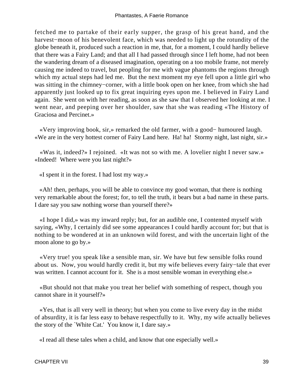fetched me to partake of their early supper, the grasp of his great hand, and the harvest−moon of his benevolent face, which was needed to light up the rotundity of the globe beneath it, produced such a reaction in me, that, for a moment, I could hardly believe that there was a Fairy Land; and that all I had passed through since I left home, had not been the wandering dream of a diseased imagination, operating on a too mobile frame, not merely causing me indeed to travel, but peopling for me with vague phantoms the regions through which my actual steps had led me. But the next moment my eye fell upon a little girl who was sitting in the chimney−corner, with a little book open on her knee, from which she had apparently just looked up to fix great inquiring eyes upon me. I believed in Fairy Land again. She went on with her reading, as soon as she saw that I observed her looking at me. I went near, and peeping over her shoulder, saw that she was reading «The History of Graciosa and Percinet.»

 «Very improving book, sir,» remarked the old farmer, with a good− humoured laugh. «We are in the very hottest corner of Fairy Land here. Ha! ha! Stormy night, last night, sir.»

 «Was it, indeed?» I rejoined. «It was not so with me. A lovelier night I never saw.» «Indeed! Where were you last night?»

«I spent it in the forest. I had lost my way.»

 «Ah! then, perhaps, you will be able to convince my good woman, that there is nothing very remarkable about the forest; for, to tell the truth, it bears but a bad name in these parts. I dare say you saw nothing worse than yourself there?»

 «I hope I did,» was my inward reply; but, for an audible one, I contented myself with saying, «Why, I certainly did see some appearances I could hardly account for; but that is nothing to be wondered at in an unknown wild forest, and with the uncertain light of the moon alone to go by.»

 «Very true! you speak like a sensible man, sir. We have but few sensible folks round about us. Now, you would hardly credit it, but my wife believes every fairy−tale that ever was written. I cannot account for it. She is a most sensible woman in everything else.»

 «But should not that make you treat her belief with something of respect, though you cannot share in it yourself?»

 «Yes, that is all very well in theory; but when you come to live every day in the midst of absurdity, it is far less easy to behave respectfully to it. Why, my wife actually believes the story of the `White Cat.' You know it, I dare say.»

«I read all these tales when a child, and know that one especially well.»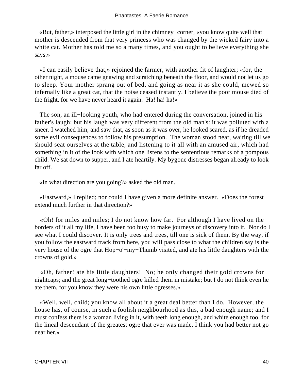«But, father,» interposed the little girl in the chimney−corner, «you know quite well that mother is descended from that very princess who was changed by the wicked fairy into a white cat. Mother has told me so a many times, and you ought to believe everything she says.»

 «I can easily believe that,» rejoined the farmer, with another fit of laughter; «for, the other night, a mouse came gnawing and scratching beneath the floor, and would not let us go to sleep. Your mother sprang out of bed, and going as near it as she could, mewed so infernally like a great cat, that the noise ceased instantly. I believe the poor mouse died of the fright, for we have never heard it again. Ha! ha! ha!»

The son, an ill−looking youth, who had entered during the conversation, joined in his father's laugh; but his laugh was very different from the old man's: it was polluted with a sneer. I watched him, and saw that, as soon as it was over, he looked scared, as if he dreaded some evil consequences to follow his presumption. The woman stood near, waiting till we should seat ourselves at the table, and listening to it all with an amused air, which had something in it of the look with which one listens to the sententious remarks of a pompous child. We sat down to supper, and I ate heartily. My bygone distresses began already to look far off.

«In what direction are you going?» asked the old man.

 «Eastward,» I replied; nor could I have given a more definite answer. «Does the forest extend much further in that direction?»

 «Oh! for miles and miles; I do not know how far. For although I have lived on the borders of it all my life, I have been too busy to make journeys of discovery into it. Nor do I see what I could discover. It is only trees and trees, till one is sick of them. By the way, if you follow the eastward track from here, you will pass close to what the children say is the very house of the ogre that Hop−o'−my−Thumb visited, and ate his little daughters with the crowns of gold.»

 «Oh, father! ate his little daughters! No; he only changed their gold crowns for nightcaps; and the great long−toothed ogre killed them in mistake; but I do not think even he ate them, for you know they were his own little ogresses.»

 «Well, well, child; you know all about it a great deal better than I do. However, the house has, of course, in such a foolish neighbourhood as this, a bad enough name; and I must confess there is a woman living in it, with teeth long enough, and white enough too, for the lineal descendant of the greatest ogre that ever was made. I think you had better not go near her.»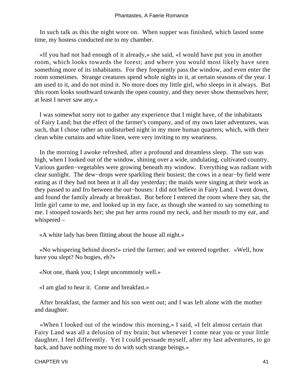In such talk as this the night wore on. When supper was finished, which lasted some time, my hostess conducted me to my chamber.

 «If you had not had enough of it already,» she said, «I would have put you in another room, which looks towards the forest; and where you would most likely have seen something more of its inhabitants. For they frequently pass the window, and even enter the room sometimes. Strange creatures spend whole nights in it, at certain seasons of the year. I am used to it, and do not mind it. No more does my little girl, who sleeps in it always. But this room looks southward towards the open country, and they never show themselves here; at least I never saw any.»

 I was somewhat sorry not to gather any experience that I might have, of the inhabitants of Fairy Land; but the effect of the farmer's company, and of my own later adventures, was such, that I chose rather an undisturbed night in my more human quarters; which, with their clean white curtains and white linen, were very inviting to my weariness.

 In the morning I awoke refreshed, after a profound and dreamless sleep. The sun was high, when I looked out of the window, shining over a wide, undulating, cultivated country. Various garden−vegetables were growing beneath my window. Everything was radiant with clear sunlight. The dew−drops were sparkling their busiest; the cows in a near−by field were eating as if they had not been at it all day yesterday; the maids were singing at their work as they passed to and fro between the out−houses: I did not believe in Fairy Land. I went down, and found the family already at breakfast. But before I entered the room where they sat, the little girl came to me, and looked up in my face, as though she wanted to say something to me. I stooped towards her; she put her arms round my neck, and her mouth to my ear, and whispered –

«A white lady has been flitting about the house all night.»

 «No whispering behind doors!» cried the farmer; and we entered together. «Well, how have you slept? No bogies, eh?»

«Not one, thank you; I slept uncommonly well.»

«I am glad to hear it. Come and breakfast.»

 After breakfast, the farmer and his son went out; and I was left alone with the mother and daughter.

 «When I looked out of the window this morning,» I said, «I felt almost certain that Fairy Land was all a delusion of my brain; but whenever I come near you or your little daughter, I feel differently. Yet I could persuade myself, after my last adventures, to go back, and have nothing more to do with such strange beings.»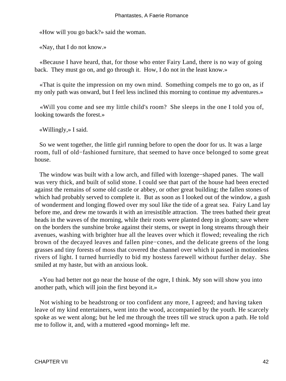«How will you go back?» said the woman.

«Nay, that I do not know.»

 «Because I have heard, that, for those who enter Fairy Land, there is no way of going back. They must go on, and go through it. How, I do not in the least know.»

 «That is quite the impression on my own mind. Something compels me to go on, as if my only path was onward, but I feel less inclined this morning to continue my adventures.»

 «Will you come and see my little child's room? She sleeps in the one I told you of, looking towards the forest.»

«Willingly,» I said.

 So we went together, the little girl running before to open the door for us. It was a large room, full of old−fashioned furniture, that seemed to have once belonged to some great house.

 The window was built with a low arch, and filled with lozenge−shaped panes. The wall was very thick, and built of solid stone. I could see that part of the house had been erected against the remains of some old castle or abbey, or other great building; the fallen stones of which had probably served to complete it. But as soon as I looked out of the window, a gush of wonderment and longing flowed over my soul like the tide of a great sea. Fairy Land lay before me, and drew me towards it with an irresistible attraction. The trees bathed their great heads in the waves of the morning, while their roots were planted deep in gloom; save where on the borders the sunshine broke against their stems, or swept in long streams through their avenues, washing with brighter hue all the leaves over which it flowed; revealing the rich brown of the decayed leaves and fallen pine−cones, and the delicate greens of the long grasses and tiny forests of moss that covered the channel over which it passed in motionless rivers of light. I turned hurriedly to bid my hostess farewell without further delay. She smiled at my haste, but with an anxious look.

 «You had better not go near the house of the ogre, I think. My son will show you into another path, which will join the first beyond it.»

 Not wishing to be headstrong or too confident any more, I agreed; and having taken leave of my kind entertainers, went into the wood, accompanied by the youth. He scarcely spoke as we went along; but he led me through the trees till we struck upon a path. He told me to follow it, and, with a muttered «good morning» left me.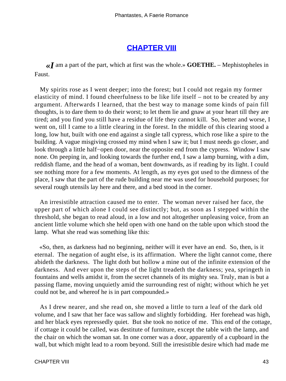## **[CHAPTER VIII](#page-142-0)**

*«I* am a part of the part, which at first was the whole.» **GOETHE.** – Mephistopheles in Faust.

 My spirits rose as I went deeper; into the forest; but I could not regain my former elasticity of mind. I found cheerfulness to be like life itself – not to be created by any argument. Afterwards I learned, that the best way to manage some kinds of pain fill thoughts, is to dare them to do their worst; to let them lie and gnaw at your heart till they are tired; and you find you still have a residue of life they cannot kill. So, better and worse, I went on, till I came to a little clearing in the forest. In the middle of this clearing stood a long, low hut, built with one end against a single tall cypress, which rose like a spire to the building. A vague misgiving crossed my mind when I saw it; but I must needs go closer, and look through a little half−open door, near the opposite end from the cypress. Window I saw none. On peeping in, and looking towards the further end, I saw a lamp burning, with a dim, reddish flame, and the head of a woman, bent downwards, as if reading by its light. I could see nothing more for a few moments. At length, as my eyes got used to the dimness of the place, I saw that the part of the rude building near me was used for household purposes; for several rough utensils lay here and there, and a bed stood in the corner.

 An irresistible attraction caused me to enter. The woman never raised her face, the upper part of which alone I could see distinctly; but, as soon as I stepped within the threshold, she began to read aloud, in a low and not altogether unpleasing voice, from an ancient little volume which she held open with one hand on the table upon which stood the lamp. What she read was something like this:

 «So, then, as darkness had no beginning, neither will it ever have an end. So, then, is it eternal. The negation of aught else, is its affirmation. Where the light cannot come, there abideth the darkness. The light doth but hollow a mine out of the infinite extension of the darkness. And ever upon the steps of the light treadeth the darkness; yea, springeth in fountains and wells amidst it, from the secret channels of its mighty sea. Truly, man is but a passing flame, moving unquietly amid the surrounding rest of night; without which he yet could not be, and whereof he is in part compounded.»

 As I drew nearer, and she read on, she moved a little to turn a leaf of the dark old volume, and I saw that her face was sallow and slightly forbidding. Her forehead was high, and her black eyes repressedly quiet. But she took no notice of me. This end of the cottage, if cottage it could be called, was destitute of furniture, except the table with the lamp, and the chair on which the woman sat. In one corner was a door, apparently of a cupboard in the wall, but which might lead to a room beyond. Still the irresistible desire which had made me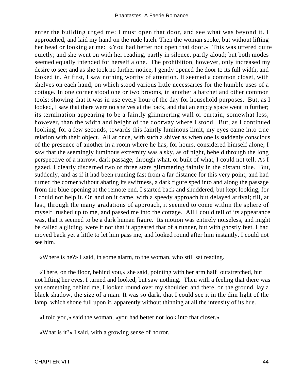enter the building urged me: I must open that door, and see what was beyond it. I approached, and laid my hand on the rude latch. Then the woman spoke, but without lifting her head or looking at me: «You had better not open that door.» This was uttered quite quietly; and she went on with her reading, partly in silence, partly aloud; but both modes seemed equally intended for herself alone. The prohibition, however, only increased my desire to see; and as she took no further notice, I gently opened the door to its full width, and looked in. At first, I saw nothing worthy of attention. It seemed a common closet, with shelves on each hand, on which stood various little necessaries for the humble uses of a cottage. In one corner stood one or two brooms, in another a hatchet and other common tools; showing that it was in use every hour of the day for household purposes. But, as I looked, I saw that there were no shelves at the back, and that an empty space went in further; its termination appearing to be a faintly glimmering wall or curtain, somewhat less, however, than the width and height of the doorway where I stood. But, as I continued looking, for a few seconds, towards this faintly luminous limit, my eyes came into true relation with their object. All at once, with such a shiver as when one is suddenly conscious of the presence of another in a room where he has, for hours, considered himself alone, I saw that the seemingly luminous extremity was a sky, as of night, beheld through the long perspective of a narrow, dark passage, through what, or built of what, I could not tell. As I gazed, I clearly discerned two or three stars glimmering faintly in the distant blue. But, suddenly, and as if it had been running fast from a far distance for this very point, and had turned the corner without abating its swiftness, a dark figure sped into and along the passage from the blue opening at the remote end. I started back and shuddered, but kept looking, for I could not help it. On and on it came, with a speedy approach but delayed arrival; till, at last, through the many gradations of approach, it seemed to come within the sphere of myself, rushed up to me, and passed me into the cottage. All I could tell of its appearance was, that it seemed to be a dark human figure. Its motion was entirely noiseless, and might be called a gliding, were it not that it appeared that of a runner, but with ghostly feet. I had moved back yet a little to let him pass me, and looked round after him instantly. I could not see him.

«Where is he?» I said, in some alarm, to the woman, who still sat reading.

 «There, on the floor, behind you,» she said, pointing with her arm half−outstretched, but not lifting her eyes. I turned and looked, but saw nothing. Then with a feeling that there was yet something behind me, I looked round over my shoulder; and there, on the ground, lay a black shadow, the size of a man. It was so dark, that I could see it in the dim light of the lamp, which shone full upon it, apparently without thinning at all the intensity of its hue.

«I told you,» said the woman, «you had better not look into that closet.»

«What is it?» I said, with a growing sense of horror.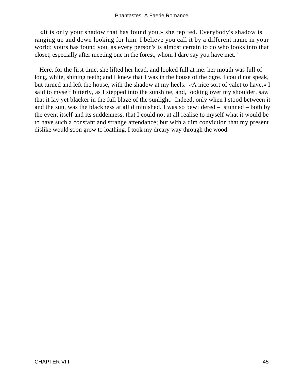«It is only your shadow that has found you,» she replied. Everybody's shadow is ranging up and down looking for him. I believe you call it by a different name in your world: yours has found you, as every person's is almost certain to do who looks into that closet, especially after meeting one in the forest, whom I dare say you have met."

 Here, for the first time, she lifted her head, and looked full at me: her mouth was full of long, white, shining teeth; and I knew that I was in the house of the ogre. I could not speak, but turned and left the house, with the shadow at my heels. «A nice sort of valet to have,» I said to myself bitterly, as I stepped into the sunshine, and, looking over my shoulder, saw that it lay yet blacker in the full blaze of the sunlight. Indeed, only when I stood between it and the sun, was the blackness at all diminished. I was so bewildered – stunned – both by the event itself and its suddenness, that I could not at all realise to myself what it would be to have such a constant and strange attendance; but with a dim conviction that my present dislike would soon grow to loathing, I took my dreary way through the wood.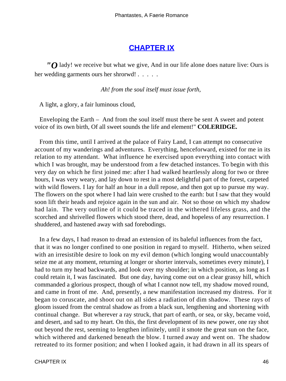## **[CHAPTER IX](#page-142-0)**

*"O* lady! we receive but what we give, And in our life alone does nature live: Ours is her wedding garments ours her shrorwd! . . . . .

*Ah! from the soul itself must issue forth,* 

A light, a glory, a fair luminous cloud,

 Enveloping the Earth – And from the soul itself must there be sent A sweet and potent voice of its own birth, Of all sweet sounds the life and element!" **COLERIDGE.**

 From this time, until I arrived at the palace of Fairy Land, I can attempt no consecutive account of my wanderings and adventures. Everything, henceforward, existed for me in its relation to my attendant. What influence he exercised upon everything into contact with which I was brought, may be understood from a few detached instances. To begin with this very day on which he first joined me: after I had walked heartlessly along for two or three hours, I was very weary, and lay down to rest in a most delightful part of the forest, carpeted with wild flowers. I lay for half an hour in a dull repose, and then got up to pursue my way. The flowers on the spot where I had lain were crushed to the earth: but I saw that they would soon lift their heads and rejoice again in the sun and air. Not so those on which my shadow had lain. The very outline of it could be traced in the withered lifeless grass, and the scorched and shrivelled flowers which stood there, dead, and hopeless of any resurrection. I shuddered, and hastened away with sad forebodings.

 In a few days, I had reason to dread an extension of its baleful influences from the fact, that it was no longer confined to one position in regard to myself. Hitherto, when seized with an irresistible desire to look on my evil demon (which longing would unaccountably seize me at any moment, returning at longer or shorter intervals, sometimes every minute), I had to turn my head backwards, and look over my shoulder; in which position, as long as I could retain it, I was fascinated. But one day, having come out on a clear grassy hill, which commanded a glorious prospect, though of what I cannot now tell, my shadow moved round, and came in front of me. And, presently, a new manifestation increased my distress. For it began to coruscate, and shoot out on all sides a radiation of dim shadow. These rays of gloom issued from the central shadow as from a black sun, lengthening and shortening with continual change. But wherever a ray struck, that part of earth, or sea, or sky, became void, and desert, and sad to my heart. On this, the first development of its new power, one ray shot out beyond the rest, seeming to lengthen infinitely, until it smote the great sun on the face, which withered and darkened beneath the blow. I turned away and went on. The shadow retreated to its former position; and when I looked again, it had drawn in all its spears of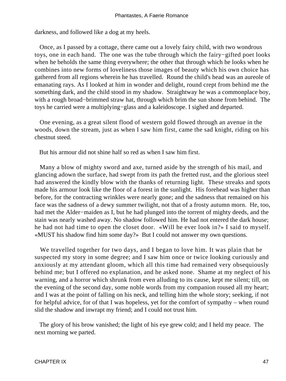darkness, and followed like a dog at my heels.

 Once, as I passed by a cottage, there came out a lovely fairy child, with two wondrous toys, one in each hand. The one was the tube through which the fairy−gifted poet looks when he beholds the same thing everywhere; the other that through which he looks when he combines into new forms of loveliness those images of beauty which his own choice has gathered from all regions wherein he has travelled. Round the child's head was an aureole of emanating rays. As I looked at him in wonder and delight, round crept from behind me the something dark, and the child stood in my shadow. Straightway he was a commonplace boy, with a rough broad−brimmed straw hat, through which brim the sun shone from behind. The toys he carried were a multiplying−glass and a kaleidoscope. I sighed and departed.

 One evening, as a great silent flood of western gold flowed through an avenue in the woods, down the stream, just as when I saw him first, came the sad knight, riding on his chestnut steed.

But his armour did not shine half so red as when I saw him first.

 Many a blow of mighty sword and axe, turned aside by the strength of his mail, and glancing adown the surface, had swept from its path the fretted rust, and the glorious steel had answered the kindly blow with the thanks of returning light. These streaks and spots made his armour look like the floor of a forest in the sunlight. His forehead was higher than before, for the contracting wrinkles were nearly gone; and the sadness that remained on his face was the sadness of a dewy summer twilight, not that of a frosty autumn morn. He, too, had met the Alder−maiden as I, but he had plunged into the torrent of mighty deeds, and the stain was nearly washed away. No shadow followed him. He had not entered the dark house; he had not had time to open the closet door. «Will he ever look in?» I said to myself. «MUST his shadow find him some day?» But I could not answer my own questions.

 We travelled together for two days, and I began to love him. It was plain that he suspected my story in some degree; and I saw him once or twice looking curiously and anxiously at my attendant gloom, which all this time had remained very obsequiously behind me; but I offered no explanation, and he asked none. Shame at my neglect of his warning, and a horror which shrunk from even alluding to its cause, kept me silent; till, on the evening of the second day, some noble words from my companion roused all my heart; and I was at the point of falling on his neck, and telling him the whole story; seeking, if not for helpful advice, for of that I was hopeless, yet for the comfort of sympathy – when round slid the shadow and inwrapt my friend; and I could not trust him.

 The glory of his brow vanished; the light of his eye grew cold; and I held my peace. The next morning we parted.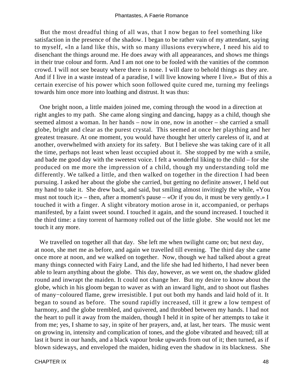But the most dreadful thing of all was, that I now began to feel something like satisfaction in the presence of the shadow. I began to be rather vain of my attendant, saying to myself, «In a land like this, with so many illusions everywhere, I need his aid to disenchant the things around me. He does away with all appearances, and shows me things in their true colour and form. And I am not one to be fooled with the vanities of the common crowd. I will not see beauty where there is none. I will dare to behold things as they are. And if I live in a waste instead of a paradise, I will live knowing where I live.» But of this a certain exercise of his power which soon followed quite cured me, turning my feelings towards him once more into loathing and distrust. It was thus:

 One bright noon, a little maiden joined me, coming through the wood in a direction at right angles to my path. She came along singing and dancing, happy as a child, though she seemed almost a woman. In her hands – now in one, now in another – she carried a small globe, bright and clear as the purest crystal. This seemed at once her plaything and her greatest treasure. At one moment, you would have thought her utterly careless of it, and at another, overwhelmed with anxiety for its safety. But I believe she was taking care of it all the time, perhaps not least when least occupied about it. She stopped by me with a smile, and bade me good day with the sweetest voice. I felt a wonderful liking to the child – for she produced on me more the impression of a child, though my understanding told me differently. We talked a little, and then walked on together in the direction I had been pursuing. I asked her about the globe she carried, but getting no definite answer, I held out my hand to take it. She drew back, and said, but smiling almost invitingly the while, «You must not touch it;» – then, after a moment's pause – «Or if you do, it must be very gently.» I touched it with a finger. A slight vibratory motion arose in it, accompanied, or perhaps manifested, by a faint sweet sound. I touched it again, and the sound increased. I touched it the third time: a tiny torrent of harmony rolled out of the little globe. She would not let me touch it any more.

We travelled on together all that day. She left me when twilight came on; but next day, at noon, she met me as before, and again we travelled till evening. The third day she came once more at noon, and we walked on together. Now, though we had talked about a great many things connected with Fairy Land, and the life she had led hitherto, I had never been able to learn anything about the globe. This day, however, as we went on, the shadow glided round and inwrapt the maiden. It could not change her. But my desire to know about the globe, which in his gloom began to waver as with an inward light, and to shoot out flashes of many−coloured flame, grew irresistible. I put out both my hands and laid hold of it. It began to sound as before. The sound rapidly increased, till it grew a low tempest of harmony, and the globe trembled, and quivered, and throbbed between my hands. I had not the heart to pull it away from the maiden, though I held it in spite of her attempts to take it from me; yes, I shame to say, in spite of her prayers, and, at last, her tears. The music went on growing in, intensity and complication of tones, and the globe vibrated and heaved; till at last it burst in our hands, and a black vapour broke upwards from out of it; then turned, as if blown sideways, and enveloped the maiden, hiding even the shadow in its blackness. She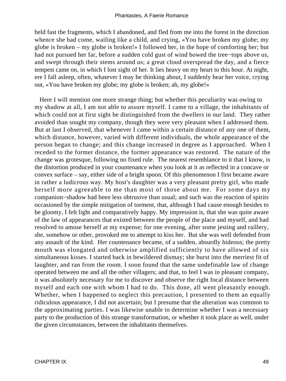held fast the fragments, which I abandoned, and fled from me into the forest in the direction whence she had come, wailing like a child, and crying, «You have broken my globe; my globe is broken – my globe is broken!» I followed her, in the hope of comforting her; but had not pursued her far, before a sudden cold gust of wind bowed the tree−tops above us, and swept through their stems around us; a great cloud overspread the day, and a fierce tempest came on, in which I lost sight of her. It lies heavy on my heart to this hour. At night, ere I fall asleep, often, whatever I may be thinking about, I suddenly hear her voice, crying out, «You have broken my globe; my globe is broken; ah, my globe!»

 Here I will mention one more strange thing; but whether this peculiarity was owing to my shadow at all, I am not able to assure myself. I came to a village, the inhabitants of which could not at first sight be distinguished from the dwellers in our land. They rather avoided than sought my company, though they were very pleasant when I addressed them. But at last I observed, that whenever I came within a certain distance of any one of them, which distance, however, varied with different individuals, the whole appearance of the person began to change; and this change increased in degree as I approached. When I receded to the former distance, the former appearance was restored. The nature of the change was grotesque, following no fixed rule. The nearest resemblance to it that I know, is the distortion produced in your countenance when you look at it as reflected in a concave or convex surface – say, either side of a bright spoon. Of this phenomenon I first became aware in rather a ludicrous way. My host's daughter was a very pleasant pretty girl, who made herself more agreeable to me than most of those about me. For some days my companion−shadow had been less obtrusive than usual; and such was the reaction of spirits occasioned by the simple mitigation of torment, that, although I had cause enough besides to be gloomy, I felt light and comparatively happy. My impression is, that she was quite aware of the law of appearances that existed between the people of the place and myself, and had resolved to amuse herself at my expense; for one evening, after some jesting and raillery, she, somehow or other, provoked me to attempt to kiss her. But she was well defended from any assault of the kind. Her countenance became, of a sudden, absurdly hideous; the pretty mouth was elongated and otherwise amplified sufficiently to have allowed of six simultaneous kisses. I started back in bewildered dismay; she burst into the merriest fit of laughter, and ran from the room. I soon found that the same undefinable law of change operated between me and all the other villagers; and that, to feel I was in pleasant company, it was absolutely necessary for me to discover and observe the right focal distance between myself and each one with whom I had to do. This done, all went pleasantly enough. Whether, when I happened to neglect this precaution, I presented to them an equally ridiculous appearance, I did not ascertain; but I presume that the alteration was common to the approximating parties. I was likewise unable to determine whether I was a necessary party to the production of this strange transformation, or whether it took place as well, under the given circumstances, between the inhabitants themselves.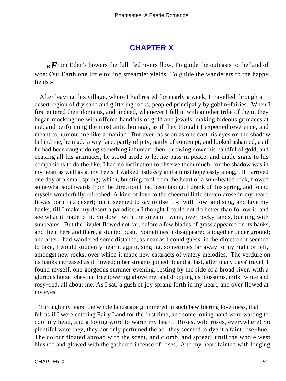# **[CHAPTER X](#page-142-0)**

*«F*rom Eden's bowers the full−fed rivers flow, To guide the outcasts to the land of woe: Our Earth one little toiling streamlet yields. To guide the wanderers to the happy fields.»

 After leaving this village, where I had rested for nearly a week, I travelled through a desert region of dry sand and glittering rocks, peopled principally by goblin−fairies. When I first entered their domains, and, indeed, whenever I fell in with another tribe of them, they began mocking me with offered handfuls of gold and jewels, making hideous grimaces at me, and performing the most antic homage, as if they thought I expected reverence, and meant to humour me like a maniac. But ever, as soon as one cast his eyes on the shadow behind me, he made a wry face, partly of pity, partly of contempt, and looked ashamed, as if he had been caught doing something inhuman; then, throwing down his handful of gold, and ceasing all his grimaces, he stood aside to let me pass in peace, and made signs to his companions to do the like. I had no inclination to observe them much, for the shadow was in my heart as well as at my heels. I walked listlessly and almost hopelessly along, till I arrived one day at a small spring; which, bursting cool from the heart of a sun−heated rock, flowed somewhat southwards from the direction I had been taking. I drank of this spring, and found myself wonderfully refreshed. A kind of love to the cheerful little stream arose in my heart. It was born in a desert; but it seemed to say to itself, «I will flow, and sing, and lave my banks, till I make my desert a paradise.» I thought I could not do better than follow it, and see what it made of it. So down with the stream I went, over rocky lands, burning with sunbeams. But the rivulet flowed not far, before a few blades of grass appeared on its banks, and then, here and there, a stunted bush. Sometimes it disappeared altogether under ground; and after I had wandered some distance, as near as I could guess, in the direction it seemed to take, I would suddenly hear it again, singing, sometimes far away to my right or left, amongst new rocks, over which it made new cataracts of watery melodies. The verdure on its banks increased as it flowed; other streams joined it; and at last, after many days' travel, I found myself, one gorgeous summer evening, resting by the side of a broad river, with a glorious horse−chestnut tree towering above me, and dropping its blossoms, milk−white and rosy−red, all about me. As I sat, a gush of joy sprang forth in my heart, and over flowed at my eyes.

 Through my tears, the whole landscape glimmered in such bewildering loveliness, that I felt as if I were entering Fairy Land for the first time, and some loving hand were waiting to cool my head, and a loving word to warm my heart. Roses, wild roses, everywhere! So plentiful were they, they not only perfumed the air, they seemed to dye it a faint rose−hue. The colour floated abroad with the scent, and clomb, and spread, until the whole west blushed and glowed with the gathered incense of roses. And my heart fainted with longing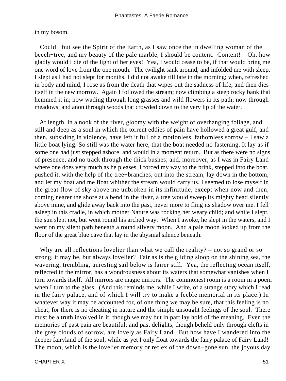in my bosom.

 Could I but see the Spirit of the Earth, as I saw once the in dwelling woman of the beech−tree, and my beauty of the pale marble, I should be content. Content! – Oh, how gladly would I die of the light of her eyes! Yea, I would cease to be, if that would bring me one word of love from the one mouth. The twilight sank around, and infolded me with sleep. I slept as I had not slept for months. I did not awake till late in the morning; when, refreshed in body and mind, I rose as from the death that wipes out the sadness of life, and then dies itself in the new morrow. Again I followed the stream; now climbing a steep rocky bank that hemmed it in; now wading through long grasses and wild flowers in its path; now through meadows; and anon through woods that crowded down to the very lip of the water.

 At length, in a nook of the river, gloomy with the weight of overhanging foliage, and still and deep as a soul in which the torrent eddies of pain have hollowed a great gulf, and then, subsiding in violence, have left it full of a motionless, fathomless sorrow – I saw a little boat lying. So still was the water here, that the boat needed no fastening. It lay as if some one had just stepped ashore, and would in a moment return. But as there were no signs of presence, and no track through the thick bushes; and, moreover, as I was in Fairy Land where one does very much as he pleases, I forced my way to the brink, stepped into the boat, pushed it, with the help of the tree−branches, out into the stream, lay down in the bottom, and let my boat and me float whither the stream would carry us. I seemed to lose myself in the great flow of sky above me unbroken in its infinitude, except when now and then, coming nearer the shore at a bend in the river, a tree would sweep its mighty head silently above mine, and glide away back into the past, never more to fling its shadow over me. I fell asleep in this cradle, in which mother Nature was rocking her weary child; and while I slept, the sun slept not, but went round his arched way. When I awoke, he slept in the waters, and I went on my silent path beneath a round silvery moon. And a pale moon looked up from the floor of the great blue cave that lay in the abysmal silence beneath.

Why are all reflections lovelier than what we call the reality? – not so grand or so strong, it may be, but always lovelier? Fair as is the gliding sloop on the shining sea, the wavering, trembling, unresting sail below is fairer still. Yea, the reflecting ocean itself, reflected in the mirror, has a wondrousness about its waters that somewhat vanishes when I turn towards itself. All mirrors are magic mirrors. The commonest room is a room in a poem when I turn to the glass. (And this reminds me, while I write, of a strange story which I read in the fairy palace, and of which I will try to make a feeble memorial in its place.) In whatever way it may be accounted for, of one thing we may be sure, that this feeling is no cheat; for there is no cheating in nature and the simple unsought feelings of the soul. There must be a truth involved in it, though we may but in part lay hold of the meaning. Even the memories of past pain are beautiful; and past delights, though beheld only through clefts in the grey clouds of sorrow, are lovely as Fairy Land. But how have I wandered into the deeper fairyland of the soul, while as yet I only float towards the fairy palace of Fairy Land! The moon, which is the lovelier memory or reflex of the down−gone sun, the joyous day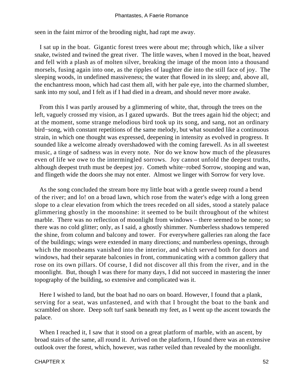seen in the faint mirror of the brooding night, had rapt me away.

 I sat up in the boat. Gigantic forest trees were about me; through which, like a silver snake, twisted and twined the great river. The little waves, when I moved in the boat, heaved and fell with a plash as of molten silver, breaking the image of the moon into a thousand morsels, fusing again into one, as the ripples of laughter die into the still face of joy. The sleeping woods, in undefined massiveness; the water that flowed in its sleep; and, above all, the enchantress moon, which had cast them all, with her pale eye, into the charmed slumber, sank into my soul, and I felt as if I had died in a dream, and should never more awake.

 From this I was partly aroused by a glimmering of white, that, through the trees on the left, vaguely crossed my vision, as I gazed upwards. But the trees again hid the object; and at the moment, some strange melodious bird took up its song, and sang, not an ordinary bird−song, with constant repetitions of the same melody, but what sounded like a continuous strain, in which one thought was expressed, deepening in intensity as evolved in progress. It sounded like a welcome already overshadowed with the coming farewell. As in all sweetest music, a tinge of sadness was in every note. Nor do we know how much of the pleasures even of life we owe to the intermingled sorrows. Joy cannot unfold the deepest truths, although deepest truth must be deepest joy. Cometh white−robed Sorrow, stooping and wan, and flingeth wide the doors she may not enter. Almost we linger with Sorrow for very love.

 As the song concluded the stream bore my little boat with a gentle sweep round a bend of the river; and lo! on a broad lawn, which rose from the water's edge with a long green slope to a clear elevation from which the trees receded on all sides, stood a stately palace glimmering ghostly in the moonshine: it seemed to be built throughout of the whitest marble. There was no reflection of moonlight from windows – there seemed to be none; so there was no cold glitter; only, as I said, a ghostly shimmer. Numberless shadows tempered the shine, from column and balcony and tower. For everywhere galleries ran along the face of the buildings; wings were extended in many directions; and numberless openings, through which the moonbeams vanished into the interior, and which served both for doors and windows, had their separate balconies in front, communicating with a common gallery that rose on its own pillars. Of course, I did not discover all this from the river, and in the moonlight. But, though I was there for many days, I did not succeed in mastering the inner topography of the building, so extensive and complicated was it.

 Here I wished to land, but the boat had no oars on board. However, I found that a plank, serving for a seat, was unfastened, and with that I brought the boat to the bank and scrambled on shore. Deep soft turf sank beneath my feet, as I went up the ascent towards the palace.

When I reached it, I saw that it stood on a great platform of marble, with an ascent, by broad stairs of the same, all round it. Arrived on the platform, I found there was an extensive outlook over the forest, which, however, was rather veiled than revealed by the moonlight.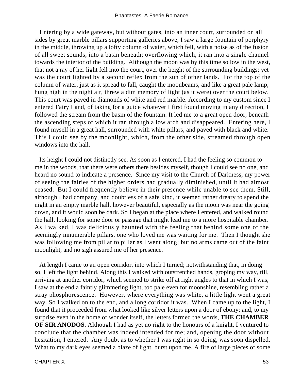Entering by a wide gateway, but without gates, into an inner court, surrounded on all sides by great marble pillars supporting galleries above, I saw a large fountain of porphyry in the middle, throwing up a lofty column of water, which fell, with a noise as of the fusion of all sweet sounds, into a basin beneath; overflowing which, it ran into a single channel towards the interior of the building. Although the moon was by this time so low in the west, that not a ray of her light fell into the court, over the height of the surrounding buildings; yet was the court lighted by a second reflex from the sun of other lands. For the top of the column of water, just as it spread to fall, caught the moonbeams, and like a great pale lamp, hung high in the night air, threw a dim memory of light (as it were) over the court below. This court was paved in diamonds of white and red marble. According to my custom since I entered Fairy Land, of taking for a guide whatever I first found moving in any direction, I followed the stream from the basin of the fountain. It led me to a great open door, beneath the ascending steps of which it ran through a low arch and disappeared. Entering here, I found myself in a great hall, surrounded with white pillars, and paved with black and white. This I could see by the moonlight, which, from the other side, streamed through open windows into the hall.

 Its height I could not distinctly see. As soon as I entered, I had the feeling so common to me in the woods, that there were others there besides myself, though I could see no one, and heard no sound to indicate a presence. Since my visit to the Church of Darkness, my power of seeing the fairies of the higher orders had gradually diminished, until it had almost ceased. But I could frequently believe in their presence while unable to see them. Still, although I had company, and doubtless of a safe kind, it seemed rather dreary to spend the night in an empty marble hall, however beautiful, especially as the moon was near the going down, and it would soon be dark. So I began at the place where I entered, and walked round the hall, looking for some door or passage that might lead me to a more hospitable chamber. As I walked, I was deliciously haunted with the feeling that behind some one of the seemingly innumerable pillars, one who loved me was waiting for me. Then I thought she was following me from pillar to pillar as I went along; but no arms came out of the faint moonlight, and no sigh assured me of her presence.

 At length I came to an open corridor, into which I turned; notwithstanding that, in doing so, I left the light behind. Along this I walked with outstretched hands, groping my way, till, arriving at another corridor, which seemed to strike off at right angles to that in which I was, I saw at the end a faintly glimmering light, too pale even for moonshine, resembling rather a stray phosphorescence. However, where everything was white, a little light went a great way. So I walked on to the end, and a long corridor it was. When I came up to the light, I found that it proceeded from what looked like silver letters upon a door of ebony; and, to my surprise even in the home of wonder itself, the letters formed the words, **THE CHAMBER OF SIR ANODOS.** Although I had as yet no right to the honours of a knight, I ventured to conclude that the chamber was indeed intended for me; and, opening the door without hesitation, I entered. Any doubt as to whether I was right in so doing, was soon dispelled. What to my dark eyes seemed a blaze of light, burst upon me. A fire of large pieces of some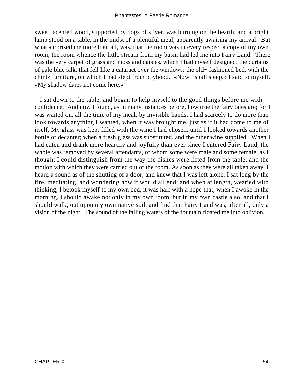sweet−scented wood, supported by dogs of silver, was burning on the hearth, and a bright lamp stood on a table, in the midst of a plentiful meal, apparently awaiting my arrival. But what surprised me more than all, was, that the room was in every respect a copy of my own room, the room whence the little stream from my basin had led me into Fairy Land. There was the very carpet of grass and moss and daisies, which I had myself designed; the curtains of pale blue silk, that fell like a cataract over the windows; the old− fashioned bed, with the chintz furniture, on which I had slept from boyhood. «Now I shall sleep,» I said to myself. «My shadow dares not come here.»

 I sat down to the table, and began to help myself to the good things before me with confidence. And now I found, as in many instances before, how true the fairy tales are; for I was waited on, all the time of my meal, by invisible hands. I had scarcely to do more than look towards anything I wanted, when it was brought me, just as if it had come to me of itself. My glass was kept filled with the wine I had chosen, until I looked towards another bottle or decanter; when a fresh glass was substituted, and the other wine supplied. When I had eaten and drank more heartily and joyfully than ever since I entered Fairy Land, the whole was removed by several attendants, of whom some were male and some female, as I thought I could distinguish from the way the dishes were lifted from the table, and the motion with which they were carried out of the room. As soon as they were all taken away, I heard a sound as of the shutting of a door, and knew that I was left alone. I sat long by the fire, meditating, and wondering how it would all end; and when at length, wearied with thinking, I betook myself to my own bed, it was half with a hope that, when I awoke in the morning, I should awake not only in my own room, but in my own castle also; and that I should walk, out upon my own native soil, and find that Fairy Land was, after all, only a vision of the night. The sound of the falling waters of the fountain floated me into oblivion.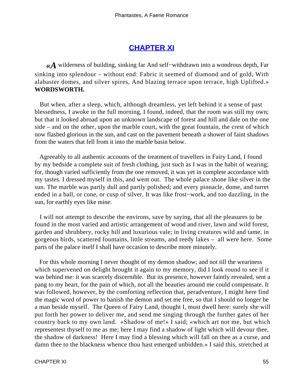## **[CHAPTER XI](#page-142-0)**

*«A* wilderness of building, sinking far And self−withdrawn into a wondrous depth, Far sinking into splendour – without end: Fabric it seemed of diamond and of gold, With alabaster domes, and silver spires, And blazing terrace upon terrace, high Uplifted.» **WORDSWORTH.**

 But when, after a sleep, which, although dreamless, yet left behind it a sense of past blessedness, I awoke in the full morning, I found, indeed, that the room was still my own; but that it looked abroad upon an unknown landscape of forest and hill and dale on the one side – and on the other, upon the marble court, with the great fountain, the crest of which now flashed glorious in the sun, and cast on the pavement beneath a shower of faint shadows from the waters that fell from it into the marble basin below.

 Agreeably to all authentic accounts of the treatment of travellers in Fairy Land, I found by my bedside a complete suit of fresh clothing, just such as I was in the habit of wearing; for, though varied sufficiently from the one removed, it was yet in complete accordance with my tastes. I dressed myself in this, and went out. The whole palace shone like silver in the sun. The marble was partly dull and partly polished; and every pinnacle, dome, and turret ended in a ball, or cone, or cusp of silver. It was like frost−work, and too dazzling, in the sun, for earthly eyes like mine.

 I will not attempt to describe the environs, save by saying, that all the pleasures to be found in the most varied and artistic arrangement of wood and river, lawn and wild forest, garden and shrubbery, rocky hill and luxurious vale; in living creatures wild and tame, in gorgeous birds, scattered fountains, little streams, and reedy lakes – all were here. Some parts of the palace itself I shall have occasion to describe more minutely.

 For this whole morning I never thought of my demon shadow; and not till the weariness which supervened on delight brought it again to my memory, did I look round to see if it was behind me: it was scarcely discernible. But its presence, however faintly revealed, sent a pang to my heart, for the pain of which, not all the beauties around me could compensate. It was followed, however, by the comforting reflection that, peradventure, I might here find the magic word of power to banish the demon and set me free, so that I should no longer be a man beside myself. The Queen of Fairy Land, thought I, must dwell here: surely she will put forth her power to deliver me, and send me singing through the further gates of her country back to my own land. «Shadow of me!» I said; «which art not me, but which representest thyself to me as me; here I may find a shadow of light which will devour thee, the shadow of darkness! Here I may find a blessing which will fall on thee as a curse, and damn thee to the blackness whence thou hast emerged unbidden.» I said this, stretched at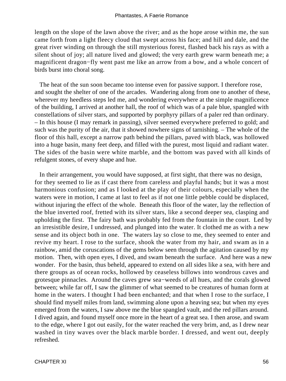length on the slope of the lawn above the river; and as the hope arose within me, the sun came forth from a light fleecy cloud that swept across his face; and hill and dale, and the great river winding on through the still mysterious forest, flashed back his rays as with a silent shout of joy; all nature lived and glowed; the very earth grew warm beneath me; a magnificent dragon−fly went past me like an arrow from a bow, and a whole concert of birds burst into choral song.

 The heat of the sun soon became too intense even for passive support. I therefore rose, and sought the shelter of one of the arcades. Wandering along from one to another of these, wherever my heedless steps led me, and wondering everywhere at the simple magnificence of the building, I arrived at another hall, the roof of which was of a pale blue, spangled with constellations of silver stars, and supported by porphyry pillars of a paler red than ordinary. – In this house (I may remark in passing), silver seemed everywhere preferred to gold; and such was the purity of the air, that it showed nowhere signs of tarnishing. – The whole of the floor of this hall, except a narrow path behind the pillars, paved with black, was hollowed into a huge basin, many feet deep, and filled with the purest, most liquid and radiant water. The sides of the basin were white marble, and the bottom was paved with all kinds of refulgent stones, of every shape and hue.

 In their arrangement, you would have supposed, at first sight, that there was no design, for they seemed to lie as if cast there from careless and playful hands; but it was a most harmonious confusion; and as I looked at the play of their colours, especially when the waters were in motion, I came at last to feel as if not one little pebble could be displaced, without injuring the effect of the whole. Beneath this floor of the water, lay the reflection of the blue inverted roof, fretted with its silver stars, like a second deeper sea, clasping and upholding the first. The fairy bath was probably fed from the fountain in the court. Led by an irresistible desire, I undressed, and plunged into the water. It clothed me as with a new sense and its object both in one. The waters lay so close to me, they seemed to enter and revive my heart. I rose to the surface, shook the water from my hair, and swam as in a rainbow, amid the coruscations of the gems below seen through the agitation caused by my motion. Then, with open eyes, I dived, and swam beneath the surface. And here was a new wonder. For the basin, thus beheld, appeared to extend on all sides like a sea, with here and there groups as of ocean rocks, hollowed by ceaseless billows into wondrous caves and grotesque pinnacles. Around the caves grew sea−weeds of all hues, and the corals glowed between; while far off, I saw the glimmer of what seemed to be creatures of human form at home in the waters. I thought I had been enchanted; and that when I rose to the surface, I should find myself miles from land, swimming alone upon a heaving sea; but when my eyes emerged from the waters, I saw above me the blue spangled vault, and the red pillars around. I dived again, and found myself once more in the heart of a great sea. I then arose, and swam to the edge, where I got out easily, for the water reached the very brim, and, as I drew near washed in tiny waves over the black marble border. I dressed, and went out, deeply refreshed.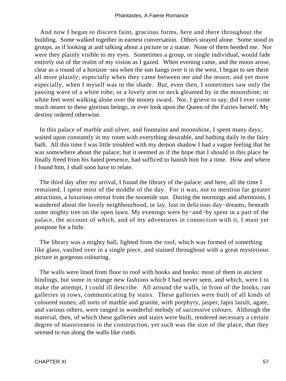And now I began to discern faint, gracious forms, here and there throughout the building. Some walked together in earnest conversation. Others strayed alone. Some stood in groups, as if looking at and talking about a picture or a statue. None of them heeded me. Nor were they plainly visible to my eyes. Sometimes a group, or single individual, would fade entirely out of the realm of my vision as I gazed. When evening came, and the moon arose, clear as a round of a horizon−sea when the sun hangs over it in the west, I began to see them all more plainly; especially when they came between me and the moon; and yet more especially, when I myself was in the shade. But, even then, I sometimes saw only the passing wave of a white robe; or a lovely arm or neck gleamed by in the moonshine; or white feet went walking alone over the moony sward. Nor, I grieve to say, did I ever come much nearer to these glorious beings, or ever look upon the Queen of the Fairies herself. My destiny ordered otherwise.

 In this palace of marble and silver, and fountains and moonshine, I spent many days; waited upon constantly in my room with everything desirable, and bathing daily in the fairy bath. All this time I was little troubled with my demon shadow I had a vague feeling that he was somewhere about the palace; but it seemed as if the hope that I should in this place be finally freed from his hated presence, had sufficed to banish him for a time. How and where I found him, I shall soon have to relate.

 The third day after my arrival, I found the library of the palace; and here, all the time I remained, I spent most of the middle of the day. For it was, not to mention far greater attractions, a luxurious retreat from the noontide sun. During the mornings and afternoons, I wandered about the lovely neighbourhood, or lay, lost in delicious day−dreams, beneath some mighty tree on the open lawn. My evenings were by−and−by spent in a part of the palace, the account of which, and of my adventures in connection with it, I must yet postpone for a little.

 The library was a mighty hall, lighted from the roof, which was formed of something like glass, vaulted over in a single piece, and stained throughout with a great mysterious picture in gorgeous colouring.

 The walls were lined from floor to roof with books and books: most of them in ancient bindings, but some in strange new fashions which I had never seen, and which, were I to make the attempt, I could ill describe. All around the walls, in front of the books, ran galleries in rows, communicating by stairs. These galleries were built of all kinds of coloured stones; all sorts of marble and granite, with porphyry, jasper, lapis lazuli, agate, and various others, were ranged in wonderful melody of successive colours. Although the material, then, of which these galleries and stairs were built, rendered necessary a certain degree of massiveness in the construction, yet such was the size of the place, that they seemed to run along the walls like cords.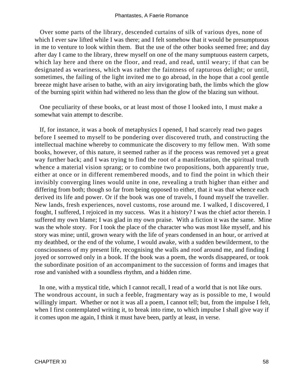Over some parts of the library, descended curtains of silk of various dyes, none of which I ever saw lifted while I was there; and I felt somehow that it would be presumptuous in me to venture to look within them. But the use of the other books seemed free; and day after day I came to the library, threw myself on one of the many sumptuous eastern carpets, which lay here and there on the floor, and read, and read, until weary; if that can be designated as weariness, which was rather the faintness of rapturous delight; or until, sometimes, the failing of the light invited me to go abroad, in the hope that a cool gentle breeze might have arisen to bathe, with an airy invigorating bath, the limbs which the glow of the burning spirit within had withered no less than the glow of the blazing sun without.

 One peculiarity of these books, or at least most of those I looked into, I must make a somewhat vain attempt to describe.

 If, for instance, it was a book of metaphysics I opened, I had scarcely read two pages before I seemed to myself to be pondering over discovered truth, and constructing the intellectual machine whereby to communicate the discovery to my fellow men. With some books, however, of this nature, it seemed rather as if the process was removed yet a great way further back; and I was trying to find the root of a manifestation, the spiritual truth whence a material vision sprang; or to combine two propositions, both apparently true, either at once or in different remembered moods, and to find the point in which their invisibly converging lines would unite in one, revealing a truth higher than either and differing from both; though so far from being opposed to either, that it was that whence each derived its life and power. Or if the book was one of travels, I found myself the traveller. New lands, fresh experiences, novel customs, rose around me. I walked, I discovered, I fought, I suffered, I rejoiced in my success. Was it a history? I was the chief actor therein. I suffered my own blame; I was glad in my own praise. With a fiction it was the same. Mine was the whole story. For I took the place of the character who was most like myself, and his story was mine; until, grown weary with the life of years condensed in an hour, or arrived at my deathbed, or the end of the volume, I would awake, with a sudden bewilderment, to the consciousness of my present life, recognising the walls and roof around me, and finding I joyed or sorrowed only in a book. If the book was a poem, the words disappeared, or took the subordinate position of an accompaniment to the succession of forms and images that rose and vanished with a soundless rhythm, and a hidden rime.

 In one, with a mystical title, which I cannot recall, I read of a world that is not like ours. The wondrous account, in such a feeble, fragmentary way as is possible to me, I would willingly impart. Whether or not it was all a poem, I cannot tell; but, from the impulse I felt, when I first contemplated writing it, to break into rime, to which impulse I shall give way if it comes upon me again, I think it must have been, partly at least, in verse.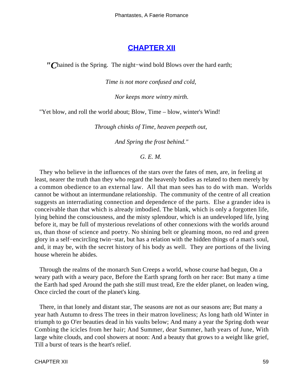## **[CHAPTER XII](#page-142-0)**

*"C*hained is the Spring. The night−wind bold Blows over the hard earth;

*Time is not more confused and cold,* 

*Nor keeps more wintry mirth.*

"Yet blow, and roll the world about; Blow, Time – blow, winter's Wind!

*Through chinks of Time, heaven peepeth out,* 

*And Spring the frost behind."*

#### *G. E. M.*

 They who believe in the influences of the stars over the fates of men, are, in feeling at least, nearer the truth than they who regard the heavenly bodies as related to them merely by a common obedience to an external law. All that man sees has to do with man. Worlds cannot be without an intermundane relationship. The community of the centre of all creation suggests an interradiating connection and dependence of the parts. Else a grander idea is conceivable than that which is already imbodied. The blank, which is only a forgotten life, lying behind the consciousness, and the misty splendour, which is an undeveloped life, lying before it, may be full of mysterious revelations of other connexions with the worlds around us, than those of science and poetry. No shining belt or gleaming moon, no red and green glory in a self−encircling twin−star, but has a relation with the hidden things of a man's soul, and, it may be, with the secret history of his body as well. They are portions of the living house wherein he abides.

 Through the realms of the monarch Sun Creeps a world, whose course had begun, On a weary path with a weary pace, Before the Earth sprang forth on her race: But many a time the Earth had sped Around the path she still must tread, Ere the elder planet, on leaden wing, Once circled the court of the planet's king.

 There, in that lonely and distant star, The seasons are not as our seasons are; But many a year hath Autumn to dress The trees in their matron loveliness; As long hath old Winter in triumph to go O'er beauties dead in his vaults below; And many a year the Spring doth wear Combing the icicles from her hair; And Summer, dear Summer, hath years of June, With large white clouds, and cool showers at noon: And a beauty that grows to a weight like grief, Till a burst of tears is the heart's relief.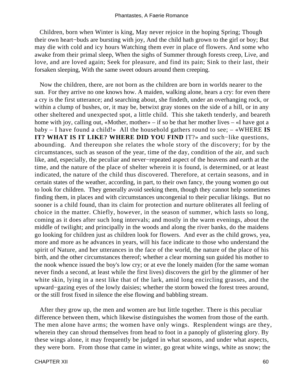Children, born when Winter is king, May never rejoice in the hoping Spring; Though their own heart−buds are bursting with joy, And the child hath grown to the girl or boy; But may die with cold and icy hours Watching them ever in place of flowers. And some who awake from their primal sleep, When the sighs of Summer through forests creep, Live, and love, and are loved again; Seek for pleasure, and find its pain; Sink to their last, their forsaken sleeping, With the same sweet odours around them creeping.

 Now the children, there, are not born as the children are born in worlds nearer to the sun. For they arrive no one knows how. A maiden, walking alone, hears a cry: for even there a cry is the first utterance; and searching about, she findeth, under an overhanging rock, or within a clump of bushes, or, it may be, betwixt gray stones on the side of a hill, or in any other sheltered and unexpected spot, a little child. This she taketh tenderly, and beareth home with joy, calling out, «Mother, mother» – if so be that her mother lives – «I have got a baby – I have found a child!» All the household gathers round to see; – «WHERE **IS IT? WHAT IS IT LIKE? WHERE DID YOU FIND** IT?» and such−like questions, abounding. And thereupon she relates the whole story of the discovery; for by the circumstances, such as season of the year, time of the day, condition of the air, and such like, and, especially, the peculiar and never−repeated aspect of the heavens and earth at the time, and the nature of the place of shelter wherein it is found, is determined, or at least indicated, the nature of the child thus discovered. Therefore, at certain seasons, and in certain states of the weather, according, in part, to their own fancy, the young women go out to look for children. They generally avoid seeking them, though they cannot help sometimes finding them, in places and with circumstances uncongenial to their peculiar likings. But no sooner is a child found, than its claim for protection and nurture obliterates all feeling of choice in the matter. Chiefly, however, in the season of summer, which lasts so long, coming as it does after such long intervals; and mostly in the warm evenings, about the middle of twilight; and principally in the woods and along the river banks, do the maidens go looking for children just as children look for flowers. And ever as the child grows, yea, more and more as he advances in years, will his face indicate to those who understand the spirit of Nature, and her utterances in the face of the world, the nature of the place of his birth, and the other circumstances thereof; whether a clear morning sun guided his mother to the nook whence issued the boy's low cry; or at eve the lonely maiden (for the same woman never finds a second, at least while the first lives) discovers the girl by the glimmer of her white skin, lying in a nest like that of the lark, amid long encircling grasses, and the upward−gazing eyes of the lowly daisies; whether the storm bowed the forest trees around, or the still frost fixed in silence the else flowing and babbling stream.

 After they grow up, the men and women are but little together. There is this peculiar difference between them, which likewise distinguishes the women from those of the earth. The men alone have arms; the women have only wings. Resplendent wings are they, wherein they can shroud themselves from head to foot in a panoply of glistering glory. By these wings alone, it may frequently be judged in what seasons, and under what aspects, they were born. From those that came in winter, go great white wings, white as snow; the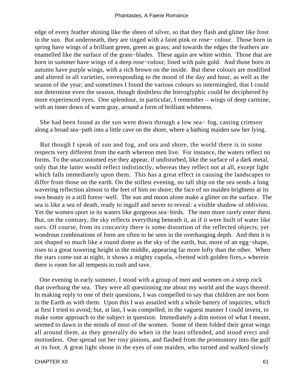edge of every feather shining like the sheen of silver, so that they flash and glitter like frost in the sun. But underneath, they are tinged with a faint pink or rose− colour. Those born in spring have wings of a brilliant green, green as grass; and towards the edges the feathers are enamelled like the surface of the grass−blades. These again are white within. Those that are born in summer have wings of a deep rose−colour, lined with pale gold. And those born in autumn have purple wings, with a rich brown on the inside. But these colours are modified and altered in all varieties, corresponding to the mood of the day and hour, as well as the season of the year; and sometimes I found the various colours so intermingled, that I could not determine even the season, though doubtless the hieroglyphic could be deciphered by more experienced eyes. One splendour, in particular, I remember – wings of deep carmine, with an inner down of warm gray, around a form of brilliant whiteness.

 She had been found as the sun went down through a low sea− fog, casting crimson along a broad sea−path into a little cave on the shore, where a bathing maiden saw her lying.

 But though I speak of sun and fog, and sea and shore, the world there is in some respects very different from the earth whereon men live. For instance, the waters reflect no forms. To the unaccustomed eye they appear, if undisturbed, like the surface of a dark metal, only that the latter would reflect indistinctly, whereas they reflect not at all, except light which falls immediately upon them. This has a great effect in causing the landscapes to differ from those on the earth. On the stillest evening, no tall ship on the sea sends a long wavering reflection almost to the feet of him on shore; the face of no maiden brightens at its own beauty in a still forest−well. The sun and moon alone make a glitter on the surface. The sea is like a sea of death, ready to ingulf and never to reveal: a visible shadow of oblivion. Yet the women sport in its waters like gorgeous sea−birds. The men more rarely enter them. But, on the contrary, the sky reflects everything beneath it, as if it were built of water like ours. Of course, from its concavity there is some distortion of the reflected objects; yet wondrous combinations of form are often to be seen in the overhanging depth. And then it is not shaped so much like a round dome as the sky of the earth, but, more of an egg−shape, rises to a great towering height in the middle, appearing far more lofty than the other. When the stars come out at night, it shows a mighty cupola, «fretted with golden fires,» wherein there is room for all tempests to rush and rave.

 One evening in early summer, I stood with a group of men and women on a steep rock that overhung the sea. They were all questioning me about my world and the ways thereof. In making reply to one of their questions, I was compelled to say that children are not born in the Earth as with them. Upon this I was assailed with a whole battery of inquiries, which at first I tried to avoid; but, at last, I was compelled, in the vaguest manner I could invent, to make some approach to the subject in question. Immediately a dim notion of what I meant, seemed to dawn in the minds of most of the women. Some of them folded their great wings all around them, as they generally do when in the least offended, and stood erect and motionless. One spread out her rosy pinions, and flashed from the promontory into the gulf at its foot. A great light shone in the eyes of one maiden, who turned and walked slowly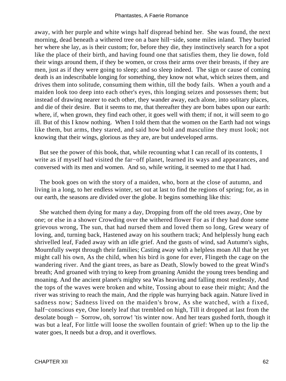away, with her purple and white wings half dispread behind her. She was found, the next morning, dead beneath a withered tree on a bare hill−side, some miles inland. They buried her where she lay, as is their custom; for, before they die, they instinctively search for a spot like the place of their birth, and having found one that satisfies them, they lie down, fold their wings around them, if they be women, or cross their arms over their breasts, if they are men, just as if they were going to sleep; and so sleep indeed. The sign or cause of coming death is an indescribable longing for something, they know not what, which seizes them, and drives them into solitude, consuming them within, till the body fails. When a youth and a maiden look too deep into each other's eyes, this longing seizes and possesses them; but instead of drawing nearer to each other, they wander away, each alone, into solitary places, and die of their desire. But it seems to me, that thereafter they are born babes upon our earth: where, if, when grown, they find each other, it goes well with them; if not, it will seem to go ill. But of this I know nothing. When I told them that the women on the Earth had not wings like them, but arms, they stared, and said how bold and masculine they must look; not knowing that their wings, glorious as they are, are but undeveloped arms.

 But see the power of this book, that, while recounting what I can recall of its contents, I write as if myself had visited the far−off planet, learned its ways and appearances, and conversed with its men and women. And so, while writing, it seemed to me that I had.

 The book goes on with the story of a maiden, who, born at the close of autumn, and living in a long, to her endless winter, set out at last to find the regions of spring; for, as in our earth, the seasons are divided over the globe. It begins something like this:

 She watched them dying for many a day, Dropping from off the old trees away, One by one; or else in a shower Crowding over the withered flower For as if they had done some grievous wrong, The sun, that had nursed them and loved them so long, Grew weary of loving, and, turning back, Hastened away on his southern track; And helplessly hung each shrivelled leaf, Faded away with an idle grief. And the gusts of wind, sad Autumn's sighs, Mournfully swept through their families; Casting away with a helpless moan All that he yet might call his own, As the child, when his bird is gone for ever, Flingeth the cage on the wandering river. And the giant trees, as bare as Death, Slowly bowed to the great Wind's breath; And groaned with trying to keep from groaning Amidst the young trees bending and moaning. And the ancient planet's mighty sea Was heaving and falling most restlessly, And the tops of the waves were broken and white, Tossing about to ease their might; And the river was striving to reach the main, And the ripple was hurrying back again. Nature lived in sadness now; Sadness lived on the maiden's brow, As she watched, with a fixed, half−conscious eye, One lonely leaf that trembled on high, Till it dropped at last from the desolate bough – Sorrow, oh, sorrow! 'tis winter now. And her tears gushed forth, though it was but a leaf, For little will loose the swollen fountain of grief: When up to the lip the water goes, It needs but a drop, and it overflows.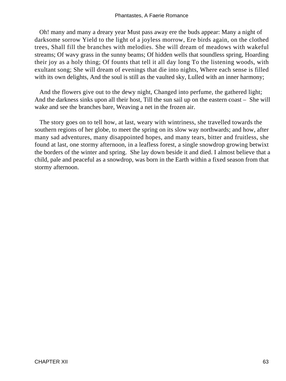Oh! many and many a dreary year Must pass away ere the buds appear: Many a night of darksome sorrow Yield to the light of a joyless morrow, Ere birds again, on the clothed trees, Shall fill the branches with melodies. She will dream of meadows with wakeful streams; Of wavy grass in the sunny beams; Of hidden wells that soundless spring, Hoarding their joy as a holy thing; Of founts that tell it all day long To the listening woods, with exultant song; She will dream of evenings that die into nights, Where each sense is filled with its own delights, And the soul is still as the vaulted sky, Lulled with an inner harmony;

 And the flowers give out to the dewy night, Changed into perfume, the gathered light; And the darkness sinks upon all their host, Till the sun sail up on the eastern coast – She will wake and see the branches bare, Weaving a net in the frozen air.

 The story goes on to tell how, at last, weary with wintriness, she travelled towards the southern regions of her globe, to meet the spring on its slow way northwards; and how, after many sad adventures, many disappointed hopes, and many tears, bitter and fruitless, she found at last, one stormy afternoon, in a leafless forest, a single snowdrop growing betwixt the borders of the winter and spring. She lay down beside it and died. I almost believe that a child, pale and peaceful as a snowdrop, was born in the Earth within a fixed season from that stormy afternoon.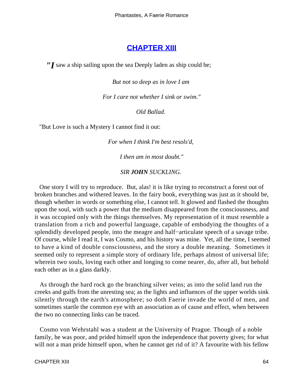#### **[CHAPTER XIII](#page-142-0)**

*"I* saw a ship sailing upon the sea Deeply laden as ship could be;

*But not so deep as in love I am* 

*For I care not whether I sink or swim."*

*Old Ballad.* 

"But Love is such a Mystery I cannot find it out:

*For when I think I'm best resols'd,* 

*I then am in most doubt."*

*SIR JOHN SUCKLING.* 

One story I will try to reproduce. But, alas! it is like trying to reconstruct a forest out of broken branches and withered leaves. In the fairy book, everything was just as it should be, though whether in words or something else, I cannot tell. It glowed and flashed the thoughts upon the soul, with such a power that the medium disappeared from the consciousness, and it was occupied only with the things themselves. My representation of it must resemble a translation from a rich and powerful language, capable of embodying the thoughts of a splendidly developed people, into the meagre and half−articulate speech of a savage tribe. Of course, while I read it, I was Cosmo, and his history was mine. Yet, all the time, I seemed to have a kind of double consciousness, and the story a double meaning. Sometimes it seemed only to represent a simple story of ordinary life, perhaps almost of universal life; wherein two souls, loving each other and longing to come nearer, do, after all, but behold each other as in a glass darkly.

 As through the hard rock go the branching silver veins; as into the solid land run the creeks and gulfs from the unresting sea; as the lights and influences of the upper worlds sink silently through the earth's atmosphere; so doth Faerie invade the world of men, and sometimes startle the common eye with an association as of cause and effect, when between the two no connecting links can be traced.

 Cosmo von Wehrstahl was a student at the University of Prague. Though of a noble family, he was poor, and prided himself upon the independence that poverty gives; for what will not a man pride himself upon, when he cannot get rid of it? A favourite with his fellow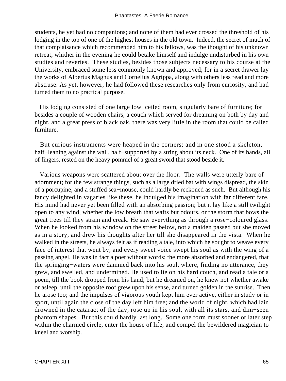students, he yet had no companions; and none of them had ever crossed the threshold of his lodging in the top of one of the highest houses in the old town. Indeed, the secret of much of that complaisance which recommended him to his fellows, was the thought of his unknown retreat, whither in the evening he could betake himself and indulge undisturbed in his own studies and reveries. These studies, besides those subjects necessary to his course at the University, embraced some less commonly known and approved; for in a secret drawer lay the works of Albertus Magnus and Cornelius Agrippa, along with others less read and more abstruse. As yet, however, he had followed these researches only from curiosity, and had turned them to no practical purpose.

 His lodging consisted of one large low−ceiled room, singularly bare of furniture; for besides a couple of wooden chairs, a couch which served for dreaming on both by day and night, and a great press of black oak, there was very little in the room that could be called furniture.

 But curious instruments were heaped in the corners; and in one stood a skeleton, half−leaning against the wall, half−supported by a string about its neck. One of its hands, all of fingers, rested on the heavy pommel of a great sword that stood beside it.

 Various weapons were scattered about over the floor. The walls were utterly bare of adornment; for the few strange things, such as a large dried bat with wings dispread, the skin of a porcupine, and a stuffed sea−mouse, could hardly be reckoned as such. But although his fancy delighted in vagaries like these, he indulged his imagination with far different fare. His mind had never yet been filled with an absorbing passion; but it lay like a still twilight open to any wind, whether the low breath that wafts but odours, or the storm that bows the great trees till they strain and creak. He saw everything as through a rose−coloured glass. When he looked from his window on the street below, not a maiden passed but she moved as in a story, and drew his thoughts after her till she disappeared in the vista. When he walked in the streets, he always felt as if reading a tale, into which he sought to weave every face of interest that went by; and every sweet voice swept his soul as with the wing of a passing angel. He was in fact a poet without words; the more absorbed and endangered, that the springing−waters were dammed back into his soul, where, finding no utterance, they grew, and swelled, and undermined. He used to lie on his hard couch, and read a tale or a poem, till the book dropped from his hand; but he dreamed on, he knew not whether awake or asleep, until the opposite roof grew upon his sense, and turned golden in the sunrise. Then he arose too; and the impulses of vigorous youth kept him ever active, either in study or in sport, until again the close of the day left him free; and the world of night, which had lain drowned in the cataract of the day, rose up in his soul, with all its stars, and dim−seen phantom shapes. But this could hardly last long. Some one form must sooner or later step within the charmed circle, enter the house of life, and compel the bewildered magician to kneel and worship.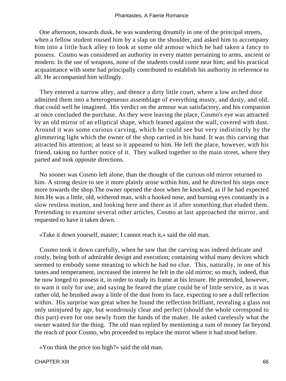One afternoon, towards dusk, he was wandering dreamily in one of the principal streets, when a fellow student roused him by a slap on the shoulder, and asked him to accompany him into a little back alley to look at some old armour which he had taken a fancy to possess. Cosmo was considered an authority in every matter pertaining to arms, ancient or modern. In the use of weapons, none of the students could come near him; and his practical acquaintance with some had principally contributed to establish his authority in reference to all. He accompanied him willingly.

 They entered a narrow alley, and thence a dirty little court, where a low arched door admitted them into a heterogeneous assemblage of everything musty, and dusty, and old, that could well be imagined. His verdict on the armour was satisfactory, and his companion at once concluded the purchase. As they were leaving the place, Cosmo's eye was attracted by an old mirror of an elliptical shape, which leaned against the wall, covered with dust. Around it was some curious carving, which he could see but very indistinctly by the glimmering light which the owner of the shop carried in his hand. It was this carving that attracted his attention; at least so it appeared to him. He left the place, however, with his friend, taking no further notice of it. They walked together to the main street, where they parted and took opposite directions.

 No sooner was Cosmo left alone, than the thought of the curious old mirror returned to him. A strong desire to see it more plainly arose within him, and he directed his steps once more towards the shop.The owner opened the door when he knocked, as if he had expected him.He was a little, old, withered man, with a hooked nose, and burning eyes constantly in a slow restless motion, and looking here and there as if after something that eluded them. Pretending to examine several other articles, Cosmo at last approached the mirror, and requested to have it taken down.

«Take it down yourself, master; I cannot reach it,» said the old man.

 Cosmo took it down carefully, when he saw that the carving was indeed delicate and costly, being both of admirable design and execution; containing withal many devices which seemed to embody some meaning to which he had no clue. This, naturally, in one of his tastes and temperament, increased the interest he felt in the old mirror; so much, indeed, that he now longed to possess it, in order to study its frame at his leisure. He pretended, however, to want it only for use; and saying he feared the plate could be of little service, as it was rather old, he brushed away a little of the dust from its face, expecting to see a dull reflection within. His surprise was great when he found the reflection brilliant, revealing a glass not only uninjured by age, but wondrously clear and perfect (should the whole correspond to this part) even for one newly from the hands of the maker. He asked carelessly what the owner wanted for the thing. The old man replied by mentioning a sum of money far beyond the reach of poor Cosmo, who proceeded to replace the mirror where it had stood before.

«You think the price too high?» said the old man.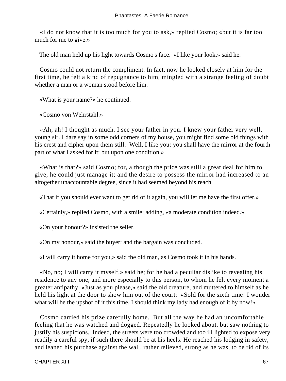«I do not know that it is too much for you to ask,» replied Cosmo; «but it is far too much for me to give.»

The old man held up his light towards Cosmo's face. «I like your look,» said he.

 Cosmo could not return the compliment. In fact, now he looked closely at him for the first time, he felt a kind of repugnance to him, mingled with a strange feeling of doubt whether a man or a woman stood before him.

«What is your name?» he continued.

«Cosmo von Wehrstahl.»

 «Ah, ah! I thought as much. I see your father in you. I knew your father very well, young sir. I dare say in some odd corners of my house, you might find some old things with his crest and cipher upon them still. Well, I like you: you shall have the mirror at the fourth part of what I asked for it; but upon one condition.»

 «What is that?» said Cosmo; for, although the price was still a great deal for him to give, he could just manage it; and the desire to possess the mirror had increased to an altogether unaccountable degree, since it had seemed beyond his reach.

«That if you should ever want to get rid of it again, you will let me have the first offer.»

«Certainly,» replied Cosmo, with a smile; adding, «a moderate condition indeed.»

«On your honour?» insisted the seller.

«On my honour,» said the buyer; and the bargain was concluded.

«I will carry it home for you,» said the old man, as Cosmo took it in his hands.

 «No, no; I will carry it myself,» said he; for he had a peculiar dislike to revealing his residence to any one, and more especially to this person, to whom he felt every moment a greater antipathy. «Just as you please,» said the old creature, and muttered to himself as he held his light at the door to show him out of the court: «Sold for the sixth time! I wonder what will be the upshot of it this time. I should think my lady had enough of it by now!»

 Cosmo carried his prize carefully home. But all the way he had an uncomfortable feeling that he was watched and dogged. Repeatedly he looked about, but saw nothing to justify his suspicions. Indeed, the streets were too crowded and too ill lighted to expose very readily a careful spy, if such there should be at his heels. He reached his lodging in safety, and leaned his purchase against the wall, rather relieved, strong as he was, to be rid of its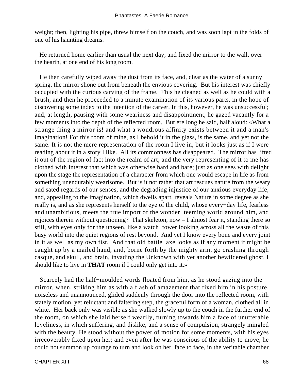weight; then, lighting his pipe, threw himself on the couch, and was soon lapt in the folds of one of his haunting dreams.

 He returned home earlier than usual the next day, and fixed the mirror to the wall, over the hearth, at one end of his long room.

 He then carefully wiped away the dust from its face, and, clear as the water of a sunny spring, the mirror shone out from beneath the envious covering. But his interest was chiefly occupied with the curious carving of the frame. This he cleaned as well as he could with a brush; and then he proceeded to a minute examination of its various parts, in the hope of discovering some index to the intention of the carver. In this, however, he was unsuccessful; and, at length, pausing with some weariness and disappointment, he gazed vacantly for a few moments into the depth of the reflected room. But ere long he said, half aloud: «What a strange thing a mirror is! and what a wondrous affinity exists between it and a man's imagination! For this room of mine, as I behold it in the glass, is the same, and yet not the same. It is not the mere representation of the room I live in, but it looks just as if I were reading about it in a story I like. All its commonness has disappeared. The mirror has lifted it out of the region of fact into the realm of art; and the very representing of it to me has clothed with interest that which was otherwise hard and bare; just as one sees with delight upon the stage the representation of a character from which one would escape in life as from something unendurably wearisome. But is it not rather that art rescues nature from the weary and sated regards of our senses, and the degrading injustice of our anxious everyday life, and, appealing to the imagination, which dwells apart, reveals Nature in some degree as she really is, and as she represents herself to the eye of the child, whose every−day life, fearless and unambitious, meets the true import of the wonder−teeming world around him, and rejoices therein without questioning? That skeleton, now – I almost fear it, standing there so still, with eyes only for the unseen, like a watch−tower looking across all the waste of this busy world into the quiet regions of rest beyond. And yet I know every bone and every joint in it as well as my own fist. And that old battle−axe looks as if any moment it might be caught up by a mailed hand, and, borne forth by the mighty arm, go crashing through casque, and skull, and brain, invading the Unknown with yet another bewildered ghost. I should like to live in **THAT** room if I could only get into it.»

 Scarcely had the half−moulded words floated from him, as he stood gazing into the mirror, when, striking him as with a flash of amazement that fixed him in his posture, noiseless and unannounced, glided suddenly through the door into the reflected room, with stately motion, yet reluctant and faltering step, the graceful form of a woman, clothed all in white. Her back only was visible as she walked slowly up to the couch in the further end of the room, on which she laid herself wearily, turning towards him a face of unutterable loveliness, in which suffering, and dislike, and a sense of compulsion, strangely mingled with the beauty. He stood without the power of motion for some moments, with his eyes irrecoverably fixed upon her; and even after he was conscious of the ability to move, he could not summon up courage to turn and look on her, face to face, in the veritable chamber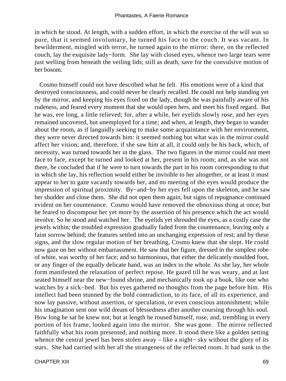in which he stood. At length, with a sudden effort, in which the exercise of the will was so pure, that it seemed involuntary, he turned his face to the couch. It was vacant. In bewilderment, mingled with terror, he turned again to the mirror: there, on the reflected couch, lay the exquisite lady−form. She lay with closed eyes, whence two large tears were just welling from beneath the veiling lids; still as death, save for the convulsive motion of her bosom.

 Cosmo himself could not have described what he felt. His emotions were of a kind that destroyed consciousness, and could never be clearly recalled. He could not help standing yet by the mirror, and keeping his eyes fixed on the lady, though he was painfully aware of his rudeness, and feared every moment that she would open hers, and meet his fixed regard. But he was, ere long, a little relieved; for, after a while, her eyelids slowly rose, and her eyes remained uncovered, but unemployed for a time; and when, at length, they began to wander about the room, as if languidly seeking to make some acquaintance with her environment, they were never directed towards him: it seemed nothing but what was in the mirror could affect her vision; and, therefore, if she saw him at all, it could only be his back, which, of necessity, was turned towards her in the glass. The two figures in the mirror could not meet face to face, except he turned and looked at her, present in his room; and, as she was not there, he concluded that if he were to turn towards the part in his room corresponding to that in which she lay, his reflection would either be invisible to her altogether, or at least it must appear to her to gaze vacantly towards her, and no meeting of the eyes would produce the impression of spiritual proximity. By−and−by her eyes fell upon the skeleton, and he saw her shudder and close them. She did not open them again, but signs of repugnance continued evident on her countenance. Cosmo would have removed the obnoxious thing at once, but he feared to discompose her yet more by the assertion of his presence which the act would involve. So he stood and watched her. The eyelids yet shrouded the eyes, as a costly case the jewels within; the troubled expression gradually faded from the countenance, leaving only a faint sorrow behind; the features settled into an unchanging expression of rest; and by these signs, and the slow regular motion of her breathing, Cosmo knew that she slept. He could now gaze on her without embarrassment. He saw that her figure, dressed in the simplest robe of white, was worthy of her face; and so harmonious, that either the delicately moulded foot, or any finger of the equally delicate hand, was an index to the whole. As she lay, her whole form manifested the relaxation of perfect repose. He gazed till he was weary, and at last seated himself near the new−found shrine, and mechanically took up a book, like one who watches by a sick−bed. But his eyes gathered no thoughts from the page before him. His intellect had been stunned by the bold contradiction, to its face, of all its experience, and now lay passive, without assertion, or speculation, or even conscious astonishment; while his imagination sent one wild dream of blessedness after another coursing through his soul. How long he sat he knew not; but at length he roused himself, rose, and, trembling in every portion of his frame, looked again into the mirror. She was gone. The mirror reflected faithfully what his room presented, and nothing more. It stood there like a golden setting whence the central jewel has been stolen away – like a night− sky without the glory of its stars. She had carried with her all the strangeness of the reflected room. It had sunk to the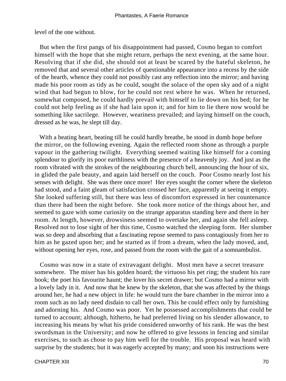level of the one without.

 But when the first pangs of his disappointment had passed, Cosmo began to comfort himself with the hope that she might return, perhaps the next evening, at the same hour. Resolving that if she did, she should not at least be scared by the hateful skeleton, he removed that and several other articles of questionable appearance into a recess by the side of the hearth, whence they could not possibly cast any reflection into the mirror; and having made his poor room as tidy as he could, sought the solace of the open sky and of a night wind that had begun to blow, for he could not rest where he was. When he returned, somewhat composed, he could hardly prevail with himself to lie down on his bed; for he could not help feeling as if she had lain upon it; and for him to lie there now would be something like sacrilege. However, weariness prevailed; and laying himself on the couch, dressed as he was, he slept till day.

 With a beating heart, beating till he could hardly breathe, he stood in dumb hope before the mirror, on the following evening. Again the reflected room shone as through a purple vapour in the gathering twilight. Everything seemed waiting like himself for a coming splendour to glorify its poor earthliness with the presence of a heavenly joy. And just as the room vibrated with the strokes of the neighbouring church bell, announcing the hour of six, in glided the pale beauty, and again laid herself on the couch. Poor Cosmo nearly lost his senses with delight. She was there once more! Her eyes sought the corner where the skeleton had stood, and a faint gleam of satisfaction crossed her face, apparently at seeing it empty. She looked suffering still, but there was less of discomfort expressed in her countenance than there had been the night before. She took more notice of the things about her, and seemed to gaze with some curiosity on the strange apparatus standing here and there in her room. At length, however, drowsiness seemed to overtake her, and again she fell asleep. Resolved not to lose sight of her this time, Cosmo watched the sleeping form. Her slumber was so deep and absorbing that a fascinating repose seemed to pass contagiously from her to him as he gazed upon her; and he started as if from a dream, when the lady moved, and, without opening her eyes, rose, and passed from the room with the gait of a somnambulist.

 Cosmo was now in a state of extravagant delight. Most men have a secret treasure somewhere. The miser has his golden hoard; the virtuoso his pet ring; the student his rare book; the poet his favourite haunt; the lover his secret drawer; but Cosmo had a mirror with a lovely lady in it. And now that he knew by the skeleton, that she was affected by the things around her, he had a new object in life: he would turn the bare chamber in the mirror into a room such as no lady need disdain to call her own. This he could effect only by furnishing and adorning his. And Cosmo was poor. Yet he possessed accomplishments that could be turned to account; although, hitherto, he had preferred living on his slender allowance, to increasing his means by what his pride considered unworthy of his rank. He was the best swordsman in the University; and now he offered to give lessons in fencing and similar exercises, to such as chose to pay him well for the trouble. His proposal was heard with surprise by the students; but it was eagerly accepted by many; and soon his instructions were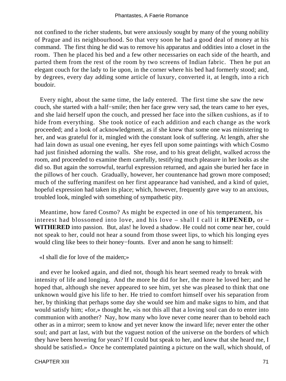not confined to the richer students, but were anxiously sought by many of the young nobility of Prague and its neighbourhood. So that very soon he had a good deal of money at his command. The first thing he did was to remove his apparatus and oddities into a closet in the room. Then he placed his bed and a few other necessaries on each side of the hearth, and parted them from the rest of the room by two screens of Indian fabric. Then he put an elegant couch for the lady to lie upon, in the corner where his bed had formerly stood; and, by degrees, every day adding some article of luxury, converted it, at length, into a rich boudoir.

 Every night, about the same time, the lady entered. The first time she saw the new couch, she started with a half−smile; then her face grew very sad, the tears came to her eyes, and she laid herself upon the couch, and pressed her face into the silken cushions, as if to hide from everything. She took notice of each addition and each change as the work proceeded; and a look of acknowledgment, as if she knew that some one was ministering to her, and was grateful for it, mingled with the constant look of suffering. At length, after she had lain down as usual one evening, her eyes fell upon some paintings with which Cosmo had just finished adorning the walls. She rose, and to his great delight, walked across the room, and proceeded to examine them carefully, testifying much pleasure in her looks as she did so. But again the sorrowful, tearful expression returned, and again she buried her face in the pillows of her couch. Gradually, however, her countenance had grown more composed; much of the suffering manifest on her first appearance had vanished, and a kind of quiet, hopeful expression had taken its place; which, however, frequently gave way to an anxious, troubled look, mingled with something of sympathetic pity.

 Meantime, how fared Cosmo? As might be expected in one of his temperament, his interest had blossomed into love, and his love – shall I call it **RIPENED,** or – **WITHERED** into passion. But, alas! he loved a shadow. He could not come near her, could not speak to her, could not hear a sound from those sweet lips, to which his longing eyes would cling like bees to their honey−founts. Ever and anon he sang to himself:

«I shall die for love of the maiden;»

 and ever he looked again, and died not, though his heart seemed ready to break with intensity of life and longing. And the more he did for her, the more he loved her; and he hoped that, although she never appeared to see him, yet she was pleased to think that one unknown would give his life to her. He tried to comfort himself over his separation from her, by thinking that perhaps some day she would see him and make signs to him, and that would satisfy him; «for,» thought he, «is not this all that a loving soul can do to enter into communion with another? Nay, how many who love never come nearer than to behold each other as in a mirror; seem to know and yet never know the inward life; never enter the other soul; and part at last, with but the vaguest notion of the universe on the borders of which they have been hovering for years? If I could but speak to her, and knew that she heard me, I should be satisfied.» Once he contemplated painting a picture on the wall, which should, of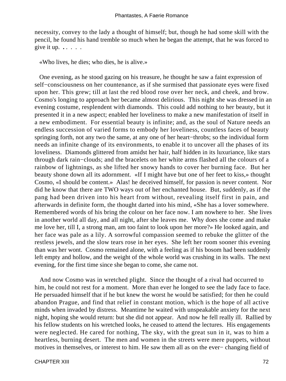necessity, convey to the lady a thought of himself; but, though he had some skill with the pencil, he found his hand tremble so much when he began the attempt, that he was forced to give it up. **.** . . . .

«Who lives, he dies; who dies, he is alive.»

 One evening, as he stood gazing on his treasure, he thought he saw a faint expression of self−consciousness on her countenance, as if she surmised that passionate eyes were fixed upon her. This grew; till at last the red blood rose over her neck, and cheek, and brow. Cosmo's longing to approach her became almost delirious. This night she was dressed in an evening costume, resplendent with diamonds. This could add nothing to her beauty, but it presented it in a new aspect; enabled her loveliness to make a new manifestation of itself in a new embodiment. For essential beauty is infinite; and, as the soul of Nature needs an endless succession of varied forms to embody her loveliness, countless faces of beauty springing forth, not any two the same, at any one of her heart−throbs; so the individual form needs an infinite change of its environments, to enable it to uncover all the phases of its loveliness. Diamonds glittered from amidst her hair, half hidden in its luxuriance, like stars through dark rain−clouds; and the bracelets on her white arms flashed all the colours of a rainbow of lightnings, as she lifted her snowy hands to cover her burning face. But her beauty shone down all its adornment. «If I might have but one of her feet to kiss,» thought Cosmo, «I should be content.» Alas! he deceived himself, for passion is never content. Nor did he know that there are TWO ways out of her enchanted house. But, suddenly, as if the pang had been driven into his heart from without, revealing itself first in pain, and afterwards in definite form, the thought darted into his mind, «She has a lover somewhere. Remembered words of his bring the colour on her face now. I am nowhere to her. She lives in another world all day, and all night, after she leaves me. Why does she come and make me love her, till I, a strong man, am too faint to look upon her more?» He looked again, and her face was pale as a lily. A sorrowful compassion seemed to rebuke the glitter of the restless jewels, and the slow tears rose in her eyes. She left her room sooner this evening than was her wont. Cosmo remained alone, with a feeling as if his bosom had been suddenly left empty and hollow, and the weight of the whole world was crushing in its walls. The next evening, for the first time since she began to come, she came not.

 And now Cosmo was in wretched plight. Since the thought of a rival had occurred to him, he could not rest for a moment. More than ever he longed to see the lady face to face. He persuaded himself that if he but knew the worst he would be satisfied; for then he could abandon Prague, and find that relief in constant motion, which is the hope of all active minds when invaded by distress. Meantime he waited with unspeakable anxiety for the next night, hoping she would return: but she did not appear. And now he fell really ill. Rallied by his fellow students on his wretched looks, he ceased to attend the lectures. His engagements were neglected. He cared for nothing, The sky, with the great sun in it, was to him a heartless, burning desert. The men and women in the streets were mere puppets, without motives in themselves, or interest to him. He saw them all as on the ever− changing field of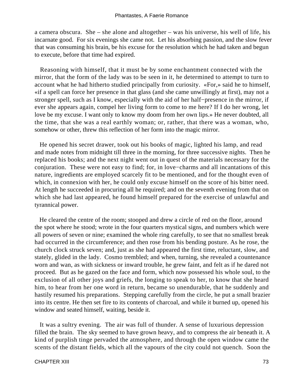a camera obscura. She – she alone and altogether – was his universe, his well of life, his incarnate good. For six evenings she came not. Let his absorbing passion, and the slow fever that was consuming his brain, be his excuse for the resolution which he had taken and begun to execute, before that time had expired.

 Reasoning with himself, that it must be by some enchantment connected with the mirror, that the form of the lady was to be seen in it, he determined to attempt to turn to account what he had hitherto studied principally from curiosity. «For,» said he to himself, «if a spell can force her presence in that glass (and she came unwillingly at first), may not a stronger spell, such as I know, especially with the aid of her half−presence in the mirror, if ever she appears again, compel her living form to come to me here? If I do her wrong, let love be my excuse. I want only to know my doom from her own lips.» He never doubted, all the time, that she was a real earthly woman; or, rather, that there was a woman, who, somehow or other, threw this reflection of her form into the magic mirror.

 He opened his secret drawer, took out his books of magic, lighted his lamp, and read and made notes from midnight till three in the morning, for three successive nights. Then he replaced his books; and the next night went out in quest of the materials necessary for the conjuration. These were not easy to find; for, in love−charms and all incantations of this nature, ingredients are employed scarcely fit to be mentioned, and for the thought even of which, in connexion with her, he could only excuse himself on the score of his bitter need. At length he succeeded in procuring all he required; and on the seventh evening from that on which she had last appeared, he found himself prepared for the exercise of unlawful and tyrannical power.

 He cleared the centre of the room; stooped and drew a circle of red on the floor, around the spot where he stood; wrote in the four quarters mystical signs, and numbers which were all powers of seven or nine; examined the whole ring carefully, to see that no smallest break had occurred in the circumference; and then rose from his bending posture. As he rose, the church clock struck seven; and, just as she had appeared the first time, reluctant, slow, and stately, glided in the lady. Cosmo trembled; and when, turning, she revealed a countenance worn and wan, as with sickness or inward trouble, he grew faint, and felt as if he dared not proceed. But as he gazed on the face and form, which now possessed his whole soul, to the exclusion of all other joys and griefs, the longing to speak to her, to know that she heard him, to hear from her one word in return, became so unendurable, that he suddenly and hastily resumed his preparations. Stepping carefully from the circle, he put a small brazier into its centre. He then set fire to its contents of charcoal, and while it burned up, opened his window and seated himself, waiting, beside it.

 It was a sultry evening. The air was full of thunder. A sense of luxurious depression filled the brain. The sky seemed to have grown heavy, and to compress the air beneath it. A kind of purplish tinge pervaded the atmosphere, and through the open window came the scents of the distant fields, which all the vapours of the city could not quench. Soon the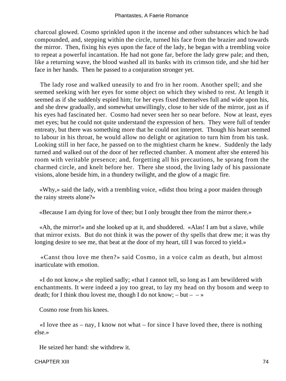charcoal glowed. Cosmo sprinkled upon it the incense and other substances which he had compounded, and, stepping within the circle, turned his face from the brazier and towards the mirror. Then, fixing his eyes upon the face of the lady, he began with a trembling voice to repeat a powerful incantation. He had not gone far, before the lady grew pale; and then, like a returning wave, the blood washed all its banks with its crimson tide, and she hid her face in her hands. Then he passed to a conjuration stronger yet.

 The lady rose and walked uneasily to and fro in her room. Another spell; and she seemed seeking with her eyes for some object on which they wished to rest. At length it seemed as if she suddenly espied him; for her eyes fixed themselves full and wide upon his, and she drew gradually, and somewhat unwillingly, close to her side of the mirror, just as if his eyes had fascinated her. Cosmo had never seen her so near before. Now at least, eyes met eyes; but he could not quite understand the expression of hers. They were full of tender entreaty, but there was something more that he could not interpret. Though his heart seemed to labour in his throat, he would allow no delight or agitation to turn him from his task. Looking still in her face, he passed on to the mightiest charm he knew. Suddenly the lady turned and walked out of the door of her reflected chamber. A moment after she entered his room with veritable presence; and, forgetting all his precautions, he sprang from the charmed circle, and knelt before her. There she stood, the living lady of his passionate visions, alone beside him, in a thundery twilight, and the glow of a magic fire.

 «Why,» said the lady, with a trembling voice, «didst thou bring a poor maiden through the rainy streets alone?»

«Because I am dying for love of thee; but I only brought thee from the mirror there.»

 «Ah, the mirror!» and she looked up at it, and shuddered. «Alas! I am but a slave, while that mirror exists. But do not think it was the power of thy spells that drew me; it was thy longing desire to see me, that beat at the door of my heart, till I was forced to yield.»

 «Canst thou love me then?» said Cosmo, in a voice calm as death, but almost inarticulate with emotion.

 «I do not know,» she replied sadly; «that I cannot tell, so long as I am bewildered with enchantments. It were indeed a joy too great, to lay my head on thy bosom and weep to death; for I think thou lovest me, though I do not know;  $-\text{but} - \rightarrow$ 

Cosmo rose from his knees.

 $\ll$ I love thee as – nay, I know not what – for since I have loved thee, there is nothing else.»

He seized her hand: she withdrew it.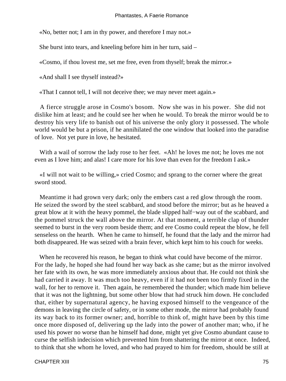«No, better not; I am in thy power, and therefore I may not.»

She burst into tears, and kneeling before him in her turn, said –

«Cosmo, if thou lovest me, set me free, even from thyself; break the mirror.»

«And shall I see thyself instead?»

«That I cannot tell, I will not deceive thee; we may never meet again.»

 A fierce struggle arose in Cosmo's bosom. Now she was in his power. She did not dislike him at least; and he could see her when he would. To break the mirror would be to destroy his very life to banish out of his universe the only glory it possessed. The whole world would be but a prison, if he annihilated the one window that looked into the paradise of love. Not yet pure in love, he hesitated.

With a wail of sorrow the lady rose to her feet. «Ah! he loves me not; he loves me not even as I love him; and alas! I care more for his love than even for the freedom I ask.»

 «I will not wait to be willing,» cried Cosmo; and sprang to the corner where the great sword stood.

 Meantime it had grown very dark; only the embers cast a red glow through the room. He seized the sword by the steel scabbard, and stood before the mirror; but as he heaved a great blow at it with the heavy pommel, the blade slipped half−way out of the scabbard, and the pommel struck the wall above the mirror. At that moment, a terrible clap of thunder seemed to burst in the very room beside them; and ere Cosmo could repeat the blow, he fell senseless on the hearth. When he came to himself, he found that the lady and the mirror had both disappeared. He was seized with a brain fever, which kept him to his couch for weeks.

 When he recovered his reason, he began to think what could have become of the mirror. For the lady, he hoped she had found her way back as she came; but as the mirror involved her fate with its own, he was more immediately anxious about that. He could not think she had carried it away. It was much too heavy, even if it had not been too firmly fixed in the wall, for her to remove it. Then again, he remembered the thunder; which made him believe that it was not the lightning, but some other blow that had struck him down. He concluded that, either by supernatural agency, he having exposed himself to the vengeance of the demons in leaving the circle of safety, or in some other mode, the mirror had probably found its way back to its former owner; and, horrible to think of, might have been by this time once more disposed of, delivering up the lady into the power of another man; who, if he used his power no worse than he himself had done, might yet give Cosmo abundant cause to curse the selfish indecision which prevented him from shattering the mirror at once. Indeed, to think that she whom he loved, and who had prayed to him for freedom, should be still at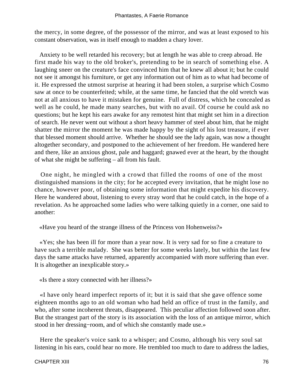the mercy, in some degree, of the possessor of the mirror, and was at least exposed to his constant observation, was in itself enough to madden a chary lover.

 Anxiety to be well retarded his recovery; but at length he was able to creep abroad. He first made his way to the old broker's, pretending to be in search of something else. A laughing sneer on the creature's face convinced him that he knew all about it; but he could not see it amongst his furniture, or get any information out of him as to what had become of it. He expressed the utmost surprise at hearing it had been stolen, a surprise which Cosmo saw at once to be counterfeited; while, at the same time, he fancied that the old wretch was not at all anxious to have it mistaken for genuine. Full of distress, which he concealed as well as he could, he made many searches, but with no avail. Of course he could ask no questions; but he kept his ears awake for any remotest hint that might set him in a direction of search. He never went out without a short heavy hammer of steel about him, that he might shatter the mirror the moment he was made happy by the sight of his lost treasure, if ever that blessed moment should arrive. Whether he should see the lady again, was now a thought altogether secondary, and postponed to the achievement of her freedom. He wandered here and there, like an anxious ghost, pale and haggard; gnawed ever at the heart, by the thought of what she might be suffering – all from his fault.

 One night, he mingled with a crowd that filled the rooms of one of the most distinguished mansions in the city; for he accepted every invitation, that he might lose no chance, however poor, of obtaining some information that might expedite his discovery. Here he wandered about, listening to every stray word that he could catch, in the hope of a revelation. As he approached some ladies who were talking quietly in a corner, one said to another:

«Have you heard of the strange illness of the Princess von Hohenweiss?»

 «Yes; she has been ill for more than a year now. It is very sad for so fine a creature to have such a terrible malady. She was better for some weeks lately, but within the last few days the same attacks have returned, apparently accompanied with more suffering than ever. It is altogether an inexplicable story.»

«Is there a story connected with her illness?»

 «I have only heard imperfect reports of it; but it is said that she gave offence some eighteen months ago to an old woman who had held an office of trust in the family, and who, after some incoherent threats, disappeared. This peculiar affection followed soon after. But the strangest part of the story is its association with the loss of an antique mirror, which stood in her dressing−room, and of which she constantly made use.»

 Here the speaker's voice sank to a whisper; and Cosmo, although his very soul sat listening in his ears, could hear no more. He trembled too much to dare to address the ladies,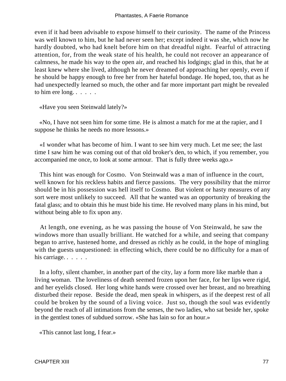even if it had been advisable to expose himself to their curiosity. The name of the Princess was well known to him, but he had never seen her; except indeed it was she, which now he hardly doubted, who had knelt before him on that dreadful night. Fearful of attracting attention, for, from the weak state of his health, he could not recover an appearance of calmness, he made his way to the open air, and reached his lodgings; glad in this, that he at least knew where she lived, although he never dreamed of approaching her openly, even if he should be happy enough to free her from her hateful bondage. He hoped, too, that as he had unexpectedly learned so much, the other and far more important part might be revealed to him ere long. . . . . .

«Have you seen Steinwald lately?»

 «No, I have not seen him for some time. He is almost a match for me at the rapier, and I suppose he thinks he needs no more lessons.»

 «I wonder what has become of him. I want to see him very much. Let me see; the last time I saw him he was coming out of that old broker's den, to which, if you remember, you accompanied me once, to look at some armour. That is fully three weeks ago.»

 This hint was enough for Cosmo. Von Steinwald was a man of influence in the court, well known for his reckless habits and fierce passions. The very possibility that the mirror should be in his possession was hell itself to Cosmo. But violent or hasty measures of any sort were most unlikely to succeed. All that he wanted was an opportunity of breaking the fatal glass; and to obtain this he must bide his time. He revolved many plans in his mind, but without being able to fix upon any.

 At length, one evening, as he was passing the house of Von Steinwald, he saw the windows more than usually brilliant. He watched for a while, and seeing that company began to arrive, hastened home, and dressed as richly as he could, in the hope of mingling with the guests unquestioned: in effecting which, there could be no difficulty for a man of his carriage. . . . . .

 In a lofty, silent chamber, in another part of the city, lay a form more like marble than a living woman. The loveliness of death seemed frozen upon her face, for her lips were rigid, and her eyelids closed. Her long white hands were crossed over her breast, and no breathing disturbed their repose. Beside the dead, men speak in whispers, as if the deepest rest of all could be broken by the sound of a living voice. Just so, though the soul was evidently beyond the reach of all intimations from the senses, the two ladies, who sat beside her, spoke in the gentlest tones of subdued sorrow. «She has lain so for an hour.»

«This cannot last long, I fear.»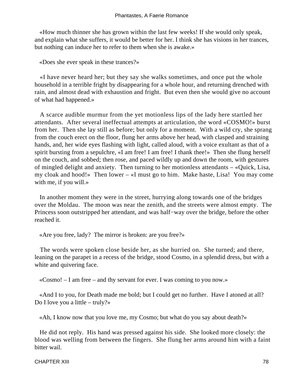«How much thinner she has grown within the last few weeks! If she would only speak, and explain what she suffers, it would be better for her. I think she has visions in her trances, but nothing can induce her to refer to them when she is awake.»

«Does she ever speak in these trances?»

 «I have never heard her; but they say she walks sometimes, and once put the whole household in a terrible fright by disappearing for a whole hour, and returning drenched with rain, and almost dead with exhaustion and fright. But even then she would give no account of what had happened.»

 A scarce audible murmur from the yet motionless lips of the lady here startled her attendants. After several ineffectual attempts at articulation, the word «COSMO!» burst from her. Then she lay still as before; but only for a moment. With a wild cry, she sprang from the couch erect on the floor, flung her arms above her head, with clasped and straining hands, and, her wide eyes flashing with light, called aloud, with a voice exultant as that of a spirit bursting from a sepulchre, «I am free! I am free! I thank thee!» Then she flung herself on the couch, and sobbed; then rose, and paced wildly up and down the room, with gestures of mingled delight and anxiety. Then turning to her motionless attendants – «Quick, Lisa, my cloak and hood!» Then lower – «I must go to him. Make haste, Lisa! You may come with me, if you will.»

 In another moment they were in the street, hurrying along towards one of the bridges over the Moldau. The moon was near the zenith, and the streets were almost empty. The Princess soon outstripped her attendant, and was half−way over the bridge, before the other reached it.

«Are you free, lady? The mirror is broken: are you free?»

 The words were spoken close beside her, as she hurried on. She turned; and there, leaning on the parapet in a recess of the bridge, stood Cosmo, in a splendid dress, but with a white and quivering face.

«Cosmo! – I am free – and thy servant for ever. I was coming to you now.»

 «And I to you, for Death made me bold; but I could get no further. Have I atoned at all? Do I love you a little – truly?»

«Ah, I know now that you love me, my Cosmo; but what do you say about death?»

 He did not reply. His hand was pressed against his side. She looked more closely: the blood was welling from between the fingers. She flung her arms around him with a faint bitter wail.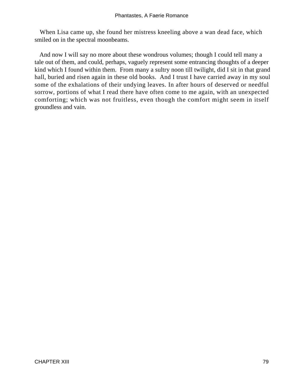When Lisa came up, she found her mistress kneeling above a wan dead face, which smiled on in the spectral moonbeams.

 And now I will say no more about these wondrous volumes; though I could tell many a tale out of them, and could, perhaps, vaguely represent some entrancing thoughts of a deeper kind which I found within them. From many a sultry noon till twilight, did I sit in that grand hall, buried and risen again in these old books. And I trust I have carried away in my soul some of the exhalations of their undying leaves. In after hours of deserved or needful sorrow, portions of what I read there have often come to me again, with an unexpected comforting; which was not fruitless, even though the comfort might seem in itself groundless and vain.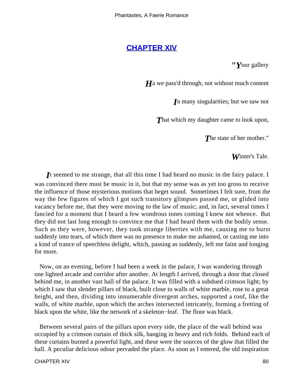# **[CHAPTER XIV](#page-142-0)**

*"Y*our gallery

*H*<sub>a</sub> we pass'd through, not without much content

*I*n many singularities; but we saw not

**That which my daughter came to look upon,** 

*T*he state of her mother."

*W*inter's Tale.

*I*t seemed to me strange, that all this time I had heard no music in the fairy palace. I was convinced there must be music in it, but that my sense was as yet too gross to receive the influence of those mysterious motions that beget sound. Sometimes I felt sure, from the way the few figures of which I got such transitory glimpses passed me, or glided into vacancy before me, that they were moving to the law of music; and, in fact, several times I fancied for a moment that I heard a few wondrous tones coming I knew not whence. But they did not last long enough to convince me that I had heard them with the bodily sense. Such as they were, however, they took strange liberties with me, causing me to burst suddenly into tears, of which there was no presence to make me ashamed, or casting me into a kind of trance of speechless delight, which, passing as suddenly, left me faint and longing for more.

 Now, on an evening, before I had been a week in the palace, I was wandering through one lighted arcade and corridor after another. At length I arrived, through a door that closed behind me, in another vast hall of the palace. It was filled with a subdued crimson light; by which I saw that slender pillars of black, built close to walls of white marble, rose to a great height, and then, dividing into innumerable divergent arches, supported a roof, like the walls, of white marble, upon which the arches intersected intricately, forming a fretting of black upon the white, like the network of a skeleton−leaf. The floor was black.

 Between several pairs of the pillars upon every side, the place of the wall behind was occupied by a crimson curtain of thick silk, hanging in heavy and rich folds. Behind each of these curtains burned a powerful light, and these were the sources of the glow that filled the hall. A peculiar delicious odour pervaded the place. As soon as I entered, the old inspiration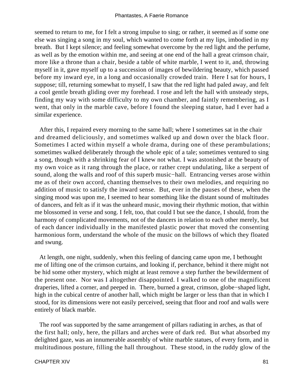seemed to return to me, for I felt a strong impulse to sing; or rather, it seemed as if some one else was singing a song in my soul, which wanted to come forth at my lips, imbodied in my breath. But I kept silence; and feeling somewhat overcome by the red light and the perfume, as well as by the emotion within me, and seeing at one end of the hall a great crimson chair, more like a throne than a chair, beside a table of white marble, I went to it, and, throwing myself in it, gave myself up to a succession of images of bewildering beauty, which passed before my inward eye, in a long and occasionally crowded train. Here I sat for hours, I suppose; till, returning somewhat to myself, I saw that the red light had paled away, and felt a cool gentle breath gliding over my forehead. I rose and left the hall with unsteady steps, finding my way with some difficulty to my own chamber, and faintly remembering, as I went, that only in the marble cave, before I found the sleeping statue, had I ever had a similar experience.

 After this, I repaired every morning to the same hall; where I sometimes sat in the chair and dreamed deliciously, and sometimes walked up and down over the black floor. Sometimes I acted within myself a whole drama, during one of these perambulations; sometimes walked deliberately through the whole epic of a tale; sometimes ventured to sing a song, though with a shrinking fear of I knew not what. I was astonished at the beauty of my own voice as it rang through the place, or rather crept undulating, like a serpent of sound, along the walls and roof of this superb music−hall. Entrancing verses arose within me as of their own accord, chanting themselves to their own melodies, and requiring no addition of music to satisfy the inward sense. But, ever in the pauses of these, when the singing mood was upon me, I seemed to hear something like the distant sound of multitudes of dancers, and felt as if it was the unheard music, moving their rhythmic motion, that within me blossomed in verse and song. I felt, too, that could I but see the dance, I should, from the harmony of complicated movements, not of the dancers in relation to each other merely, but of each dancer individually in the manifested plastic power that moved the consenting harmonious form, understand the whole of the music on the billows of which they floated and swung.

 At length, one night, suddenly, when this feeling of dancing came upon me, I bethought me of lifting one of the crimson curtains, and looking if, perchance, behind it there might not be hid some other mystery, which might at least remove a step further the bewilderment of the present one. Nor was I altogether disappointed. I walked to one of the magnificent draperies, lifted a corner, and peeped in. There, burned a great, crimson, globe−shaped light, high in the cubical centre of another hall, which might be larger or less than that in which I stood, for its dimensions were not easily perceived, seeing that floor and roof and walls were entirely of black marble.

 The roof was supported by the same arrangement of pillars radiating in arches, as that of the first hall; only, here, the pillars and arches were of dark red. But what absorbed my delighted gaze, was an innumerable assembly of white marble statues, of every form, and in multitudinous posture, filling the hall throughout. These stood, in the ruddy glow of the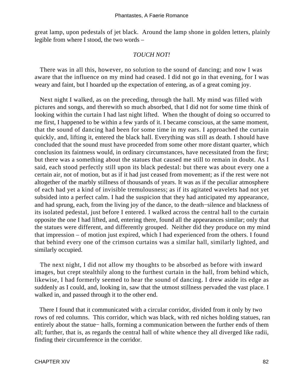great lamp, upon pedestals of jet black. Around the lamp shone in golden letters, plainly legible from where I stood, the two words –

#### *TOUCH NOT!*

 There was in all this, however, no solution to the sound of dancing; and now I was aware that the influence on my mind had ceased. I did not go in that evening, for I was weary and faint, but I hoarded up the expectation of entering, as of a great coming joy.

 Next night I walked, as on the preceding, through the hall. My mind was filled with pictures and songs, and therewith so much absorbed, that I did not for some time think of looking within the curtain I had last night lifted. When the thought of doing so occurred to me first, I happened to be within a few yards of it. I became conscious, at the same moment, that the sound of dancing had been for some time in my ears. I approached the curtain quickly, and, lifting it, entered the black hall. Everything was still as death. I should have concluded that the sound must have proceeded from some other more distant quarter, which conclusion its faintness would, in ordinary circumstances, have necessitated from the first; but there was a something about the statues that caused me still to remain in doubt. As I said, each stood perfectly still upon its black pedestal: but there was about every one a certain air, not of motion, but as if it had just ceased from movement; as if the rest were not altogether of the marbly stillness of thousands of years. It was as if the peculiar atmosphere of each had yet a kind of invisible tremulousness; as if its agitated wavelets had not yet subsided into a perfect calm. I had the suspicion that they had anticipated my appearance, and had sprung, each, from the living joy of the dance, to the death−silence and blackness of its isolated pedestal, just before I entered. I walked across the central hall to the curtain opposite the one I had lifted, and, entering there, found all the appearances similar; only that the statues were different, and differently grouped. Neither did they produce on my mind that impression – of motion just expired, which I had experienced from the others. I found that behind every one of the crimson curtains was a similar hall, similarly lighted, and similarly occupied.

 The next night, I did not allow my thoughts to be absorbed as before with inward images, but crept stealthily along to the furthest curtain in the hall, from behind which, likewise, I had formerly seemed to hear the sound of dancing. I drew aside its edge as suddenly as I could, and, looking in, saw that the utmost stillness pervaded the vast place. I walked in, and passed through it to the other end.

 There I found that it communicated with a circular corridor, divided from it only by two rows of red columns. This corridor, which was black, with red niches holding statues, ran entirely about the statue− halls, forming a communication between the further ends of them all; further, that is, as regards the central hall of white whence they all diverged like radii, finding their circumference in the corridor.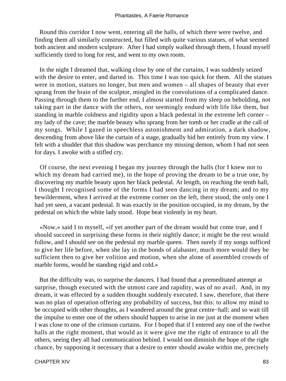Round this corridor I now went, entering all the halls, of which there were twelve, and finding them all similarly constructed, but filled with quite various statues, of what seemed both ancient and modern sculpture. After I had simply walked through them, I found myself sufficiently tired to long for rest, and went to my own room.

 In the night I dreamed that, walking close by one of the curtains, I was suddenly seized with the desire to enter, and darted in. This time I was too quick for them. All the statues were in motion, statues no longer, but men and women – all shapes of beauty that ever sprang from the brain of the sculptor, mingled in the convolutions of a complicated dance. Passing through them to the further end, I almost started from my sleep on beholding, not taking part in the dance with the others, nor seemingly endued with life like them, but standing in marble coldness and rigidity upon a black pedestal in the extreme left corner – my lady of the cave; the marble beauty who sprang from her tomb or her cradle at the call of my songs. While I gazed in speechless astonishment and admiration, a dark shadow, descending from above like the curtain of a stage, gradually hid her entirely from my view. I felt with a shudder that this shadow was perchance my missing demon, whom I had not seen for days. I awoke with a stifled cry.

 Of course, the next evening I began my journey through the halls (for I knew not to which my dream had carried me), in the hope of proving the dream to be a true one, by discovering my marble beauty upon her black pedestal. At length, on reaching the tenth hall, I thought I recognised some of the forms I had seen dancing in my dream; and to my bewilderment, when I arrived at the extreme corner on the left, there stood, the only one I had yet seen, a vacant pedestal. It was exactly in the position occupied, in my dream, by the pedestal on which the white lady stood. Hope beat violently in my heart.

 «Now,» said I to myself, «if yet another part of the dream would but come true, and I should succeed in surprising these forms in their nightly dance; it might be the rest would follow, and I should see on the pedestal my marble queen. Then surely if my songs sufficed to give her life before, when she lay in the bonds of alabaster, much more would they be sufficient then to give her volition and motion, when she alone of assembled crowds of marble forms, would be standing rigid and cold.»

 But the difficulty was, to surprise the dancers. I had found that a premeditated attempt at surprise, though executed with the utmost care and rapidity, was of no avail. And, in my dream, it was effected by a sudden thought suddenly executed. I saw, therefore, that there was no plan of operation offering any probability of success, but this: to allow my mind to be occupied with other thoughts, as I wandered around the great centre−hall; and so wait till the impulse to enter one of the others should happen to arise in me just at the moment when I was close to one of the crimson curtains. For I hoped that if I entered any one of the twelve halls at the right moment, that would as it were give me the right of entrance to all the others, seeing they all had communication behind. I would not diminish the hope of the right chance, by supposing it necessary that a desire to enter should awake within me, precisely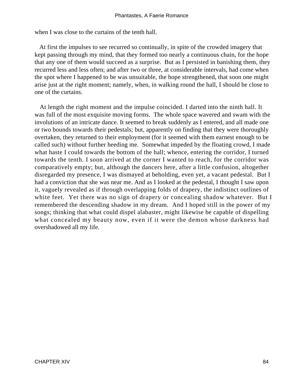when I was close to the curtains of the tenth hall.

 At first the impulses to see recurred so continually, in spite of the crowded imagery that kept passing through my mind, that they formed too nearly a continuous chain, for the hope that any one of them would succeed as a surprise. But as I persisted in banishing them, they recurred less and less often; and after two or three, at considerable intervals, had come when the spot where I happened to be was unsuitable, the hope strengthened, that soon one might arise just at the right moment; namely, when, in walking round the hall, I should be close to one of the curtains.

 At length the right moment and the impulse coincided. I darted into the ninth hall. It was full of the most exquisite moving forms. The whole space wavered and swam with the involutions of an intricate dance. It seemed to break suddenly as I entered, and all made one or two bounds towards their pedestals; but, apparently on finding that they were thoroughly overtaken, they returned to their employment (for it seemed with them earnest enough to be called such) without further heeding me. Somewhat impeded by the floating crowd, I made what haste I could towards the bottom of the hall; whence, entering the corridor, I turned towards the tenth. I soon arrived at the corner I wanted to reach, for the corridor was comparatively empty; but, although the dancers here, after a little confusion, altogether disregarded my presence, I was dismayed at beholding, even yet, a vacant pedestal. But I had a conviction that she was near me. And as I looked at the pedestal, I thought I saw upon it, vaguely revealed as if through overlapping folds of drapery, the indistinct outlines of white feet. Yet there was no sign of drapery or concealing shadow whatever. But I remembered the descending shadow in my dream. And I hoped still in the power of my songs; thinking that what could dispel alabaster, might likewise be capable of dispelling what concealed my beauty now, even if it were the demon whose darkness had overshadowed all my life.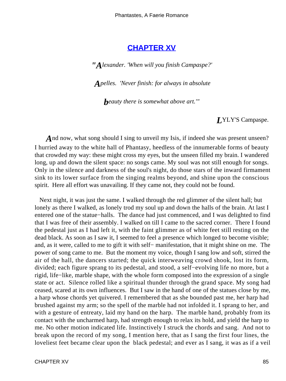## **[CHAPTER XV](#page-142-0)**

*"Alexander. 'When will you finish Campaspe?'*

*Apelles. 'Never finish: for always in absolute*

*beauty there is somewhat above art.'"*

## *L*YLY'S Campaspe.

*A*nd now, what song should I sing to unveil my Isis, if indeed she was present unseen? I hurried away to the white hall of Phantasy, heedless of the innumerable forms of beauty that crowded my way: these might cross my eyes, but the unseen filled my brain. I wandered long, up and down the silent space: no songs came. My soul was not still enough for songs. Only in the silence and darkness of the soul's night, do those stars of the inward firmament sink to its lower surface from the singing realms beyond, and shine upon the conscious spirit. Here all effort was unavailing. If they came not, they could not be found.

 Next night, it was just the same. I walked through the red glimmer of the silent hall; but lonely as there I walked, as lonely trod my soul up and down the halls of the brain. At last I entered one of the statue−halls. The dance had just commenced, and I was delighted to find that I was free of their assembly. I walked on till I came to the sacred corner. There I found the pedestal just as I had left it, with the faint glimmer as of white feet still resting on the dead black. As soon as I saw it, I seemed to feel a presence which longed to become visible; and, as it were, called to me to gift it with self− manifestation, that it might shine on me. The power of song came to me. But the moment my voice, though I sang low and soft, stirred the air of the hall, the dancers started; the quick interweaving crowd shook, lost its form, divided; each figure sprang to its pedestal, and stood, a self−evolving life no more, but a rigid, life−like, marble shape, with the whole form composed into the expression of a single state or act. Silence rolled like a spiritual thunder through the grand space. My song had ceased, scared at its own influences. But I saw in the hand of one of the statues close by me, a harp whose chords yet quivered. I remembered that as she bounded past me, her harp had brushed against my arm; so the spell of the marble had not infolded it. I sprang to her, and with a gesture of entreaty, laid my hand on the harp. The marble hand, probably from its contact with the uncharmed harp, had strength enough to relax its hold, and yield the harp to me. No other motion indicated life. Instinctively I struck the chords and sang. And not to break upon the record of my song, I mention here, that as I sang the first four lines, the loveliest feet became clear upon the black pedestal; and ever as I sang, it was as if a veil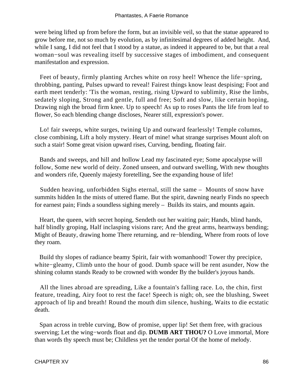were being lifted up from before the form, but an invisible veil, so that the statue appeared to grow before me, not so much by evolution, as by infinitesimal degrees of added height. And, while I sang, I did not feel that I stood by a statue, as indeed it appeared to be, but that a real woman−soul was revealing itself by successive stages of imbodiment, and consequent manifestatlon and expression.

 Feet of beauty, firmly planting Arches white on rosy heel! Whence the life−spring, throbbing, panting, Pulses upward to reveal! Fairest things know least despising; Foot and earth meet tenderly: 'Tis the woman, resting, rising Upward to sublimity, Rise the limbs, sedately sloping, Strong and gentle, full and free; Soft and slow, like certain hoping, Drawing nigh the broad firm knee. Up to speech! As up to roses Pants the life from leaf to flower, So each blending change discloses, Nearer still, expression's power.

 Lo! fair sweeps, white surges, twining Up and outward fearlessly! Temple columns, close combining, Lift a holy mystery. Heart of mine! what strange surprises Mount aloft on such a stair! Some great vision upward rises, Curving, bending, floating fair.

 Bands and sweeps, and hill and hollow Lead my fascinated eye; Some apocalypse will follow, Some new world of deity. Zoned unseen, and outward swelling, With new thoughts and wonders rife, Queenly majesty foretelling, See the expanding house of life!

 Sudden heaving, unforbidden Sighs eternal, still the same – Mounts of snow have summits hidden In the mists of uttered flame. But the spirit, dawning nearly Finds no speech for earnest pain; Finds a soundless sighing merely – Builds its stairs, and mounts again.

 Heart, the queen, with secret hoping, Sendeth out her waiting pair; Hands, blind hands, half blindly groping, Half inclasping visions rare; And the great arms, heartways bending; Might of Beauty, drawing home There returning, and re−blending, Where from roots of love they roam.

 Build thy slopes of radiance beamy Spirit, fair with womanhood! Tower thy precipice, white−gleamy, Climb unto the hour of good. Dumb space will be rent asunder, Now the shining column stands Ready to be crowned with wonder By the builder's joyous hands.

 All the lines abroad are spreading, Like a fountain's falling race. Lo, the chin, first feature, treading, Airy foot to rest the face! Speech is nigh; oh, see the blushing, Sweet approach of lip and breath! Round the mouth dim silence, hushing, Waits to die ecstatic death.

 Span across in treble curving, Bow of promise, upper lip! Set them free, with gracious swerving; Let the wing−words float and dip. **DUMB ART THOU?** O Love immortal, More than words thy speech must be; Childless yet the tender portal Of the home of melody.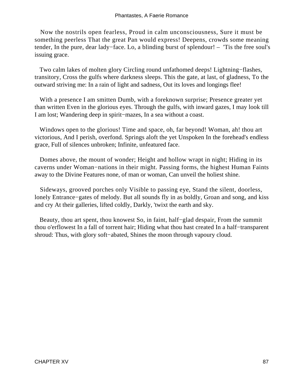Now the nostrils open fearless, Proud in calm unconsciousness, Sure it must be something peerless That the great Pan would express! Deepens, crowds some meaning tender, In the pure, dear lady−face. Lo, a blinding burst of splendour! – 'Tis the free soul's issuing grace.

 Two calm lakes of molten glory Circling round unfathomed deeps! Lightning−flashes, transitory, Cross the gulfs where darkness sleeps. This the gate, at last, of gladness, To the outward striving me: In a rain of light and sadness, Out its loves and longings flee!

 With a presence I am smitten Dumb, with a foreknown surprise; Presence greater yet than written Even in the glorious eyes. Through the gulfs, with inward gazes, I may look till I am lost; Wandering deep in spirit−mazes, In a sea without a coast.

Windows open to the glorious! Time and space, oh, far beyond! Woman, ah! thou art victorious, And I perish, overfond. Springs aloft the yet Unspoken In the forehead's endless grace, Full of silences unbroken; Infinite, unfeatured face.

 Domes above, the mount of wonder; Height and hollow wrapt in night; Hiding in its caverns under Woman−nations in their might. Passing forms, the highest Human Faints away to the Divine Features none, of man or woman, Can unveil the holiest shine.

 Sideways, grooved porches only Visible to passing eye, Stand the silent, doorless, lonely Entrance−gates of melody. But all sounds fly in as boldly, Groan and song, and kiss and cry At their galleries, lifted coldly, Darkly, 'twixt the earth and sky.

 Beauty, thou art spent, thou knowest So, in faint, half−glad despair, From the summit thou o'erflowest In a fall of torrent hair; Hiding what thou hast created In a half−transparent shroud: Thus, with glory soft−abated, Shines the moon through vapoury cloud.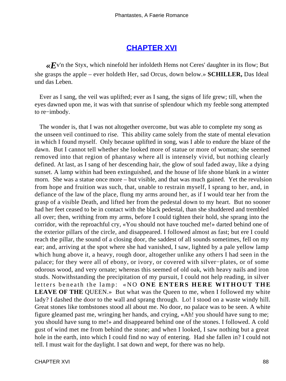# **[CHAPTER XVI](#page-142-0)**

 $\ll E$ <sup>v'n</sup> the Styx, which ninefold her infoldeth Hems not Ceres' daughter in its flow; But she grasps the apple – ever holdeth Her, sad Orcus, down below.» **SCHILLER,** Das Ideal und das Leben.

 Ever as I sang, the veil was uplifted; ever as I sang, the signs of life grew; till, when the eyes dawned upon me, it was with that sunrise of splendour which my feeble song attempted to re−imbody.

 The wonder is, that I was not altogether overcome, but was able to complete my song as the unseen veil continued to rise. This ability came solely from the state of mental elevation in which I found myself. Only because uplifted in song, was I able to endure the blaze of the dawn. But I cannot tell whether she looked more of statue or more of woman; she seemed removed into that region of phantasy where all is intensely vivid, but nothing clearly defined. At last, as I sang of her descending hair, the glow of soul faded away, like a dying sunset. A lamp within had been extinguished, and the house of life shone blank in a winter morn. She was a statue once more – but visible, and that was much gained. Yet the revulsion from hope and fruition was such, that, unable to restrain myself, I sprang to her, and, in defiance of the law of the place, flung my arms around her, as if I would tear her from the grasp of a visible Death, and lifted her from the pedestal down to my heart. But no sooner had her feet ceased to be in contact with the black pedestal, than she shuddered and trembled all over; then, writhing from my arms, before I could tighten their hold, she sprang into the corridor, with the reproachful cry, «You should not have touched me!» darted behind one of the exterior pillars of the circle, and disappeared. I followed almost as fast; but ere I could reach the pillar, the sound of a closing door, the saddest of all sounds sometimes, fell on my ear; and, arriving at the spot where she had vanished, I saw, lighted by a pale yellow lamp which hung above it, a heavy, rough door, altogether unlike any others I had seen in the palace; for they were all of ebony, or ivory, or covered with silver−plates, or of some odorous wood, and very ornate; whereas this seemed of old oak, with heavy nails and iron studs. Notwithstanding the precipitation of my pursuit, I could not help reading, in silver letters beneath the lamp: «NO **ONE ENTERS HERE WITHOUT THE LEAVE OF THE** QUEEN.» But what was the Queen to me, when I followed my white lady? I dashed the door to the wall and sprang through. Lo! I stood on a waste windy hill. Great stones like tombstones stood all about me. No door, no palace was to be seen. A white figure gleamed past me, wringing her hands, and crying, «Ah! you should have sung to me; you should have sung to me!» and disappeared behind one of the stones. I followed. A cold gust of wind met me from behind the stone; and when I looked, I saw nothing but a great hole in the earth, into which I could find no way of entering. Had she fallen in? I could not tell. I must wait for the daylight. I sat down and wept, for there was no help.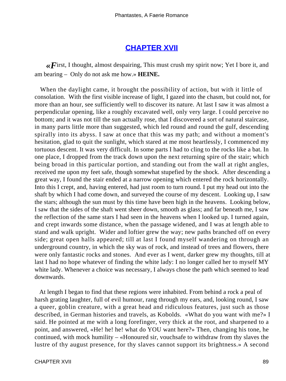# **[CHAPTER XVII](#page-142-0)**

 $\ll$  First, I thought, almost despairing, This must crush my spirit now; Yet I bore it, and am bearing – Only do not ask me how.» **HEINE.**

 When the daylight came, it brought the possibility of action, but with it little of consolation. With the first visible increase of light, I gazed into the chasm, but could not, for more than an hour, see sufficiently well to discover its nature. At last I saw it was almost a perpendicular opening, like a roughly excavated well, only very large. I could perceive no bottom; and it was not till the sun actually rose, that I discovered a sort of natural staircase, in many parts little more than suggested, which led round and round the gulf, descending spirally into its abyss. I saw at once that this was my path; and without a moment's hesitation, glad to quit the sunlight, which stared at me most heartlessly, I commenced my tortuous descent. It was very difficult. In some parts I had to cling to the rocks like a bat. In one place, I dropped from the track down upon the next returning spire of the stair; which being broad in this particular portion, and standing out from the wall at right angles, received me upon my feet safe, though somewhat stupefied by the shock. After descending a great way, I found the stair ended at a narrow opening which entered the rock horizontally. Into this I crept, and, having entered, had just room to turn round. I put my head out into the shaft by which I had come down, and surveyed the course of my descent. Looking up, I saw the stars; although the sun must by this time have been high in the heavens. Looking below, I saw that the sides of the shaft went sheer down, smooth as glass; and far beneath me, I saw the reflection of the same stars I had seen in the heavens when I looked up. I turned again, and crept inwards some distance, when the passage widened, and I was at length able to stand and walk upright. Wider and loftier grew the way; new paths branched off on every side; great open halls appeared; till at last I found myself wandering on through an underground country, in which the sky was of rock, and instead of trees and flowers, there were only fantastic rocks and stones. And ever as I went, darker grew my thoughts, till at last I had no hope whatever of finding the white lady: I no longer called her to myself MY white lady. Whenever a choice was necessary, I always chose the path which seemed to lead downwards.

 At length I began to find that these regions were inhabited. From behind a rock a peal of harsh grating laughter, full of evil humour, rang through my ears, and, looking round, I saw a queer, goblin creature, with a great head and ridiculous features, just such as those described, in German histories and travels, as Kobolds. «What do you want with me?» I said. He pointed at me with a long forefinger, very thick at the root, and sharpened to a point, and answered, «He! he! he! what do YOU want here?» Then, changing his tone, he continued, with mock humility – «Honoured sir, vouchsafe to withdraw from thy slaves the lustre of thy august presence, for thy slaves cannot support its brightness.» A second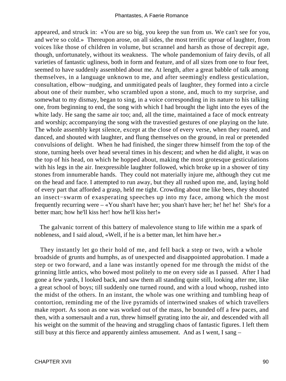appeared, and struck in: «You are so big, you keep the sun from us. We can't see for you, and we're so cold.» Thereupon arose, on all sides, the most terrific uproar of laughter, from voices like those of children in volume, but scrannel and harsh as those of decrepit age, though, unfortunately, without its weakness. The whole pandemonium of fairy devils, of all varieties of fantastic ugliness, both in form and feature, and of all sizes from one to four feet, seemed to have suddenly assembled about me. At length, after a great babble of talk among themselves, in a language unknown to me, and after seemingly endless gesticulation, consultation, elbow−nudging, and unmitigated peals of laughter, they formed into a circle about one of their number, who scrambled upon a stone, and, much to my surprise, and somewhat to my dismay, began to sing, in a voice corresponding in its nature to his talking one, from beginning to end, the song with which I had brought the light into the eyes of the white lady. He sang the same air too; and, all the time, maintained a face of mock entreaty and worship; accompanying the song with the travestied gestures of one playing on the lute. The whole assembly kept silence, except at the close of every verse, when they roared, and danced, and shouted with laughter, and flung themselves on the ground, in real or pretended convulsions of delight. When he had finished, the singer threw himself from the top of the stone, turning heels over head several times in his descent; and when he did alight, it was on the top of his head, on which he hopped about, making the most grotesque gesticulations with his legs in the air. Inexpressible laughter followed, which broke up in a shower of tiny stones from innumerable hands. They could not materially injure me, although they cut me on the head and face. I attempted to run away, but they all rushed upon me, and, laying hold of every part that afforded a grasp, held me tight. Crowding about me like bees, they shouted an insect−swarm of exasperating speeches up into my face, among which the most frequently recurring were – «You shan't have her; you shan't have her; he! he! he! She's for a better man; how he'll kiss her! how he'll kiss her!»

 The galvanic torrent of this battery of malevolence stung to life within me a spark of nobleness, and I said aloud, «Well, if he is a better man, let him have her.»

 They instantly let go their hold of me, and fell back a step or two, with a whole broadside of grunts and humphs, as of unexpected and disappointed approbation. I made a step or two forward, and a lane was instantly opened for me through the midst of the grinning little antics, who bowed most politely to me on every side as I passed. After I had gone a few yards, I looked back, and saw them all standing quite still, looking after me, like a great school of boys; till suddenly one turned round, and with a loud whoop, rushed into the midst of the others. In an instant, the whole was one writhing and tumbling heap of contortion, reminding me of the live pyramids of intertwined snakes of which travellers make report. As soon as one was worked out of the mass, he bounded off a few paces, and then, with a somersault and a run, threw himself gyrating into the air, and descended with all his weight on the summit of the heaving and struggling chaos of fantastic figures. I left them still busy at this fierce and apparently aimless amusement. And as I went, I sang –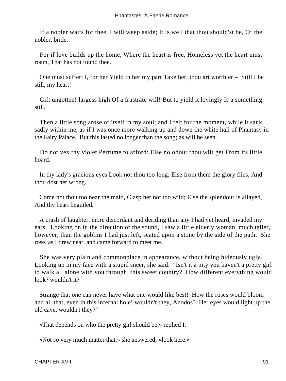If a nobler waits for thee, I will weep aside; It is well that thou should'st be, Of the nobler, bride.

 For if love builds up the home, Where the heart is free, Homeless yet the heart must roam, That has not found thee.

 One must suffer: I, for her Yield in her my part Take her, thou art worthier – Still I be still, my heart!

 Gift ungotten! largess high Of a frustrate will! But to yield it lovingly Is a something still.

 Then a little song arose of itself in my soul; and I felt for the moment, while it sank sadly within me, as if I was once more walking up and down the white hall of Phantasy in the Fairy Palace. But this lasted no longer than the song; as will be seen.

 Do not vex thy violet Perfume to afford: Else no odour thou wilt get From its little hoard.

 In thy lady's gracious eyes Look not thou too long; Else from them the glory flies, And thou dost her wrong.

 Come not thou too near the maid, Clasp her not too wild; Else the splendour is allayed, And thy heart beguiled.

 A crash of laughter, more discordant and deriding than any I had yet heard, invaded my ears. Looking on in the direction of the sound, I saw a little elderly woman, much taller, however, than the goblins I had just left, seated upon a stone by the side of the path. She rose, as I drew near, and came forward to meet me.

 She was very plain and commonplace in appearance, without being hideously ugly. Looking up in my face with a stupid sneer, she said: "Isn't it a pity you haven't a pretty girl to walk all alone with you through this sweet country? How different everything would look? wouldn't it?

 Strange that one can never have what one would like best! How the roses would bloom and all that, even in this infernal hole! wouldn't they, Anodos? Her eyes would light up the old cave, wouldn't they?"

«That depends on who the pretty girl should be,» replied I.

«Not so very much matter that,» she answered; «look here.»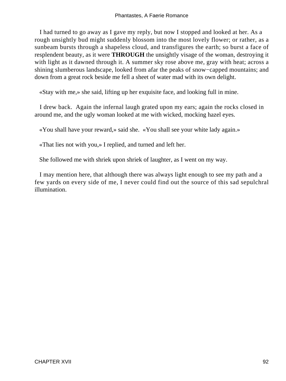I had turned to go away as I gave my reply, but now I stopped and looked at her. As a rough unsightly bud might suddenly blossom into the most lovely flower; or rather, as a sunbeam bursts through a shapeless cloud, and transfigures the earth; so burst a face of resplendent beauty, as it were **THROUGH** the unsightly visage of the woman, destroying it with light as it dawned through it. A summer sky rose above me, gray with heat; across a shining slumberous landscape, looked from afar the peaks of snow−capped mountains; and down from a great rock beside me fell a sheet of water mad with its own delight.

«Stay with me,» she said, lifting up her exquisite face, and looking full in mine.

 I drew back. Again the infernal laugh grated upon my ears; again the rocks closed in around me, and the ugly woman looked at me with wicked, mocking hazel eyes.

«You shall have your reward,» said she. «You shall see your white lady again.»

«That lies not with you,» I replied, and turned and left her.

She followed me with shriek upon shriek of laughter, as I went on my way.

 I may mention here, that although there was always light enough to see my path and a few yards on every side of me, I never could find out the source of this sad sepulchral illumination.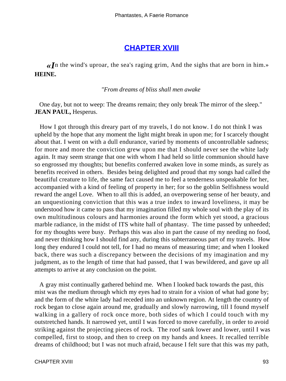## **[CHAPTER XVIII](#page-142-0)**

*«I*n the wind's uproar, the sea's raging grim, And the sighs that are born in him.» **HEINE.**

#### *"From dreams of bliss shall men awake*

 One day, but not to weep: The dreams remain; they only break The mirror of the sleep." **JEAN PAUL,** Hesperus.

 How I got through this dreary part of my travels, I do not know. I do not think I was upheld by the hope that any moment the light might break in upon me; for I scarcely thought about that. I went on with a dull endurance, varied by moments of uncontrollable sadness; for more and more the conviction grew upon me that I should never see the white lady again. It may seem strange that one with whom I had held so little communion should have so engrossed my thoughts; but benefits conferred awaken love in some minds, as surely as benefits received in others. Besides being delighted and proud that my songs had called the beautiful creature to life, the same fact caused me to feel a tenderness unspeakable for her, accompanied with a kind of feeling of property in her; for so the goblin Selfishness would reward the angel Love. When to all this is added, an overpowering sense of her beauty, and an unquestioning conviction that this was a true index to inward loveliness, it may be understood how it came to pass that my imagination filled my whole soul with the play of its own multitudinous colours and harmonies around the form which yet stood, a gracious marble radiance, in the midst of ITS white hall of phantasy. The time passed by unheeded; for my thoughts were busy. Perhaps this was also in part the cause of my needing no food, and never thinking how I should find any, during this subterraneous part of my travels. How long they endured I could not tell, for I had no means of measuring time; and when I looked back, there was such a discrepancy between the decisions of my imagination and my judgment, as to the length of time that had passed, that I was bewildered, and gave up all attempts to arrive at any conclusion on the point.

 A gray mist continually gathered behind me. When I looked back towards the past, this mist was the medium through which my eyes had to strain for a vision of what had gone by; and the form of the white lady had receded into an unknown region. At length the country of rock began to close again around me, gradually and slowly narrowing, till I found myself walking in a gallery of rock once more, both sides of which I could touch with my outstretched hands. It narrowed yet, until I was forced to move carefully, in order to avoid striking against the projecting pieces of rock. The roof sank lower and lower, until I was compelled, first to stoop, and then to creep on my hands and knees. It recalled terrible dreams of childhood; but I was not much afraid, because I felt sure that this was my path,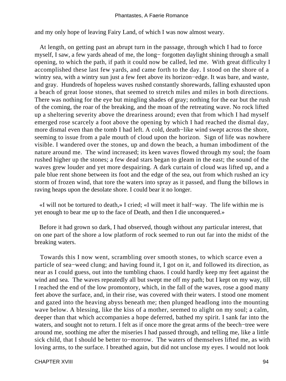and my only hope of leaving Fairy Land, of which I was now almost weary.

 At length, on getting past an abrupt turn in the passage, through which I had to force myself, I saw, a few yards ahead of me, the long− forgotten daylight shining through a small opening, to which the path, if path it could now be called, led me. With great difficulty I accomplished these last few yards, and came forth to the day. I stood on the shore of a wintry sea, with a wintry sun just a few feet above its horizon−edge. It was bare, and waste, and gray. Hundreds of hopeless waves rushed constantly shorewards, falling exhausted upon a beach of great loose stones, that seemed to stretch miles and miles in both directions. There was nothing for the eye but mingling shades of gray; nothing for the ear but the rush of the coming, the roar of the breaking, and the moan of the retreating wave. No rock lifted up a sheltering severity above the dreariness around; even that from which I had myself emerged rose scarcely a foot above the opening by which I had reached the dismal day, more dismal even than the tomb I had left. A cold, death−like wind swept across the shore, seeming to issue from a pale mouth of cloud upon the horizon. Sign of life was nowhere visible. I wandered over the stones, up and down the beach, a human imbodiment of the nature around me. The wind increased; its keen waves flowed through my soul; the foam rushed higher up the stones; a few dead stars began to gleam in the east; the sound of the waves grew louder and yet more despairing. A dark curtain of cloud was lifted up, and a pale blue rent shone between its foot and the edge of the sea, out from which rushed an icy storm of frozen wind, that tore the waters into spray as it passed, and flung the billows in raving heaps upon the desolate shore. I could bear it no longer.

 «I will not be tortured to death,» I cried; «I will meet it half−way. The life within me is yet enough to bear me up to the face of Death, and then I die unconquered.»

 Before it had grown so dark, I had observed, though without any particular interest, that on one part of the shore a low platform of rock seemed to run out far into the midst of the breaking waters.

 Towards this I now went, scrambling over smooth stones, to which scarce even a particle of sea−weed clung; and having found it, I got on it, and followed its direction, as near as I could guess, out into the tumbling chaos. I could hardly keep my feet against the wind and sea. The waves repeatedly all but swept me off my path; but I kept on my way, till I reached the end of the low promontory, which, in the fall of the waves, rose a good many feet above the surface, and, in their rise, was covered with their waters. I stood one moment and gazed into the heaving abyss beneath me; then plunged headlong into the mounting wave below. A blessing, like the kiss of a mother, seemed to alight on my soul; a calm, deeper than that which accompanies a hope deferred, bathed my spirit. I sank far into the waters, and sought not to return. I felt as if once more the great arms of the beech−tree were around me, soothing me after the miseries I had passed through, and telling me, like a little sick child, that I should be better to−morrow. The waters of themselves lifted me, as with loving arms, to the surface. I breathed again, but did not unclose my eyes. I would not look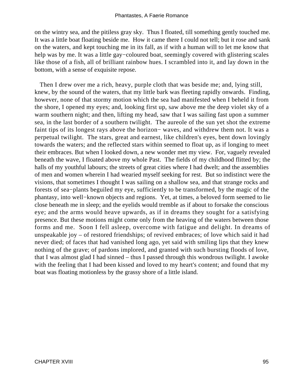on the wintry sea, and the pitiless gray sky. Thus I floated, till something gently touched me. It was a little boat floating beside me. How it came there I could not tell; but it rose and sank on the waters, and kept touching me in its fall, as if with a human will to let me know that help was by me. It was a little gay−coloured boat, seemingly covered with glistering scales like those of a fish, all of brilliant rainbow hues. I scrambled into it, and lay down in the bottom, with a sense of exquisite repose.

 Then I drew over me a rich, heavy, purple cloth that was beside me; and, lying still, knew, by the sound of the waters, that my little bark was fleeting rapidly onwards. Finding, however, none of that stormy motion which the sea had manifested when I beheld it from the shore, I opened my eyes; and, looking first up, saw above me the deep violet sky of a warm southern night; and then, lifting my head, saw that I was sailing fast upon a summer sea, in the last border of a southern twilight. The aureole of the sun yet shot the extreme faint tips of its longest rays above the horizon− waves, and withdrew them not. It was a perpetual twilight. The stars, great and earnest, like children's eyes, bent down lovingly towards the waters; and the reflected stars within seemed to float up, as if longing to meet their embraces. But when I looked down, a new wonder met my view. For, vaguely revealed beneath the wave, I floated above my whole Past. The fields of my childhood flitted by; the halls of my youthful labours; the streets of great cities where I had dwelt; and the assemblies of men and women wherein I had wearied myself seeking for rest. But so indistinct were the visions, that sometimes I thought I was sailing on a shallow sea, and that strange rocks and forests of sea−plants beguiled my eye, sufficiently to be transformed, by the magic of the phantasy, into well−known objects and regions. Yet, at times, a beloved form seemed to lie close beneath me in sleep; and the eyelids would tremble as if about to forsake the conscious eye; and the arms would heave upwards, as if in dreams they sought for a satisfying presence. But these motions might come only from the heaving of the waters between those forms and me. Soon I fell asleep, overcome with fatigue and delight. In dreams of unspeakable joy – of restored friendships; of revived embraces; of love which said it had never died; of faces that had vanished long ago, yet said with smiling lips that they knew nothing of the grave; of pardons implored, and granted with such bursting floods of love, that I was almost glad I had sinned – thus I passed through this wondrous twilight. I awoke with the feeling that I had been kissed and loved to my heart's content; and found that my boat was floating motionless by the grassy shore of a little island.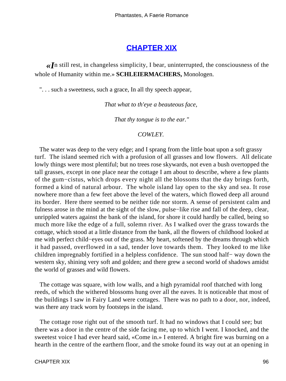# **[CHAPTER XIX](#page-142-0)**

*«I*n still rest, in changeless simplicity, I bear, uninterrupted, the consciousness of the whole of Humanity within me.» **SCHLEIERMACHERS,** Monologen.

". . . such a sweetness, such a grace, In all thy speech appear,

*That what to th'eye a beauteous face,* 

*That thy tongue is to the ear."*

#### *COWLEY.*

 The water was deep to the very edge; and I sprang from the little boat upon a soft grassy turf. The island seemed rich with a profusion of all grasses and low flowers. All delicate lowly things were most plentiful; but no trees rose skywards, not even a bush overtopped the tall grasses, except in one place near the cottage I am about to describe, where a few plants of the gum−cistus, which drops every night all the blossoms that the day brings forth, formed a kind of natural arbour. The whole island lay open to the sky and sea. It rose nowhere more than a few feet above the level of the waters, which flowed deep all around its border. Here there seemed to be neither tide nor storm. A sense of persistent calm and fulness arose in the mind at the sight of the slow, pulse−like rise and fall of the deep, clear, unrippled waters against the bank of the island, for shore it could hardly be called, being so much more like the edge of a full, solemn river. As I walked over the grass towards the cottage, which stood at a little distance from the bank, all the flowers of childhood looked at me with perfect child−eyes out of the grass. My heart, softened by the dreams through which it had passed, overflowed in a sad, tender love towards them. They looked to me like children impregnably fortified in a helpless confidence. The sun stood half− way down the western sky, shining very soft and golden; and there grew a second world of shadows amidst the world of grasses and wild flowers.

 The cottage was square, with low walls, and a high pyramidal roof thatched with long reeds, of which the withered blossoms hung over all the eaves. It is noticeable that most of the buildings I saw in Fairy Land were cottages. There was no path to a door, nor, indeed, was there any track worn by footsteps in the island.

 The cottage rose right out of the smooth turf. It had no windows that I could see; but there was a door in the centre of the side facing me, up to which I went. I knocked, and the sweetest voice I had ever heard said, «Come in.» I entered. A bright fire was burning on a hearth in the centre of the earthern floor, and the smoke found its way out at an opening in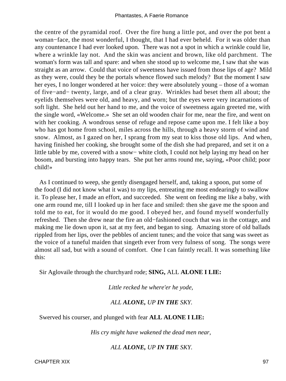the centre of the pyramidal roof. Over the fire hung a little pot, and over the pot bent a woman−face, the most wonderful, I thought, that I had ever beheld. For it was older than any countenance I had ever looked upon. There was not a spot in which a wrinkle could lie, where a wrinkle lay not. And the skin was ancient and brown, like old parchment. The woman's form was tall and spare: and when she stood up to welcome me, I saw that she was straight as an arrow. Could that voice of sweetness have issued from those lips of age? Mild as they were, could they be the portals whence flowed such melody? But the moment I saw her eyes, I no longer wondered at her voice: they were absolutely young – those of a woman of five−and− twenty, large, and of a clear gray. Wrinkles had beset them all about; the eyelids themselves were old, and heavy, and worn; but the eyes were very incarnations of soft light. She held out her hand to me, and the voice of sweetness again greeted me, with the single word, «Welcome.» She set an old wooden chair for me, near the fire, and went on with her cooking. A wondrous sense of refuge and repose came upon me. I felt like a boy who has got home from school, miles across the hills, through a heavy storm of wind and snow. Almost, as I gazed on her, I sprang from my seat to kiss those old lips. And when, having finished her cooking, she brought some of the dish she had prepared, and set it on a little table by me, covered with a snow− white cloth, I could not help laying my head on her bosom, and bursting into happy tears. She put her arms round me, saying, «Poor child; poor child!»

 As I continued to weep, she gently disengaged herself, and, taking a spoon, put some of the food (I did not know what it was) to my lips, entreating me most endearingly to swallow it. To please her, I made an effort, and succeeded. She went on feeding me like a baby, with one arm round me, till I looked up in her face and smiled: then she gave me the spoon and told me to eat, for it would do me good. I obeyed her, and found myself wonderfully refreshed. Then she drew near the fire an old−fashioned couch that was in the cottage, and making me lie down upon it, sat at my feet, and began to sing. Amazing store of old ballads rippled from her lips, over the pebbles of ancient tunes; and the voice that sang was sweet as the voice of a tuneful maiden that singeth ever from very fulness of song. The songs were almost all sad, but with a sound of comfort. One I can faintly recall. It was something like this:

Sir Aglovaile through the churchyard rode; **SING,** ALL **ALONE I LIE:**

*Little recked he where'er he yode,* 

### *ALL ALONE, UP IN THE SKY.*

Swerved his courser, and plunged with fear **ALL ALONE I LIE:**

*His cry might have wakened the dead men near,* 

### *ALL ALONE, UP IN THE SKY.*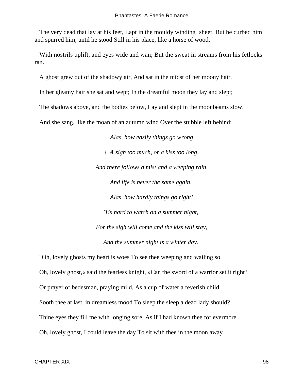The very dead that lay at his feet, Lapt in the mouldy winding−sheet. But he curbed him and spurred him, until he stood Still in his place, like a horse of wood,

With nostrils uplift, and eyes wide and wan; But the sweat in streams from his fetlocks ran.

A ghost grew out of the shadowy air, And sat in the midst of her moony hair.

In her gleamy hair she sat and wept; In the dreamful moon they lay and slept;

The shadows above, and the bodies below, Lay and slept in the moonbeams slow.

And she sang, like the moan of an autumn wind Over the stubble left behind:

*Alas, how easily things go wrong ! A sigh too much, or a kiss too long, And there follows a mist and a weeping rain, And life is never the same again. Alas, how hardly things go right! 'Tis hard to watch on a summer night, For the sigh will come and the kiss will stay, And the summer night is a winter day.* 

 "Oh, lovely ghosts my heart is woes To see thee weeping and wailing so. Oh, lovely ghost,« said the fearless knight, »Can the sword of a warrior set it right? Or prayer of bedesman, praying mild, As a cup of water a feverish child, Sooth thee at last, in dreamless mood To sleep the sleep a dead lady should? Thine eyes they fill me with longing sore, As if I had known thee for evermore. Oh, lovely ghost, I could leave the day To sit with thee in the moon away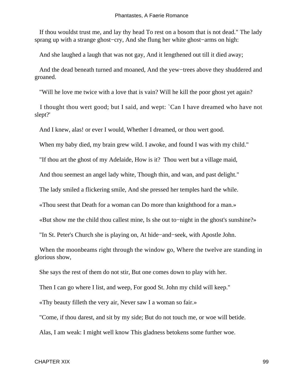If thou wouldst trust me, and lay thy head To rest on a bosom that is not dead." The lady sprang up with a strange ghost−cry, And she flung her white ghost−arms on high:

And she laughed a laugh that was not gay, And it lengthened out till it died away;

 And the dead beneath turned and moaned, And the yew−trees above they shuddered and groaned.

"Will he love me twice with a love that is vain? Will he kill the poor ghost yet again?

 I thought thou wert good; but I said, and wept: `Can I have dreamed who have not slept?'

And I knew, alas! or ever I would, Whether I dreamed, or thou wert good.

When my baby died, my brain grew wild. I awoke, and found I was with my child."

"If thou art the ghost of my Adelaide, How is it? Thou wert but a village maid,

And thou seemest an angel lady white, Though thin, and wan, and past delight."

The lady smiled a flickering smile, And she pressed her temples hard the while.

«Thou seest that Death for a woman can Do more than knighthood for a man.»

«But show me the child thou callest mine, Is she out to−night in the ghost's sunshine?»

"In St. Peter's Church she is playing on, At hide−and−seek, with Apostle John.

 When the moonbeams right through the window go, Where the twelve are standing in glorious show,

She says the rest of them do not stir, But one comes down to play with her.

Then I can go where I list, and weep, For good St. John my child will keep."

«Thy beauty filleth the very air, Never saw I a woman so fair.»

"Come, if thou darest, and sit by my side; But do not touch me, or woe will betide.

Alas, I am weak: I might well know This gladness betokens some further woe.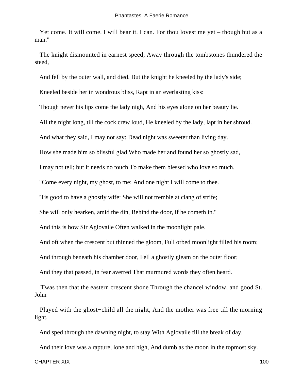Yet come. It will come. I will bear it. I can. For thou lovest me yet – though but as a man."

 The knight dismounted in earnest speed; Away through the tombstones thundered the steed,

And fell by the outer wall, and died. But the knight he kneeled by the lady's side;

Kneeled beside her in wondrous bliss, Rapt in an everlasting kiss:

Though never his lips come the lady nigh, And his eyes alone on her beauty lie.

All the night long, till the cock crew loud, He kneeled by the lady, lapt in her shroud.

And what they said, I may not say: Dead night was sweeter than living day.

How she made him so blissful glad Who made her and found her so ghostly sad,

I may not tell; but it needs no touch To make them blessed who love so much.

"Come every night, my ghost, to me; And one night I will come to thee.

'Tis good to have a ghostly wife: She will not tremble at clang of strife;

She will only hearken, amid the din, Behind the door, if he cometh in."

And this is how Sir Aglovaile Often walked in the moonlight pale.

And oft when the crescent but thinned the gloom, Full orbed moonlight filled his room;

And through beneath his chamber door, Fell a ghostly gleam on the outer floor;

And they that passed, in fear averred That murmured words they often heard.

 'Twas then that the eastern crescent shone Through the chancel window, and good St. John

 Played with the ghost−child all the night, And the mother was free till the morning light,

And sped through the dawning night, to stay With Aglovaile till the break of day.

And their love was a rapture, lone and high, And dumb as the moon in the topmost sky.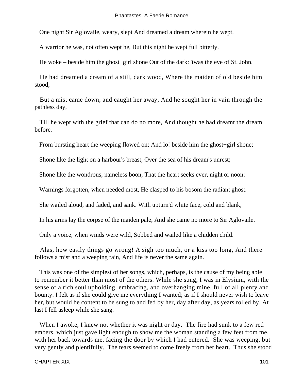One night Sir Aglovaile, weary, slept And dreamed a dream wherein he wept.

A warrior he was, not often wept he, But this night he wept full bitterly.

He woke – beside him the ghost−girl shone Out of the dark: 'twas the eve of St. John.

 He had dreamed a dream of a still, dark wood, Where the maiden of old beside him stood;

 But a mist came down, and caught her away, And he sought her in vain through the pathless day,

 Till he wept with the grief that can do no more, And thought he had dreamt the dream before.

From bursting heart the weeping flowed on; And lo! beside him the ghost−girl shone;

Shone like the light on a harbour's breast, Over the sea of his dream's unrest;

Shone like the wondrous, nameless boon, That the heart seeks ever, night or noon:

Warnings forgotten, when needed most, He clasped to his bosom the radiant ghost.

She wailed aloud, and faded, and sank. With upturn'd white face, cold and blank,

In his arms lay the corpse of the maiden pale, And she came no more to Sir Aglovaile.

Only a voice, when winds were wild, Sobbed and wailed like a chidden child.

 Alas, how easily things go wrong! A sigh too much, or a kiss too long, And there follows a mist and a weeping rain, And life is never the same again.

 This was one of the simplest of her songs, which, perhaps, is the cause of my being able to remember it better than most of the others. While she sung, I was in Elysium, with the sense of a rich soul upholding, embracing, and overhanging mine, full of all plenty and bounty. I felt as if she could give me everything I wanted; as if I should never wish to leave her, but would be content to be sung to and fed by her, day after day, as years rolled by. At last I fell asleep while she sang.

 When I awoke, I knew not whether it was night or day. The fire had sunk to a few red embers, which just gave light enough to show me the woman standing a few feet from me, with her back towards me, facing the door by which I had entered. She was weeping, but very gently and plentifully. The tears seemed to come freely from her heart. Thus she stood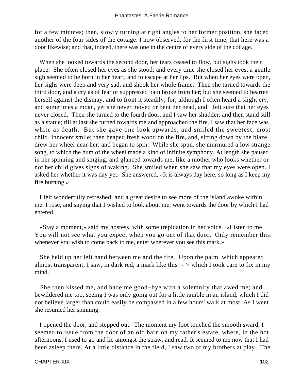for a few minutes; then, slowly turning at right angles to her former position, she faced another of the four sides of the cottage. I now observed, for the first time, that here was a door likewise; and that, indeed, there was one in the centre of every side of the cottage.

 When she looked towards the second door, her tears ceased to flow, but sighs took their place. She often closed her eyes as she stood; and every time she closed her eyes, a gentle sigh seemed to be born in her heart, and to escape at her lips. But when her eyes were open, her sighs were deep and very sad, and shook her whole frame. Then she turned towards the third door, and a cry as of fear or suppressed pain broke from her; but she seemed to hearten herself against the dismay, and to front it steadily; for, although I often heard a slight cry, and sometimes a moan, yet she never moved or bent her head, and I felt sure that her eyes never closed. Then she turned to the fourth door, and I saw her shudder, and then stand still as a statue; till at last she turned towards me and approached the fire. I saw that her face was white as death. But she gave one look upwards, and smiled the sweetest, most child−innocent smile; then heaped fresh wood on the fire, and, sitting down by the blaze, drew her wheel near her, and began to spin. While she spun, she murmured a low strange song, to which the hum of the wheel made a kind of infinite symphony. At length she paused in her spinning and singing, and glanced towards me, like a mother who looks whether or not her child gives signs of waking. She smiled when she saw that my eyes were open. I asked her whether it was day yet. She answered, «It is always day here, so long as I keep my fire burning.»

 I felt wonderfully refreshed; and a great desire to see more of the island awoke within me. I rose, and saying that I wished to look about me, went towards the door by which I had entered.

 «Stay a moment,» said my hostess, with some trepidation in her voice. «Listen to me. You will not see what you expect when you go out of that door. Only remember this: whenever you wish to come back to me, enter wherever you see this mark.»

 She held up her left hand between me and the fire. Upon the palm, which appeared almost transparent, I saw, in dark red, a mark like this  $\rightarrow$  which I took care to fix in my mind.

 She then kissed me, and bade me good−bye with a solemnity that awed me; and bewildered me too, seeing I was only going out for a little ramble in an island, which I did not believe larger than could easily be compassed in a few hours' walk at most. As I went she resumed her spinning.

 I opened the door, and stepped out. The moment my foot touched the smooth sward, I seemed to issue from the door of an old barn on my father's estate, where, in the hot afternoons, I used to go and lie amongst the straw, and read. It seemed to me now that I had been asleep there. At a little distance in the field, I saw two of my brothers at play. The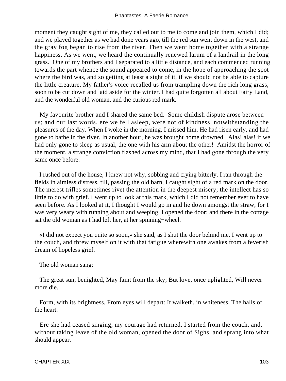moment they caught sight of me, they called out to me to come and join them, which I did; and we played together as we had done years ago, till the red sun went down in the west, and the gray fog began to rise from the river. Then we went home together with a strange happiness. As we went, we heard the continually renewed larum of a landrail in the long grass. One of my brothers and I separated to a little distance, and each commenced running towards the part whence the sound appeared to come, in the hope of approaching the spot where the bird was, and so getting at least a sight of it, if we should not be able to capture the little creature. My father's voice recalled us from trampling down the rich long grass, soon to be cut down and laid aside for the winter. I had quite forgotten all about Fairy Land, and the wonderful old woman, and the curious red mark.

 My favourite brother and I shared the same bed. Some childish dispute arose between us; and our last words, ere we fell asleep, were not of kindness, notwithstanding the pleasures of the day. When I woke in the morning, I missed him. He had risen early, and had gone to bathe in the river. In another hour, he was brought home drowned. Alas! alas! if we had only gone to sleep as usual, the one with his arm about the other! Amidst the horror of the moment, a strange conviction flashed across my mind, that I had gone through the very same once before.

 I rushed out of the house, I knew not why, sobbing and crying bitterly. I ran through the fields in aimless distress, till, passing the old barn, I caught sight of a red mark on the door. The merest trifles sometimes rivet the attention in the deepest misery; the intellect has so little to do with grief. I went up to look at this mark, which I did not remember ever to have seen before. As I looked at it, I thought I would go in and lie down amongst the straw, for I was very weary with running about and weeping. I opened the door; and there in the cottage sat the old woman as I had left her, at her spinning−wheel.

 «I did not expect you quite so soon,» she said, as I shut the door behind me. I went up to the couch, and threw myself on it with that fatigue wherewith one awakes from a feverish dream of hopeless grief.

The old woman sang:

 The great sun, benighted, May faint from the sky; But love, once uplighted, Will never more die.

 Form, with its brightness, From eyes will depart: It walketh, in whiteness, The halls of the heart.

 Ere she had ceased singing, my courage had returned. I started from the couch, and, without taking leave of the old woman, opened the door of Sighs, and sprang into what should appear.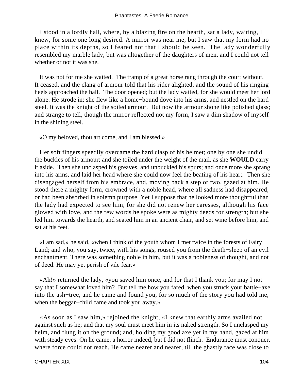I stood in a lordly hall, where, by a blazing fire on the hearth, sat a lady, waiting, I knew, for some one long desired. A mirror was near me, but I saw that my form had no place within its depths, so I feared not that I should be seen. The lady wonderfully resembled my marble lady, but was altogether of the daughters of men, and I could not tell whether or not it was she.

 It was not for me she waited. The tramp of a great horse rang through the court without. It ceased, and the clang of armour told that his rider alighted, and the sound of his ringing heels approached the hall. The door opened; but the lady waited, for she would meet her lord alone. He strode in: she flew like a home−bound dove into his arms, and nestled on the hard steel. It was the knight of the soiled armour. But now the armour shone like polished glass; and strange to tell, though the mirror reflected not my form, I saw a dim shadow of myself in the shining steel.

«O my beloved, thou art come, and I am blessed.»

 Her soft fingers speedily overcame the hard clasp of his helmet; one by one she undid the buckles of his armour; and she toiled under the weight of the mail, as she **WOULD** carry it aside. Then she unclasped his greaves, and unbuckled his spurs; and once more she sprang into his arms, and laid her head where she could now feel the beating of his heart. Then she disengaged herself from his embrace, and, moving back a step or two, gazed at him. He stood there a mighty form, crowned with a noble head, where all sadness had disappeared, or had been absorbed in solemn purpose. Yet I suppose that he looked more thoughtful than the lady had expected to see him, for she did not renew her caresses, although his face glowed with love, and the few words he spoke were as mighty deeds for strength; but she led him towards the hearth, and seated him in an ancient chair, and set wine before him, and sat at his feet.

 «I am sad,» he said, «when I think of the youth whom I met twice in the forests of Fairy Land; and who, you say, twice, with his songs, roused you from the death−sleep of an evil enchantment. There was something noble in him, but it was a nobleness of thought, and not of deed. He may yet perish of vile fear.»

 «Ah!» returned the lady, «you saved him once, and for that I thank you; for may I not say that I somewhat loved him? But tell me how you fared, when you struck your battle−axe into the ash−tree, and he came and found you; for so much of the story you had told me, when the beggar−child came and took you away.»

 «As soon as I saw him,» rejoined the knight, «I knew that earthly arms availed not against such as he; and that my soul must meet him in its naked strength. So I unclasped my helm, and flung it on the ground; and, holding my good axe yet in my hand, gazed at him with steady eyes. On he came, a horror indeed, but I did not flinch. Endurance must conquer, where force could not reach. He came nearer and nearer, till the ghastly face was close to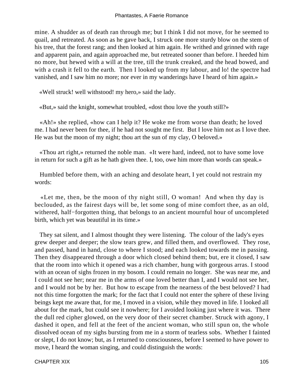mine. A shudder as of death ran through me; but I think I did not move, for he seemed to quail, and retreated. As soon as he gave back, I struck one more sturdy blow on the stem of his tree, that the forest rang; and then looked at him again. He writhed and grinned with rage and apparent pain, and again approached me, but retreated sooner than before. I heeded him no more, but hewed with a will at the tree, till the trunk creaked, and the head bowed, and with a crash it fell to the earth. Then I looked up from my labour, and lo! the spectre had vanished, and I saw him no more; nor ever in my wanderings have I heard of him again.»

«Well struck! well withstood! my hero,» said the lady.

«But,» said the knight, somewhat troubled, «dost thou love the youth still?»

 «Ah!» she replied, «how can I help it? He woke me from worse than death; he loved me. I had never been for thee, if he had not sought me first. But I love him not as I love thee. He was but the moon of my night; thou art the sun of my clay, O beloved.»

 «Thou art right,» returned the noble man. «It were hard, indeed, not to have some love in return for such a gift as he hath given thee. I, too, owe him more than words can speak.»

 Humbled before them, with an aching and desolate heart, I yet could not restrain my words:

 «Let me, then, be the moon of thy night still, O woman! And when thy day is beclouded, as the fairest days will be, let some song of mine comfort thee, as an old, withered, half−forgotten thing, that belongs to an ancient mournful hour of uncompleted birth, which yet was beautiful in its time.»

 They sat silent, and I almost thought they were listening. The colour of the lady's eyes grew deeper and deeper; the slow tears grew, and filled them, and overflowed. They rose, and passed, hand in hand, close to where I stood; and each looked towards me in passing. Then they disappeared through a door which closed behind them; but, ere it closed, I saw that the room into which it opened was a rich chamber, hung with gorgeous arras. I stood with an ocean of sighs frozen in my bosom. I could remain no longer. She was near me, and I could not see her; near me in the arms of one loved better than I, and I would not see her, and I would not be by her. But how to escape from the nearness of the best beloved? I had not this time forgotten the mark; for the fact that I could not enter the sphere of these living beings kept me aware that, for me, I moved in a vision, while they moved in life. I looked all about for the mark, but could see it nowhere; for I avoided looking just where it was. There the dull red cipher glowed, on the very door of their secret chamber. Struck with agony, I dashed it open, and fell at the feet of the ancient woman, who still spun on, the whole dissolved ocean of my sighs bursting from me in a storm of tearless sobs. Whether I fainted or slept, I do not know; but, as I returned to consciousness, before I seemed to have power to move, I heard the woman singing, and could distinguish the words: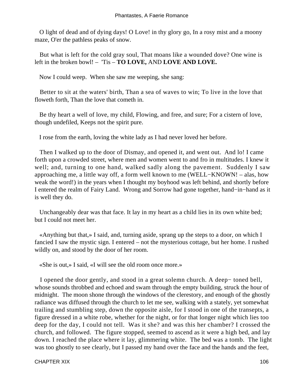O light of dead and of dying days! O Love! in thy glory go, In a rosy mist and a moony maze, O'er the pathless peaks of snow.

 But what is left for the cold gray soul, That moans like a wounded dove? One wine is left in the broken bowl! – 'Tis – **TO LOVE,** AND **LOVE AND LOVE.**

Now I could weep. When she saw me weeping, she sang:

 Better to sit at the waters' birth, Than a sea of waves to win; To live in the love that floweth forth, Than the love that cometh in.

 Be thy heart a well of love, my child, Flowing, and free, and sure; For a cistern of love, though undefiled, Keeps not the spirit pure.

I rose from the earth, loving the white lady as I had never loved her before.

 Then I walked up to the door of Dismay, and opened it, and went out. And lo! I came forth upon a crowded street, where men and women went to and fro in multitudes. I knew it well; and, turning to one hand, walked sadly along the pavement. Suddenly I saw approaching me, a little way off, a form well known to me (WELL−KNOWN! – alas, how weak the word!) in the years when I thought my boyhood was left behind, and shortly before I entered the realm of Fairy Land. Wrong and Sorrow had gone together, hand−in−hand as it is well they do.

 Unchangeably dear was that face. It lay in my heart as a child lies in its own white bed; but I could not meet her.

 «Anything but that,» I said, and, turning aside, sprang up the steps to a door, on which I fancied I saw the mystic sign. I entered – not the mysterious cottage, but her home. I rushed wildly on, and stood by the door of her room.

«She is out,» I said, «I will see the old room once more.»

 I opened the door gently, and stood in a great solemn church. A deep− toned bell, whose sounds throbbed and echoed and swam through the empty building, struck the hour of midnight. The moon shone through the windows of the clerestory, and enough of the ghostly radiance was diffused through the church to let me see, walking with a stately, yet somewhat trailing and stumbling step, down the opposite aisle, for I stood in one of the transepts, a figure dressed in a white robe, whether for the night, or for that longer night which lies too deep for the day, I could not tell. Was it she? and was this her chamber? I crossed the church, and followed. The figure stopped, seemed to ascend as it were a high bed, and lay down. I reached the place where it lay, glimmering white. The bed was a tomb. The light was too ghostly to see clearly, but I passed my hand over the face and the hands and the feet,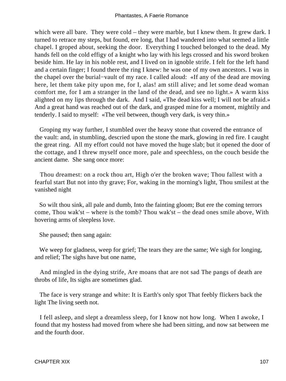which were all bare. They were cold – they were marble, but I knew them. It grew dark. I turned to retrace my steps, but found, ere long, that I had wandered into what seemed a little chapel. I groped about, seeking the door. Everything I touched belonged to the dead. My hands fell on the cold effigy of a knight who lay with his legs crossed and his sword broken beside him. He lay in his noble rest, and I lived on in ignoble strife. I felt for the left hand and a certain finger; I found there the ring I knew: he was one of my own ancestors. I was in the chapel over the burial−vault of my race. I called aloud: «If any of the dead are moving here, let them take pity upon me, for I, alas! am still alive; and let some dead woman comfort me, for I am a stranger in the land of the dead, and see no light.» A warm kiss alighted on my lips through the dark. And I said, «The dead kiss well; I will not be afraid.» And a great hand was reached out of the dark, and grasped mine for a moment, mightily and tenderly. I said to myself: «The veil between, though very dark, is very thin.»

 Groping my way further, I stumbled over the heavy stone that covered the entrance of the vault: and, in stumbling, descried upon the stone the mark, glowing in red fire. I caught the great ring. All my effort could not have moved the huge slab; but it opened the door of the cottage, and I threw myself once more, pale and speechless, on the couch beside the ancient dame. She sang once more:

 Thou dreamest: on a rock thou art, High o'er the broken wave; Thou fallest with a fearful start But not into thy grave; For, waking in the morning's light, Thou smilest at the vanished night

 So wilt thou sink, all pale and dumb, Into the fainting gloom; But ere the coming terrors come, Thou wak'st – where is the tomb? Thou wak'st – the dead ones smile above, With hovering arms of sleepless love.

She paused; then sang again:

We weep for gladness, weep for grief; The tears they are the same; We sigh for longing, and relief; The sighs have but one name,

 And mingled in the dying strife, Are moans that are not sad The pangs of death are throbs of life, Its sighs are sometimes glad.

 The face is very strange and white: It is Earth's only spot That feebly flickers back the light The living seeth not.

 I fell asleep, and slept a dreamless sleep, for I know not how long. When I awoke, I found that my hostess had moved from where she had been sitting, and now sat between me and the fourth door.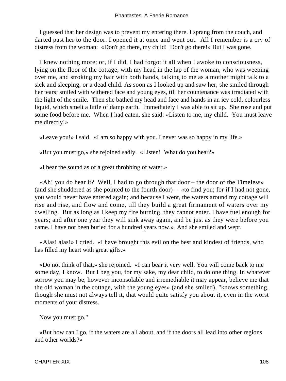I guessed that her design was to prevent my entering there. I sprang from the couch, and darted past her to the door. I opened it at once and went out. All I remember is a cry of distress from the woman: «Don't go there, my child! Don't go there!» But I was gone.

 I knew nothing more; or, if I did, I had forgot it all when I awoke to consciousness, lying on the floor of the cottage, with my head in the lap of the woman, who was weeping over me, and stroking my hair with both hands, talking to me as a mother might talk to a sick and sleeping, or a dead child. As soon as I looked up and saw her, she smiled through her tears; smiled with withered face and young eyes, till her countenance was irradiated with the light of the smile. Then she bathed my head and face and hands in an icy cold, colourless liquid, which smelt a little of damp earth. Immediately I was able to sit up. She rose and put some food before me. When I had eaten, she said: «Listen to me, my child. You must leave me directly!»

«Leave you!» I said. «I am so happy with you. I never was so happy in my life.»

«But you must go,» she rejoined sadly. «Listen! What do you hear?»

«I hear the sound as of a great throbbing of water.»

 «Ah! you do hear it? Well, I had to go through that door – the door of the Timeless» (and she shuddered as she pointed to the fourth door) – «to find you; for if I had not gone, you would never have entered again; and because I went, the waters around my cottage will rise and rise, and flow and come, till they build a great firmament of waters over my dwelling. But as long as I keep my fire burning, they cannot enter. I have fuel enough for years; and after one year they will sink away again, and be just as they were before you came. I have not been buried for a hundred years now.» And she smiled and wept.

 «Alas! alas!» I cried. «I have brought this evil on the best and kindest of friends, who has filled my heart with great gifts.»

 «Do not think of that,» she rejoined. «I can bear it very well. You will come back to me some day, I know. But I beg you, for my sake, my dear child, to do one thing. In whatever sorrow you may be, however inconsolable and irremediable it may appear, believe me that the old woman in the cottage, with the young eyes» (and she smiled), "knows something, though she must not always tell it, that would quite satisfy you about it, even in the worst moments of your distress.

Now you must go."

 «But how can I go, if the waters are all about, and if the doors all lead into other regions and other worlds?»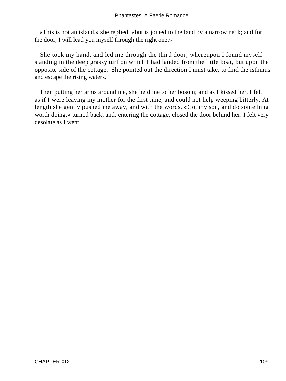«This is not an island,» she replied; «but is joined to the land by a narrow neck; and for the door, I will lead you myself through the right one.»

 She took my hand, and led me through the third door; whereupon I found myself standing in the deep grassy turf on which I had landed from the little boat, but upon the opposite side of the cottage. She pointed out the direction I must take, to find the isthmus and escape the rising waters.

 Then putting her arms around me, she held me to her bosom; and as I kissed her, I felt as if I were leaving my mother for the first time, and could not help weeping bitterly. At length she gently pushed me away, and with the words, «Go, my son, and do something worth doing,» turned back, and, entering the cottage, closed the door behind her. I felt very desolate as I went.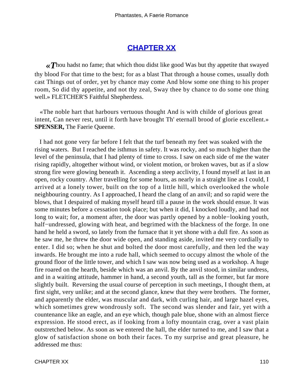# **[CHAPTER XX](#page-143-0)**

<span id="page-110-0"></span>*«T*hou hadst no fame; that which thou didst like good Was but thy appetite that swayed thy blood For that time to the best; for as a blast That through a house comes, usually doth cast Things out of order, yet by chance may come And blow some one thing to his proper room, So did thy appetite, and not thy zeal, Sway thee by chance to do some one thing well.» FLETCHER'S Faithful Shepherdess.

 «The noble hart that harbours vertuous thought And is with childe of glorious great intent, Can never rest, until it forth have brought Th' eternall brood of glorie excellent.» **SPENSER,** The Faerie Queene.

 I had not gone very far before I felt that the turf beneath my feet was soaked with the rising waters. But I reached the isthmus in safety. It was rocky, and so much higher than the level of the peninsula, that I had plenty of time to cross. I saw on each side of me the water rising rapidly, altogether without wind, or violent motion, or broken waves, but as if a slow strong fire were glowing beneath it. Ascending a steep acclivity, I found myself at last in an open, rocky country. After travelling for some hours, as nearly in a straight line as I could, I arrived at a lonely tower, built on the top of a little hill, which overlooked the whole neighbouring country. As I approached, I heard the clang of an anvil; and so rapid were the blows, that I despaired of making myself heard till a pause in the work should ensue. It was some minutes before a cessation took place; but when it did, I knocked loudly, and had not long to wait; for, a moment after, the door was partly opened by a noble−looking youth, half–undressed, glowing with heat, and begrimed with the blackness of the forge. In one hand he held a sword, so lately from the furnace that it yet shone with a dull fire. As soon as he saw me, he threw the door wide open, and standing aside, invited me very cordially to enter. I did so; when he shut and bolted the door most carefully, and then led the way inwards. He brought me into a rude hall, which seemed to occupy almost the whole of the ground floor of the little tower, and which I saw was now being used as a workshop. A huge fire roared on the hearth, beside which was an anvil. By the anvil stood, in similar undress, and in a waiting attitude, hammer in hand, a second youth, tall as the former, but far more slightly built. Reversing the usual course of perception in such meetings, I thought them, at first sight, very unlike; and at the second glance, knew that they were brothers. The former, and apparently the elder, was muscular and dark, with curling hair, and large hazel eyes, which sometimes grew wondrously soft. The second was slender and fair, yet with a countenance like an eagle, and an eye which, though pale blue, shone with an almost fierce expression. He stood erect, as if looking from a lofty mountain crag, over a vast plain outstretched below. As soon as we entered the hall, the elder turned to me, and I saw that a glow of satisfaction shone on both their faces. To my surprise and great pleasure, he addressed me thus: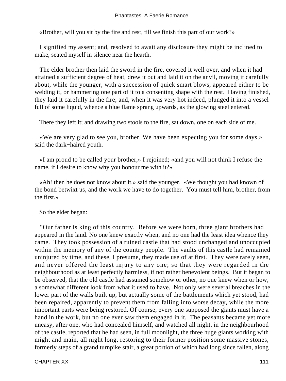«Brother, will you sit by the fire and rest, till we finish this part of our work?»

 I signified my assent; and, resolved to await any disclosure they might be inclined to make, seated myself in silence near the hearth.

 The elder brother then laid the sword in the fire, covered it well over, and when it had attained a sufficient degree of heat, drew it out and laid it on the anvil, moving it carefully about, while the younger, with a succession of quick smart blows, appeared either to be welding it, or hammering one part of it to a consenting shape with the rest. Having finished, they laid it carefully in the fire; and, when it was very hot indeed, plunged it into a vessel full of some liquid, whence a blue flame sprang upwards, as the glowing steel entered.

There they left it; and drawing two stools to the fire, sat down, one on each side of me.

 «We are very glad to see you, brother. We have been expecting you for some days,» said the dark−haired youth.

 «I am proud to be called your brother,» I rejoined; «and you will not think I refuse the name, if I desire to know why you honour me with it?»

 «Ah! then he does not know about it,» said the younger. «We thought you had known of the bond betwixt us, and the work we have to do together. You must tell him, brother, from the first.»

So the elder began:

 "Our father is king of this country. Before we were born, three giant brothers had appeared in the land. No one knew exactly when, and no one had the least idea whence they came. They took possession of a ruined castle that had stood unchanged and unoccupied within the memory of any of the country people. The vaults of this castle had remained uninjured by time, and these, I presume, they made use of at first. They were rarely seen, and never offered the least injury to any one; so that they were regarded in the neighbourhood as at least perfectly harmless, if not rather benevolent beings. But it began to be observed, that the old castle had assumed somehow or other, no one knew when or how, a somewhat different look from what it used to have. Not only were several breaches in the lower part of the walls built up, but actually some of the battlements which yet stood, had been repaired, apparently to prevent them from falling into worse decay, while the more important parts were being restored. Of course, every one supposed the giants must have a hand in the work, but no one ever saw them engaged in it. The peasants became yet more uneasy, after one, who had concealed himself, and watched all night, in the neighbourhood of the castle, reported that he had seen, in full moonlight, the three huge giants working with might and main, all night long, restoring to their former position some massive stones, formerly steps of a grand turnpike stair, a great portion of which had long since fallen, along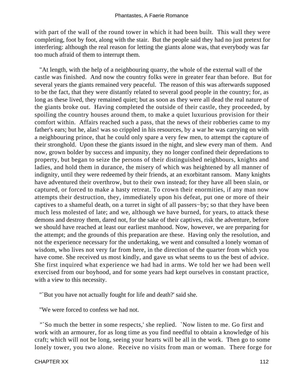with part of the wall of the round tower in which it had been built. This wall they were completing, foot by foot, along with the stair. But the people said they had no just pretext for interfering: although the real reason for letting the giants alone was, that everybody was far too much afraid of them to interrupt them.

 "At length, with the help of a neighbouring quarry, the whole of the external wall of the castle was finished. And now the country folks were in greater fear than before. But for several years the giants remained very peaceful. The reason of this was afterwards supposed to be the fact, that they were distantly related to several good people in the country; for, as long as these lived, they remained quiet; but as soon as they were all dead the real nature of the giants broke out. Having completed the outside of their castle, they proceeded, by spoiling the country houses around them, to make a quiet luxurious provision for their comfort within. Affairs reached such a pass, that the news of their robberies came to my father's ears; but he, alas! was so crippled in his resources, by a war he was carrying on with a neighbouring prince, that he could only spare a very few men, to attempt the capture of their stronghold. Upon these the giants issued in the night, and slew every man of them. And now, grown bolder by success and impunity, they no longer confined their depredations to property, but began to seize the persons of their distinguished neighbours, knights and ladies, and hold them in durance, the misery of which was heightened by all manner of indignity, until they were redeemed by their friends, at an exorbitant ransom. Many knights have adventured their overthrow, but to their own instead; for they have all been slain, or captured, or forced to make a hasty retreat. To crown their enormities, if any man now attempts their destruction, they, immediately upon his defeat, put one or more of their captives to a shameful death, on a turret in sight of all passers−by; so that they have been much less molested of late; and we, although we have burned, for years, to attack these demons and destroy them, dared not, for the sake of their captives, risk the adventure, before we should have reached at least our earliest manhood. Now, however, we are preparing for the attempt; and the grounds of this preparation are these. Having only the resolution, and not the experience necessary for the undertaking, we went and consulted a lonely woman of wisdom, who lives not very far from here, in the direction of the quarter from which you have come. She received us most kindly, and gave us what seems to us the best of advice. She first inquired what experience we had had in arms. We told her we had been well exercised from our boyhood, and for some years had kept ourselves in constant practice, with a view to this necessity.

"`But you have not actually fought for life and death?' said she.

"We were forced to confess we had not.

 "`So much the better in some respects,' she replied. `Now listen to me. Go first and work with an armourer, for as long time as you find needful to obtain a knowledge of his craft; which will not be long, seeing your hearts will be all in the work. Then go to some lonely tower, you two alone. Receive no visits from man or woman. There forge for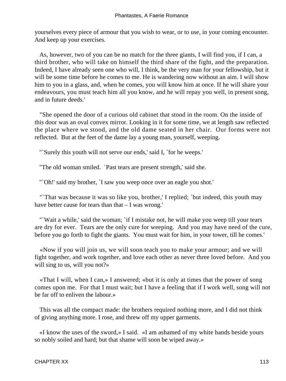yourselves every piece of armour that you wish to wear, or to use, in your coming encounter. And keep up your exercises.

 As, however, two of you can be no match for the three giants, I will find you, if I can, a third brother, who will take on himself the third share of the fight, and the preparation. Indeed, I have already seen one who will, I think, be the very man for your fellowship, but it will be some time before he comes to me. He is wandering now without an aim. I will show him to you in a glass, and, when he comes, you will know him at once. If he will share your endeavours, you must teach him all you know, and he will repay you well, in present song, and in future deeds.'

 "She opened the door of a curious old cabinet that stood in the room. On the inside of this door was an oval convex mirror. Looking in it for some time, we at length saw reflected the place where we stood, and the old dame seated in her chair. Our forms were not reflected. But at the feet of the dame lay a young man, yourself, weeping.

"`Surely this youth will not serve our ends,' said I, `for he weeps.'

"The old woman smiled. `Past tears are present strength,' said she.

"'Oh!' said my brother, 'I saw you weep once over an eagle you shot.'

"That was because it was so like you, brother,' I replied; 'but indeed, this youth may have better cause for tears than that – I was wrong.'

 "`Wait a while,' said the woman; `if I mistake not, he will make you weep till your tears are dry for ever. Tears are the only cure for weeping. And you may have need of the cure, before you go forth to fight the giants. You must wait for him, in your tower, till he comes.'

 «Now if you will join us, we will soon teach you to make your armour; and we will fight together, and work together, and love each other as never three loved before. And you will sing to us, will you not?»

 «That I will, when I can,» I answered; «but it is only at times that the power of song comes upon me. For that I must wait; but I have a feeling that if I work well, song will not be far off to enliven the labour.»

 This was all the compact made: the brothers required nothing more, and I did not think of giving anything more. I rose, and threw off my upper garments.

 «I know the uses of the sword,» I said. «I am ashamed of my white hands beside yours so nobly soiled and hard; but that shame will soon be wiped away.»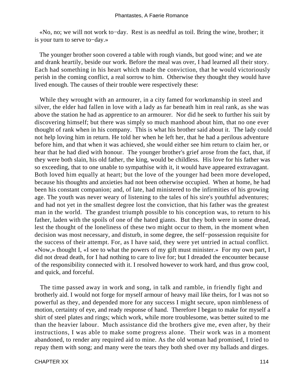«No, no; we will not work to−day. Rest is as needful as toil. Bring the wine, brother; it is your turn to serve to−day.»

 The younger brother soon covered a table with rough viands, but good wine; and we ate and drank heartily, beside our work. Before the meal was over, I had learned all their story. Each had something in his heart which made the conviction, that he would victoriously perish in the coming conflict, a real sorrow to him. Otherwise they thought they would have lived enough. The causes of their trouble were respectively these:

 While they wrought with an armourer, in a city famed for workmanship in steel and silver, the elder had fallen in love with a lady as far beneath him in real rank, as she was above the station he had as apprentice to an armourer. Nor did he seek to further his suit by discovering himself; but there was simply so much manhood about him, that no one ever thought of rank when in his company. This is what his brother said about it. The lady could not help loving him in return. He told her when he left her, that he had a perilous adventure before him, and that when it was achieved, she would either see him return to claim her, or hear that he had died with honour. The younger brother's grief arose from the fact, that, if they were both slain, his old father, the king, would be childless. His love for his father was so exceeding, that to one unable to sympathise with it, it would have appeared extravagant. Both loved him equally at heart; but the love of the younger had been more developed, because his thoughts and anxieties had not been otherwise occupied. When at home, he had been his constant companion; and, of late, had ministered to the infirmities of his growing age. The youth was never weary of listening to the tales of his sire's youthful adventures; and had not yet in the smallest degree lost the conviction, that his father was the greatest man in the world. The grandest triumph possible to his conception was, to return to his father, laden with the spoils of one of the hated giants. But they both were in some dread, lest the thought of the loneliness of these two might occur to them, in the moment when decision was most necessary, and disturb, in some degree, the self−possession requisite for the success of their attempt. For, as I have said, they were yet untried in actual conflict. «Now,» thought I, «I see to what the powers of my gift must minister.» For my own part, I did not dread death, for I had nothing to care to live for; but I dreaded the encounter because of the responsibility connected with it. I resolved however to work hard, and thus grow cool, and quick, and forceful.

 The time passed away in work and song, in talk and ramble, in friendly fight and brotherly aid. I would not forge for myself armour of heavy mail like theirs, for I was not so powerful as they, and depended more for any success I might secure, upon nimbleness of motion, certainty of eye, and ready response of hand. Therefore I began to make for myself a shirt of steel plates and rings; which work, while more troublesome, was better suited to me than the heavier labour. Much assistance did the brothers give me, even after, by their instructions, I was able to make some progress alone. Their work was in a moment abandoned, to render any required aid to mine. As the old woman had promised, I tried to repay them with song; and many were the tears they both shed over my ballads and dirges.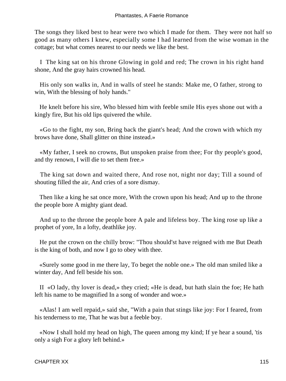The songs they liked best to hear were two which I made for them. They were not half so good as many others I knew, especially some I had learned from the wise woman in the cottage; but what comes nearest to our needs we like the best.

 I The king sat on his throne Glowing in gold and red; The crown in his right hand shone, And the gray hairs crowned his head.

 His only son walks in, And in walls of steel he stands: Make me, O father, strong to win, With the blessing of holy hands."

 He knelt before his sire, Who blessed him with feeble smile His eyes shone out with a kingly fire, But his old lips quivered the while.

 «Go to the fight, my son, Bring back the giant's head; And the crown with which my brows have done, Shall glitter on thine instead.»

 «My father, I seek no crowns, But unspoken praise from thee; For thy people's good, and thy renown, I will die to set them free.»

 The king sat down and waited there, And rose not, night nor day; Till a sound of shouting filled the air, And cries of a sore dismay.

 Then like a king he sat once more, With the crown upon his head; And up to the throne the people bore A mighty giant dead.

 And up to the throne the people bore A pale and lifeless boy. The king rose up like a prophet of yore, In a lofty, deathlike joy.

 He put the crown on the chilly brow: "Thou should'st have reigned with me But Death is the king of both, and now I go to obey with thee.

 «Surely some good in me there lay, To beget the noble one.» The old man smiled like a winter day, And fell beside his son.

 II «O lady, thy lover is dead,» they cried; «He is dead, but hath slain the foe; He hath left his name to be magnified In a song of wonder and woe.»

 «Alas! I am well repaid,» said she, "With a pain that stings like joy: For I feared, from his tenderness to me, That he was but a feeble boy.

 «Now I shall hold my head on high, The queen among my kind; If ye hear a sound, 'tis only a sigh For a glory left behind.»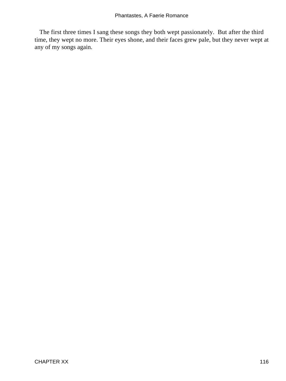The first three times I sang these songs they both wept passionately. But after the third time, they wept no more. Their eyes shone, and their faces grew pale, but they never wept at any of my songs again.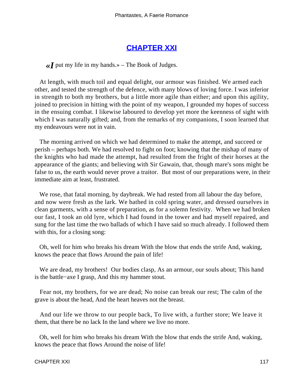## **[CHAPTER XXI](#page-143-0)**

<span id="page-117-0"></span> $\ll$ *I* put my life in my hands.» – The Book of Judges.

 At length, with much toil and equal delight, our armour was finished. We armed each other, and tested the strength of the defence, with many blows of loving force. I was inferior in strength to both my brothers, but a little more agile than either; and upon this agility, joined to precision in hitting with the point of my weapon, I grounded my hopes of success in the ensuing combat. I likewise laboured to develop yet more the keenness of sight with which I was naturally gifted; and, from the remarks of my companions, I soon learned that my endeavours were not in vain.

 The morning arrived on which we had determined to make the attempt, and succeed or perish – perhaps both. We had resolved to fight on foot; knowing that the mishap of many of the knights who had made the attempt, had resulted from the fright of their horses at the appearance of the giants; and believing with Sir Gawain, that, though mare's sons might be false to us, the earth would never prove a traitor. But most of our preparations were, in their immediate aim at least, frustrated.

 We rose, that fatal morning, by daybreak. We had rested from all labour the day before, and now were fresh as the lark. We bathed in cold spring water, and dressed ourselves in clean garments, with a sense of preparation, as for a solemn festivity. When we had broken our fast, I took an old lyre, which I had found in the tower and had myself repaired, and sung for the last time the two ballads of which I have said so much already. I followed them with this, for a closing song:

 Oh, well for him who breaks his dream With the blow that ends the strife And, waking, knows the peace that flows Around the pain of life!

We are dead, my brothers! Our bodies clasp, As an armour, our souls about; This hand is the battle−axe I grasp, And this my hammer stout.

 Fear not, my brothers, for we are dead; No noise can break our rest; The calm of the grave is about the head, And the heart heaves not the breast.

 And our life we throw to our people back, To live with, a further store; We leave it them, that there be no lack In the land where we live no more.

 Oh, well for him who breaks his dream With the blow that ends the strife And, waking, knows the peace that flows Around the noise of life!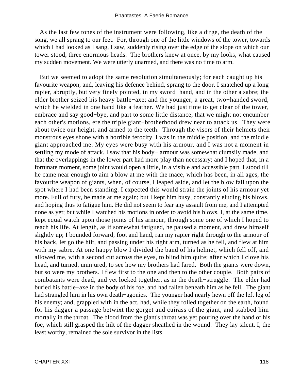As the last few tones of the instrument were following, like a dirge, the death of the song, we all sprang to our feet. For, through one of the little windows of the tower, towards which I had looked as I sang, I saw, suddenly rising over the edge of the slope on which our tower stood, three enormous heads. The brothers knew at once, by my looks, what caused my sudden movement. We were utterly unarmed, and there was no time to arm.

 But we seemed to adopt the same resolution simultaneously; for each caught up his favourite weapon, and, leaving his defence behind, sprang to the door. I snatched up a long rapier, abruptly, but very finely pointed, in my sword−hand, and in the other a sabre; the elder brother seized his heavy battle−axe; and the younger, a great, two−handed sword, which he wielded in one hand like a feather. We had just time to get clear of the tower, embrace and say good−bye, and part to some little distance, that we might not encumber each other's motions, ere the triple giant−brotherhood drew near to attack us. They were about twice our height, and armed to the teeth. Through the visors of their helmets their monstrous eyes shone with a horrible ferocity. I was in the middle position, and the middle giant approached me. My eyes were busy with his armour, and I was not a moment in settling my mode of attack. I saw that his body– armour was somewhat clumsily made, and that the overlappings in the lower part had more play than necessary; and I hoped that, in a fortunate moment, some joint would open a little, in a visible and accessible part. I stood till he came near enough to aim a blow at me with the mace, which has been, in all ages, the favourite weapon of giants, when, of course, I leaped aside, and let the blow fall upon the spot where I had been standing. I expected this would strain the joints of his armour yet more. Full of fury, he made at me again; but I kept him busy, constantly eluding his blows, and hoping thus to fatigue him. He did not seem to fear any assault from me, and I attempted none as yet; but while I watched his motions in order to avoid his blows, I, at the same time, kept equal watch upon those joints of his armour, through some one of which I hoped to reach his life. At length, as if somewhat fatigued, he paused a moment, and drew himself slightly up; I bounded forward, foot and hand, ran my rapier right through to the armour of his back, let go the hilt, and passing under his right arm, turned as he fell, and flew at him with my sabre. At one happy blow I divided the band of his helmet, which fell off, and allowed me, with a second cut across the eyes, to blind him quite; after which I clove his head, and turned, uninjured, to see how my brothers had fared. Both the giants were down, but so were my brothers. I flew first to the one and then to the other couple. Both pairs of combatants were dead, and yet locked together, as in the death−struggle. The elder had buried his battle−axe in the body of his foe, and had fallen beneath him as he fell. The giant had strangled him in his own death−agonies. The younger had nearly hewn off the left leg of his enemy; and, grappled with in the act, had, while they rolled together on the earth, found for his dagger a passage betwixt the gorget and cuirass of the giant, and stabbed him mortally in the throat. The blood from the giant's throat was yet pouring over the hand of his foe, which still grasped the hilt of the dagger sheathed in the wound. They lay silent. I, the least worthy, remained the sole survivor in the lists.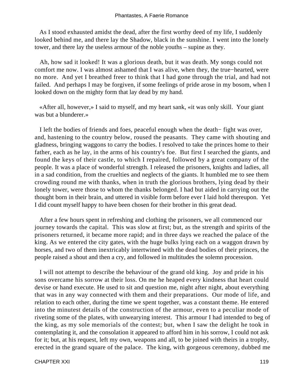As I stood exhausted amidst the dead, after the first worthy deed of my life, I suddenly looked behind me, and there lay the Shadow, black in the sunshine. I went into the lonely tower, and there lay the useless armour of the noble youths – supine as they.

 Ah, how sad it looked! It was a glorious death, but it was death. My songs could not comfort me now. I was almost ashamed that I was alive, when they, the true−hearted, were no more. And yet I breathed freer to think that I had gone through the trial, and had not failed. And perhaps I may be forgiven, if some feelings of pride arose in my bosom, when I looked down on the mighty form that lay dead by my hand.

 «After all, however,» I said to myself, and my heart sank, «it was only skill. Your giant was but a blunderer.»

 I left the bodies of friends and foes, peaceful enough when the death− fight was over, and, hastening to the country below, roused the peasants. They came with shouting and gladness, bringing waggons to carry the bodies. I resolved to take the princes home to their father, each as he lay, in the arms of his country's foe. But first I searched the giants, and found the keys of their castle, to which I repaired, followed by a great company of the people. It was a place of wonderful strength. I released the prisoners, knights and ladies, all in a sad condition, from the cruelties and neglects of the giants. It humbled me to see them crowding round me with thanks, when in truth the glorious brothers, lying dead by their lonely tower, were those to whom the thanks belonged. I had but aided in carrying out the thought born in their brain, and uttered in visible form before ever I laid hold thereupon. Yet I did count myself happy to have been chosen for their brother in this great dead.

 After a few hours spent in refreshing and clothing the prisoners, we all commenced our journey towards the capital. This was slow at first; but, as the strength and spirits of the prisoners returned, it became more rapid; and in three days we reached the palace of the king. As we entered the city gates, with the huge bulks lying each on a waggon drawn by horses, and two of them inextricably intertwined with the dead bodies of their princes, the people raised a shout and then a cry, and followed in multitudes the solemn procession.

 I will not attempt to describe the behaviour of the grand old king. Joy and pride in his sons overcame his sorrow at their loss. On me he heaped every kindness that heart could devise or hand execute. He used to sit and question me, night after night, about everything that was in any way connected with them and their preparations. Our mode of life, and relation to each other, during the time we spent together, was a constant theme. He entered into the minutest details of the construction of the armour, even to a peculiar mode of riveting some of the plates, with unwearying interest. This armour I had intended to beg of the king, as my sole memorials of the contest; but, when I saw the delight he took in contemplating it, and the consolation it appeared to afford him in his sorrow, I could not ask for it; but, at his request, left my own, weapons and all, to be joined with theirs in a trophy, erected in the grand square of the palace. The king, with gorgeous ceremony, dubbed me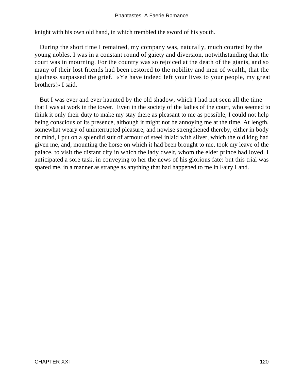knight with his own old hand, in which trembled the sword of his youth.

 During the short time I remained, my company was, naturally, much courted by the young nobles. I was in a constant round of gaiety and diversion, notwithstanding that the court was in mourning. For the country was so rejoiced at the death of the giants, and so many of their lost friends had been restored to the nobility and men of wealth, that the gladness surpassed the grief. «Ye have indeed left your lives to your people, my great brothers!» I said.

 But I was ever and ever haunted by the old shadow, which I had not seen all the time that I was at work in the tower. Even in the society of the ladies of the court, who seemed to think it only their duty to make my stay there as pleasant to me as possible, I could not help being conscious of its presence, although it might not be annoying me at the time. At length, somewhat weary of uninterrupted pleasure, and nowise strengthened thereby, either in body or mind, I put on a splendid suit of armour of steel inlaid with silver, which the old king had given me, and, mounting the horse on which it had been brought to me, took my leave of the palace, to visit the distant city in which the lady dwelt, whom the elder prince had loved. I anticipated a sore task, in conveying to her the news of his glorious fate: but this trial was spared me, in a manner as strange as anything that had happened to me in Fairy Land.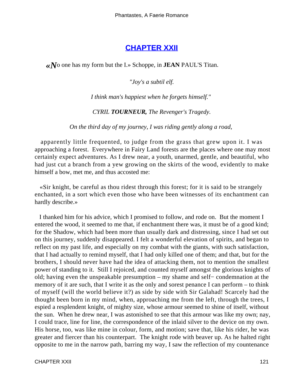### **[CHAPTER XXII](#page-143-0)**

<span id="page-121-0"></span>*«N*o one has my form but the I.» Schoppe, in **JEAN** PAUL'S Titan.

*"Joy's a subtil elf.*

*I think man's happiest when he forgets himself."* 

*CYRIL TOURNEUR, The Revenger's Tragedy.*

*On the third day of my journey, I was riding gently along a road,* 

 apparently little frequented, to judge from the grass that grew upon it. I was approaching a forest. Everywhere in Fairy Land forests are the places where one may most certainly expect adventures. As I drew near, a youth, unarmed, gentle, and beautiful, who had just cut a branch from a yew growing on the skirts of the wood, evidently to make himself a bow, met me, and thus accosted me:

 «Sir knight, be careful as thou ridest through this forest; for it is said to be strangely enchanted, in a sort which even those who have been witnesses of its enchantment can hardly describe.»

 I thanked him for his advice, which I promised to follow, and rode on. But the moment I entered the wood, it seemed to me that, if enchantment there was, it must be of a good kind; for the Shadow, which had been more than usually dark and distressing, since I had set out on this journey, suddenly disappeared. I felt a wonderful elevation of spirits, and began to reflect on my past life, and especially on my combat with the giants, with such satisfaction, that I had actually to remind myself, that I had only killed one of them; and that, but for the brothers, I should never have had the idea of attacking them, not to mention the smallest power of standing to it. Still I rejoiced, and counted myself amongst the glorious knights of old; having even the unspeakable presumption – my shame and self− condemnation at the memory of it are such, that I write it as the only and sorest penance I can perform – to think of myself (will the world believe it?) as side by side with Sir Galahad! Scarcely had the thought been born in my mind, when, approaching me from the left, through the trees, I espied a resplendent knight, of mighty size, whose armour seemed to shine of itself, without the sun. When he drew near, I was astonished to see that this armour was like my own; nay, I could trace, line for line, the correspondence of the inlaid silver to the device on my own. His horse, too, was like mine in colour, form, and motion; save that, like his rider, he was greater and fiercer than his counterpart. The knight rode with beaver up. As he halted right opposite to me in the narrow path, barring my way, I saw the reflection of my countenance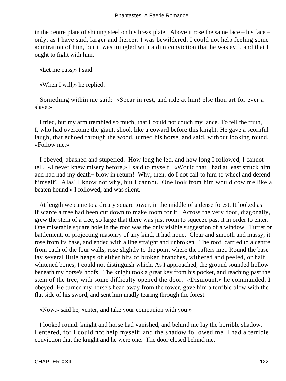in the centre plate of shining steel on his breastplate. Above it rose the same face – his face – only, as I have said, larger and fiercer. I was bewildered. I could not help feeling some admiration of him, but it was mingled with a dim conviction that he was evil, and that I ought to fight with him.

«Let me pass,» I said.

«When I will,» he replied.

 Something within me said: «Spear in rest, and ride at him! else thou art for ever a slave.»

 I tried, but my arm trembled so much, that I could not couch my lance. To tell the truth, I, who had overcome the giant, shook like a coward before this knight. He gave a scornful laugh, that echoed through the wood, turned his horse, and said, without looking round, «Follow me.»

 I obeyed, abashed and stupefied. How long he led, and how long I followed, I cannot tell. «I never knew misery before,» I said to myself. «Would that I had at least struck him, and had had my death− blow in return! Why, then, do I not call to him to wheel and defend himself? Alas! I know not why, but I cannot. One look from him would cow me like a beaten hound.» I followed, and was silent.

 At length we came to a dreary square tower, in the middle of a dense forest. It looked as if scarce a tree had been cut down to make room for it. Across the very door, diagonally, grew the stem of a tree, so large that there was just room to squeeze past it in order to enter. One miserable square hole in the roof was the only visible suggestion of a window. Turret or battlement, or projecting masonry of any kind, it had none. Clear and smooth and massy, it rose from its base, and ended with a line straight and unbroken. The roof, carried to a centre from each of the four walls, rose slightly to the point where the rafters met. Round the base lay several little heaps of either bits of broken branches, withered and peeled, or half− whitened bones; I could not distinguish which. As I approached, the ground sounded hollow beneath my horse's hoofs. The knight took a great key from his pocket, and reaching past the stem of the tree, with some difficulty opened the door. «Dismount,» he commanded. I obeyed. He turned my horse's head away from the tower, gave him a terrible blow with the flat side of his sword, and sent him madly tearing through the forest.

«Now,» said he, «enter, and take your companion with you.»

 I looked round: knight and horse had vanished, and behind me lay the horrible shadow. I entered, for I could not help myself; and the shadow followed me. I had a terrible conviction that the knight and he were one. The door closed behind me.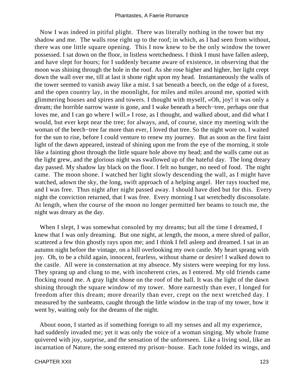Now I was indeed in pitiful plight. There was literally nothing in the tower but my shadow and me. The walls rose right up to the roof; in which, as I had seen from without, there was one little square opening. This I now knew to be the only window the tower possessed. I sat down on the floor, in listless wretchedness. I think I must have fallen asleep, and have slept for hours; for I suddenly became aware of existence, in observing that the moon was shining through the hole in the roof. As she rose higher and higher, her light crept down the wall over me, till at last it shone right upon my head. Instantaneously the walls of the tower seemed to vanish away like a mist. I sat beneath a beech, on the edge of a forest, and the open country lay, in the moonlight, for miles and miles around me, spotted with glimmering houses and spires and towers. I thought with myself, «Oh, joy! it was only a dream; the horrible narrow waste is gone, and I wake beneath a beech−tree, perhaps one that loves me, and I can go where I will.» I rose, as I thought, and walked about, and did what I would, but ever kept near the tree; for always, and, of course, since my meeting with the woman of the beech−tree far more than ever, I loved that tree. So the night wore on. I waited for the sun to rise, before I could venture to renew my journey. But as soon as the first faint light of the dawn appeared, instead of shining upon me from the eye of the morning, it stole like a fainting ghost through the little square hole above my head; and the walls came out as the light grew, and the glorious night was swallowed up of the hateful day. The long dreary day passed. My shadow lay black on the floor. I felt no hunger, no need of food. The night came. The moon shone. I watched her light slowly descending the wall, as I might have watched, adown the sky, the long, swift approach of a helping angel. Her rays touched me, and I was free. Thus night after night passed away. I should have died but for this. Every night the conviction returned, that I was free. Every morning I sat wretchedly disconsolate. At length, when the course of the moon no longer permitted her beams to touch me, the night was dreary as the day.

When I slept, I was somewhat consoled by my dreams; but all the time I dreamed, I knew that I was only dreaming. But one night, at length, the moon, a mere shred of pallor, scattered a few thin ghostly rays upon me; and I think I fell asleep and dreamed. I sat in an autumn night before the vintage, on a hill overlooking my own castle. My heart sprang with joy. Oh, to be a child again, innocent, fearless, without shame or desire! I walked down to the castle. All were in consternation at my absence. My sisters were weeping for my loss. They sprang up and clung to me, with incoherent cries, as I entered. My old friends came flocking round me. A gray light shone on the roof of the hall. It was the light of the dawn shining through the square window of my tower. More earnestly than ever, I longed for freedom after this dream; more drearily than ever, crept on the next wretched day. I measured by the sunbeams, caught through the little window in the trap of my tower, how it went by, waiting only for the dreams of the night.

 About noon, I started as if something foreign to all my senses and all my experience, had suddenly invaded me; yet it was only the voice of a woman singing. My whole frame quivered with joy, surprise, and the sensation of the unforeseen. Like a living soul, like an incarnation of Nature, the song entered my prison−house. Each tone folded its wings, and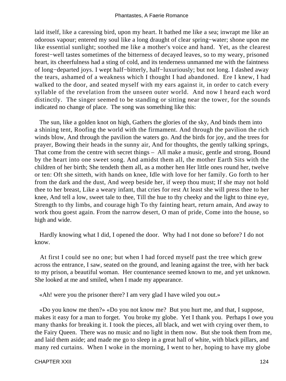laid itself, like a caressing bird, upon my heart. It bathed me like a sea; inwrapt me like an odorous vapour; entered my soul like a long draught of clear spring−water; shone upon me like essential sunlight; soothed me like a mother's voice and hand. Yet, as the clearest forest−well tastes sometimes of the bitterness of decayed leaves, so to my weary, prisoned heart, its cheerfulness had a sting of cold, and its tenderness unmanned me with the faintness of long−departed joys. I wept half−bitterly, half−luxuriously; but not long. I dashed away the tears, ashamed of a weakness which I thought I had abandoned. Ere I knew, I had walked to the door, and seated myself with my ears against it, in order to catch every syllable of the revelation from the unseen outer world. And now I heard each word distinctly. The singer seemed to be standing or sitting near the tower, for the sounds indicated no change of place. The song was something like this:

 The sun, like a golden knot on high, Gathers the glories of the sky, And binds them into a shining tent, Roofing the world with the firmament. And through the pavilion the rich winds blow, And through the pavilion the waters go. And the birds for joy, and the trees for prayer, Bowing their heads in the sunny air, And for thoughts, the gently talking springs, That come from the centre with secret things – All make a music, gentle and strong, Bound by the heart into one sweet song. And amidst them all, the mother Earth Sits with the children of her birth; She tendeth them all, as a mother hen Her little ones round her, twelve or ten: Oft she sitteth, with hands on knee, Idle with love for her family. Go forth to her from the dark and the dust, And weep beside her, if weep thou must; If she may not hold thee to her breast, Like a weary infant, that cries for rest At least she will press thee to her knee, And tell a low, sweet tale to thee, Till the hue to thy cheeky and the light to thine eye, Strength to thy limbs, and courage high To thy fainting heart, return amain, And away to work thou goest again. From the narrow desert, O man of pride, Come into the house, so high and wide.

 Hardly knowing what I did, I opened the door. Why had I not done so before? I do not know.

 At first I could see no one; but when I had forced myself past the tree which grew across the entrance, I saw, seated on the ground, and leaning against the tree, with her back to my prison, a beautiful woman. Her countenance seemed known to me, and yet unknown. She looked at me and smiled, when I made my appearance.

«Ah! were you the prisoner there? I am very glad I have wiled you out.»

 «Do you know me then?» «Do you not know me? But you hurt me, and that, I suppose, makes it easy for a man to forget. You broke my globe. Yet I thank you. Perhaps I owe you many thanks for breaking it. I took the pieces, all black, and wet with crying over them, to the Fairy Queen. There was no music and no light in them now. But she took them from me, and laid them aside; and made me go to sleep in a great hall of white, with black pillars, and many red curtains. When I woke in the morning, I went to her, hoping to have my globe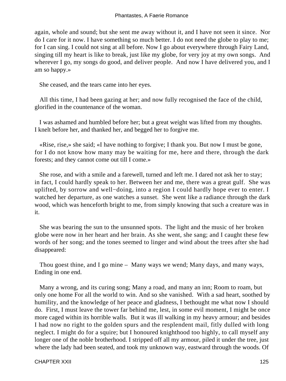again, whole and sound; but she sent me away without it, and I have not seen it since. Nor do I care for it now. I have something so much better. I do not need the globe to play to me; for I can sing. I could not sing at all before. Now I go about everywhere through Fairy Land, singing till my heart is like to break, just like my globe, for very joy at my own songs. And wherever I go, my songs do good, and deliver people. And now I have delivered you, and I am so happy.»

She ceased, and the tears came into her eyes.

 All this time, I had been gazing at her; and now fully recognised the face of the child, glorified in the countenance of the woman.

 I was ashamed and humbled before her; but a great weight was lifted from my thoughts. I knelt before her, and thanked her, and begged her to forgive me.

 «Rise, rise,» she said; «I have nothing to forgive; I thank you. But now I must be gone, for I do not know how many may be waiting for me, here and there, through the dark forests; and they cannot come out till I come.»

 She rose, and with a smile and a farewell, turned and left me. I dared not ask her to stay; in fact, I could hardly speak to her. Between her and me, there was a great gulf. She was uplifted, by sorrow and well−doing, into a region I could hardly hope ever to enter. I watched her departure, as one watches a sunset. She went like a radiance through the dark wood, which was henceforth bright to me, from simply knowing that such a creature was in it.

 She was bearing the sun to the unsunned spots. The light and the music of her broken globe were now in her heart and her brain. As she went, she sang; and I caught these few words of her song; and the tones seemed to linger and wind about the trees after she had disappeared:

 Thou goest thine, and I go mine – Many ways we wend; Many days, and many ways, Ending in one end.

 Many a wrong, and its curing song; Many a road, and many an inn; Room to roam, but only one home For all the world to win. And so she vanished. With a sad heart, soothed by humility, and the knowledge of her peace and gladness, I bethought me what now I should do. First, I must leave the tower far behind me, lest, in some evil moment, I might be once more caged within its horrible walls. But it was ill walking in my heavy armour; and besides I had now no right to the golden spurs and the resplendent mail, fitly dulled with long neglect. I might do for a squire; but I honoured knighthood too highly, to call myself any longer one of the noble brotherhood. I stripped off all my armour, piled it under the tree, just where the lady had been seated, and took my unknown way, eastward through the woods. Of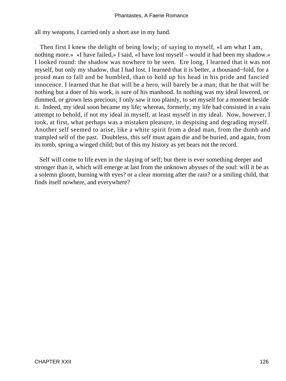all my weapons, I carried only a short axe in my hand.

 Then first I knew the delight of being lowly; of saying to myself, «I am what I am, nothing more.» «I have failed,» I said, «I have lost myself – would it had been my shadow.» I looked round: the shadow was nowhere to be seen. Ere long, I learned that it was not myself, but only my shadow, that I had lost. I learned that it is better, a thousand−fold, for a proud man to fall and be humbled, than to hold up his head in his pride and fancied innocence. I learned that he that will be a hero, will barely be a man; that he that will be nothing but a doer of his work, is sure of his manhood. In nothing was my ideal lowered, or dimmed, or grown less precious; I only saw it too plainly, to set myself for a moment beside it. Indeed, my ideal soon became my life; whereas, formerly, my life had consisted in a vain attempt to behold, if not my ideal in myself, at least myself in my ideal. Now, however, I took, at first, what perhaps was a mistaken pleasure, in despising and degrading myself. Another self seemed to arise, like a white spirit from a dead man, from the dumb and trampled self of the past. Doubtless, this self must again die and be buried, and again, from its tomb, spring a winged child; but of this my history as yet bears not the record.

 Self will come to life even in the slaying of self; but there is ever something deeper and stronger than it, which will emerge at last from the unknown abysses of the soul: will it be as a solemn gloom, burning with eyes? or a clear morning after the rain? or a smiling child, that finds itself nowhere, and everywhere?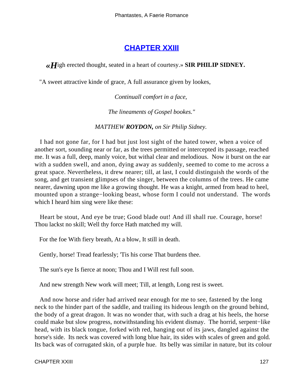# **[CHAPTER XXIII](#page-143-0)**

<span id="page-127-0"></span>*«H*igh erected thought, seated in a heart of courtesy.» **SIR PHILIP SIDNEY.**

"A sweet attractive kinde of grace, A full assurance given by lookes,

*Continuall comfort in a face,* 

*The lineaments of Gospel bookes."*

*MATTHEW ROYDON, on Sir Philip Sidney.* 

 I had not gone far, for I had but just lost sight of the hated tower, when a voice of another sort, sounding near or far, as the trees permitted or intercepted its passage, reached me. It was a full, deep, manly voice, but withal clear and melodious. Now it burst on the ear with a sudden swell, and anon, dying away as suddenly, seemed to come to me across a great space. Nevertheless, it drew nearer; till, at last, I could distinguish the words of the song, and get transient glimpses of the singer, between the columns of the trees. He came nearer, dawning upon me like a growing thought. He was a knight, armed from head to heel, mounted upon a strange−looking beast, whose form I could not understand. The words which I heard him sing were like these:

 Heart be stout, And eye be true; Good blade out! And ill shall rue. Courage, horse! Thou lackst no skill; Well thy force Hath matched my will.

For the foe With fiery breath, At a blow, It still in death.

Gently, horse! Tread fearlessly; 'Tis his corse That burdens thee.

The sun's eye Is fierce at noon; Thou and I Will rest full soon.

And new strength New work will meet; Till, at length, Long rest is sweet.

 And now horse and rider had arrived near enough for me to see, fastened by the long neck to the hinder part of the saddle, and trailing its hideous length on the ground behind, the body of a great dragon. It was no wonder that, with such a drag at his heels, the horse could make but slow progress, notwithstanding his evident dismay. The horrid, serpent−like head, with its black tongue, forked with red, hanging out of its jaws, dangled against the horse's side. Its neck was covered with long blue hair, its sides with scales of green and gold. Its back was of corrugated skin, of a purple hue. Its belly was similar in nature, but its colour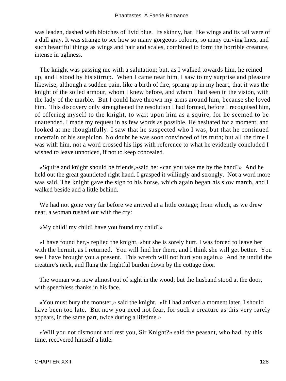was leaden, dashed with blotches of livid blue. Its skinny, bat−like wings and its tail were of a dull gray. It was strange to see how so many gorgeous colours, so many curving lines, and such beautiful things as wings and hair and scales, combined to form the horrible creature, intense in ugliness.

 The knight was passing me with a salutation; but, as I walked towards him, he reined up, and I stood by his stirrup. When I came near him, I saw to my surprise and pleasure likewise, although a sudden pain, like a birth of fire, sprang up in my heart, that it was the knight of the soiled armour, whom I knew before, and whom I had seen in the vision, with the lady of the marble. But I could have thrown my arms around him, because she loved him. This discovery only strengthened the resolution I had formed, before I recognised him, of offering myself to the knight, to wait upon him as a squire, for he seemed to be unattended. I made my request in as few words as possible. He hesitated for a moment, and looked at me thoughtfully. I saw that he suspected who I was, but that he continued uncertain of his suspicion. No doubt he was soon convinced of its truth; but all the time I was with him, not a word crossed his lips with reference to what he evidently concluded I wished to leave unnoticed, if not to keep concealed.

 «Squire and knight should be friends,»said he: «can you take me by the hand?» And he held out the great gauntleted right hand. I grasped it willingly and strongly. Not a word more was said. The knight gave the sign to his horse, which again began his slow march, and I walked beside and a little behind.

We had not gone very far before we arrived at a little cottage; from which, as we drew near, a woman rushed out with the cry:

«My child! my child! have you found my child?»

 «I have found her,» replied the knight, «but she is sorely hurt. I was forced to leave her with the hermit, as I returned. You will find her there, and I think she will get better. You see I have brought you a present. This wretch will not hurt you again.» And he undid the creature's neck, and flung the frightful burden down by the cottage door.

 The woman was now almost out of sight in the wood; but the husband stood at the door, with speechless thanks in his face.

 «You must bury the monster,» said the knight. «If I had arrived a moment later, I should have been too late. But now you need not fear, for such a creature as this very rarely appears, in the same part, twice during a lifetime.»

 «Will you not dismount and rest you, Sir Knight?» said the peasant, who had, by this time, recovered himself a little.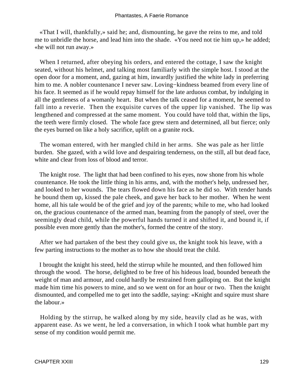«That I will, thankfully,» said he; and, dismounting, he gave the reins to me, and told me to unbridle the horse, and lead him into the shade. «You need not tie him up,» he added; «he will not run away.»

 When I returned, after obeying his orders, and entered the cottage, I saw the knight seated, without his helmet, and talking most familiarly with the simple host. I stood at the open door for a moment, and, gazing at him, inwardly justified the white lady in preferring him to me. A nobler countenance I never saw. Loving−kindness beamed from every line of his face. It seemed as if he would repay himself for the late arduous combat, by indulging in all the gentleness of a womanly heart. But when the talk ceased for a moment, he seemed to fall into a reverie. Then the exquisite curves of the upper lip vanished. The lip was lengthened and compressed at the same moment. You could have told that, within the lips, the teeth were firmly closed. The whole face grew stern and determined, all but fierce; only the eyes burned on like a holy sacrifice, uplift on a granite rock.

 The woman entered, with her mangled child in her arms. She was pale as her little burden. She gazed, with a wild love and despairing tenderness, on the still, all but dead face, white and clear from loss of blood and terror.

 The knight rose. The light that had been confined to his eyes, now shone from his whole countenance. He took the little thing in his arms, and, with the mother's help, undressed her, and looked to her wounds. The tears flowed down his face as he did so. With tender hands he bound them up, kissed the pale cheek, and gave her back to her mother. When he went home, all his tale would be of the grief and joy of the parents; while to me, who had looked on, the gracious countenance of the armed man, beaming from the panoply of steel, over the seemingly dead child, while the powerful hands turned it and shifted it, and bound it, if possible even more gently than the mother's, formed the centre of the story.

 After we had partaken of the best they could give us, the knight took his leave, with a few parting instructions to the mother as to how she should treat the child.

 I brought the knight his steed, held the stirrup while he mounted, and then followed him through the wood. The horse, delighted to be free of his hideous load, bounded beneath the weight of man and armour, and could hardly be restrained from galloping on. But the knight made him time his powers to mine, and so we went on for an hour or two. Then the knight dismounted, and compelled me to get into the saddle, saying: «Knight and squire must share the labour.»

 Holding by the stirrup, he walked along by my side, heavily clad as he was, with apparent ease. As we went, he led a conversation, in which I took what humble part my sense of my condition would permit me.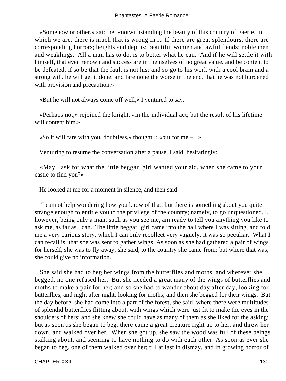«Somehow or other,» said he, «notwithstanding the beauty of this country of Faerie, in which we are, there is much that is wrong in it. If there are great splendours, there are corresponding horrors; heights and depths; beautiful women and awful fiends; noble men and weaklings. All a man has to do, is to better what he can. And if he will settle it with himself, that even renown and success are in themselves of no great value, and be content to be defeated, if so be that the fault is not his; and so go to his work with a cool brain and a strong will, he will get it done; and fare none the worse in the end, that he was not burdened with provision and precaution.»

«But he will not always come off well,» I ventured to say.

 «Perhaps not,» rejoined the knight, «in the individual act; but the result of his lifetime will content him.»

 $\triangleleft$ So it will fare with you, doubtless,» thought I; «but for me – –»

Venturing to resume the conversation after a pause, I said, hesitatingly:

 «May I ask for what the little beggar−girl wanted your aid, when she came to your castle to find you?»

He looked at me for a moment in silence, and then said –

 "I cannot help wondering how you know of that; but there is something about you quite strange enough to entitle you to the privilege of the country; namely, to go unquestioned. I, however, being only a man, such as you see me, am ready to tell you anything you like to ask me, as far as I can. The little beggar−girl came into the hall where I was sitting, and told me a very curious story, which I can only recollect very vaguely, it was so peculiar. What I can recall is, that she was sent to gather wings. As soon as she had gathered a pair of wings for herself, she was to fly away, she said, to the country she came from; but where that was, she could give no information.

 She said she had to beg her wings from the butterflies and moths; and wherever she begged, no one refused her. But she needed a great many of the wings of butterflies and moths to make a pair for her; and so she had to wander about day after day, looking for butterflies, and night after night, looking for moths; and then she begged for their wings. But the day before, she had come into a part of the forest, she said, where there were multitudes of splendid butterflies flitting about, with wings which were just fit to make the eyes in the shoulders of hers; and she knew she could have as many of them as she liked for the asking; but as soon as she began to beg, there came a great creature right up to her, and threw her down, and walked over her. When she got up, she saw the wood was full of these beings stalking about, and seeming to have nothing to do with each other. As soon as ever she began to beg, one of them walked over her; till at last in dismay, and in growing horror of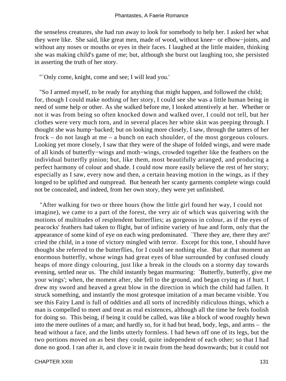the senseless creatures, she had run away to look for somebody to help her. I asked her what they were like. She said, like great men, made of wood, without knee− or elbow−joints, and without any noses or mouths or eyes in their faces. I laughed at the little maiden, thinking she was making child's game of me; but, although she burst out laughing too, she persisted in asserting the truth of her story.

"`Only come, knight, come and see; I will lead you.'

 "So I armed myself, to be ready for anything that might happen, and followed the child; for, though I could make nothing of her story, I could see she was a little human being in need of some help or other. As she walked before me, I looked attentively at her. Whether or not it was from being so often knocked down and walked over, I could not tell, but her clothes were very much torn, and in several places her white skin was peeping through. I thought she was hump−backed; but on looking more closely, I saw, through the tatters of her frock – do not laugh at me – a bunch on each shoulder, of the most gorgeous colours. Looking yet more closely, I saw that they were of the shape of folded wings, and were made of all kinds of butterfly−wings and moth−wings, crowded together like the feathers on the individual butterfly pinion; but, like them, most beautifully arranged, and producing a perfect harmony of colour and shade. I could now more easily believe the rest of her story; especially as I saw, every now and then, a certain heaving motion in the wings, as if they longed to be uplifted and outspread. But beneath her scanty garments complete wings could not be concealed, and indeed, from her own story, they were yet unfinished.

 "After walking for two or three hours (how the little girl found her way, I could not imagine), we came to a part of the forest, the very air of which was quivering with the motions of multitudes of resplendent butterflies; as gorgeous in colour, as if the eyes of peacocks' feathers had taken to flight, but of infinite variety of hue and form, only that the appearance of some kind of eye on each wing predominated. `There they are, there they are!' cried the child, in a tone of victory mingled with terror. Except for this tone, I should have thought she referred to the butterflies, for I could see nothing else. But at that moment an enormous butterfly, whose wings had great eyes of blue surrounded by confused cloudy heaps of more dingy colouring, just like a break in the clouds on a stormy day towards evening, settled near us. The child instantly began murmuring: `Butterfly, butterfly, give me your wings'; when, the moment after, she fell to the ground, and began crying as if hurt. I drew my sword and heaved a great blow in the direction in which the child had fallen. It struck something, and instantly the most grotesque imitation of a man became visible. You see this Fairy Land is full of oddities and all sorts of incredibly ridiculous things, which a man is compelled to meet and treat as real existences, although all the time he feels foolish for doing so. This being, if being it could be called, was like a block of wood roughly hewn into the mere outlines of a man; and hardly so, for it had but head, body, legs, and arms – the head without a face, and the limbs utterly formless. I had hewn off one of its legs, but the two portions moved on as best they could, quite independent of each other; so that I had done no good. I ran after it, and clove it in twain from the head downwards; but it could not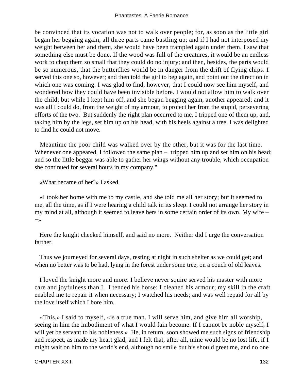be convinced that its vocation was not to walk over people; for, as soon as the little girl began her begging again, all three parts came bustling up; and if I had not interposed my weight between her and them, she would have been trampled again under them. I saw that something else must be done. If the wood was full of the creatures, it would be an endless work to chop them so small that they could do no injury; and then, besides, the parts would be so numerous, that the butterflies would be in danger from the drift of flying chips. I served this one so, however; and then told the girl to beg again, and point out the direction in which one was coming. I was glad to find, however, that I could now see him myself, and wondered how they could have been invisible before. I would not allow him to walk over the child; but while I kept him off, and she began begging again, another appeared; and it was all I could do, from the weight of my armour, to protect her from the stupid, persevering efforts of the two. But suddenly the right plan occurred to me. I tripped one of them up, and, taking him by the legs, set him up on his head, with his heels against a tree. I was delighted to find he could not move.

 Meantime the poor child was walked over by the other, but it was for the last time. Whenever one appeared, I followed the same plan – tripped him up and set him on his head; and so the little beggar was able to gather her wings without any trouble, which occupation she continued for several hours in my company."

«What became of her?» I asked.

 «I took her home with me to my castle, and she told me all her story; but it seemed to me, all the time, as if I were hearing a child talk in its sleep. I could not arrange her story in my mind at all, although it seemed to leave hers in some certain order of its own. My wife – −»

 Here the knight checked himself, and said no more. Neither did I urge the conversation farther.

 Thus we journeyed for several days, resting at night in such shelter as we could get; and when no better was to be had, lying in the forest under some tree, on a couch of old leaves.

 I loved the knight more and more. I believe never squire served his master with more care and joyfulness than I. I tended his horse; I cleaned his armour; my skill in the craft enabled me to repair it when necessary; I watched his needs; and was well repaid for all by the love itself which I bore him.

 «This,» I said to myself, «is a true man. I will serve him, and give him all worship, seeing in him the imbodiment of what I would fain become. If I cannot be noble myself, I will yet be servant to his nobleness.» He, in return, soon showed me such signs of friendship and respect, as made my heart glad; and I felt that, after all, mine would be no lost life, if I might wait on him to the world's end, although no smile but his should greet me, and no one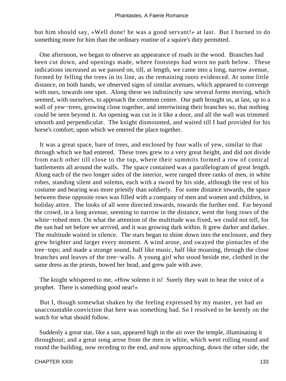but him should say, «Well done! he was a good servant!» at last. But I burned to do something more for him than the ordinary routine of a squire's duty permitted.

 One afternoon, we began to observe an appearance of roads in the wood. Branches had been cut down, and openings made, where footsteps had worn no path below. These indications increased as we passed on, till, at length, we came into a long, narrow avenue, formed by felling the trees in its line, as the remaining roots evidenced. At some little distance, on both hands, we observed signs of similar avenues, which appeared to converge with ours, towards one spot. Along these we indistinctly saw several forms moving, which seemed, with ourselves, to approach the common centre. Our path brought us, at last, up to a wall of yew−trees, growing close together, and intertwining their branches so, that nothing could be seen beyond it. An opening was cut in it like a door, and all the wall was trimmed smooth and perpendicular. The knight dismounted, and waited till I had provided for his horse's comfort; upon which we entered the place together.

 It was a great space, bare of trees, and enclosed by four walls of yew, similar to that through which we had entered. These trees grew to a very great height, and did not divide from each other till close to the top, where their summits formed a row of conical battlements all around the walls. The space contained was a parallelogram of great length. Along each of the two longer sides of the interior, were ranged three ranks of men, in white robes, standing silent and solemn, each with a sword by his side, although the rest of his costume and bearing was more priestly than soldierly. For some distance inwards, the space between these opposite rows was filled with a company of men and women and children, in holiday attire. The looks of all were directed inwards, towards the further end. Far beyond the crowd, in a long avenue, seeming to narrow in the distance, went the long rows of the white−robed men. On what the attention of the multitude was fixed, we could not tell, for the sun had set before we arrived, and it was growing dark within. It grew darker and darker. The multitude waited in silence. The stars began to shine down into the enclosure, and they grew brighter and larger every moment. A wind arose, and swayed the pinnacles of the tree−tops; and made a strange sound, half like music, half like moaning, through the close branches and leaves of the tree−walls. A young girl who stood beside me, clothed in the same dress as the priests, bowed her head, and grew pale with awe.

 The knight whispered to me, «How solemn it is! Surely they wait to hear the voice of a prophet. There is something good near!»

 But I, though somewhat shaken by the feeling expressed by my master, yet had an unaccountable conviction that here was something bad. So I resolved to be keenly on the watch for what should follow.

 Suddenly a great star, like a sun, appeared high in the air over the temple, illuminating it throughout; and a great song arose from the men in white, which went rolling round and round the building, now receding to the end, and now approaching, down the other side, the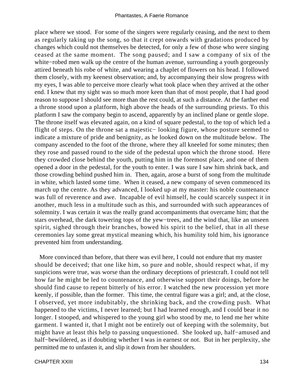place where we stood. For some of the singers were regularly ceasing, and the next to them as regularly taking up the song, so that it crept onwards with gradations produced by changes which could not themselves be detected, for only a few of those who were singing ceased at the same moment. The song paused; and I saw a company of six of the white−robed men walk up the centre of the human avenue, surrounding a youth gorgeously attired beneath his robe of white, and wearing a chaplet of flowers on his head. I followed them closely, with my keenest observation; and, by accompanying their slow progress with my eyes, I was able to perceive more clearly what took place when they arrived at the other end. I knew that my sight was so much more keen than that of most people, that I had good reason to suppose I should see more than the rest could, at such a distance. At the farther end a throne stood upon a platform, high above the heads of the surrounding priests. To this platform I saw the company begin to ascend, apparently by an inclined plane or gentle slope. The throne itself was elevated again, on a kind of square pedestal, to the top of which led a flight of steps. On the throne sat a majestic− looking figure, whose posture seemed to indicate a mixture of pride and benignity, as he looked down on the multitude below. The company ascended to the foot of the throne, where they all kneeled for some minutes; then they rose and passed round to the side of the pedestal upon which the throne stood. Here they crowded close behind the youth, putting him in the foremost place, and one of them opened a door in the pedestal, for the youth to enter. I was sure I saw him shrink back, and those crowding behind pushed him in. Then, again, arose a burst of song from the multitude in white, which lasted some time. When it ceased, a new company of seven commenced its march up the centre. As they advanced, I looked up at my master: his noble countenance was full of reverence and awe. Incapable of evil himself, he could scarcely suspect it in another, much less in a multitude such as this, and surrounded with such appearances of solemnity. I was certain it was the really grand accompaniments that overcame him; that the stars overhead, the dark towering tops of the yew−trees, and the wind that, like an unseen spirit, sighed through their branches, bowed his spirit to the belief, that in all these ceremonies lay some great mystical meaning which, his humility told him, his ignorance prevented him from understanding.

 More convinced than before, that there was evil here, I could not endure that my master should be deceived; that one like him, so pure and noble, should respect what, if my suspicions were true, was worse than the ordinary deceptions of priestcraft. I could not tell how far he might be led to countenance, and otherwise support their doings, before he should find cause to repent bitterly of his error. I watched the new procession yet more keenly, if possible, than the former. This time, the central figure was a girl; and, at the close, I observed, yet more indubitably, the shrinking back, and the crowding push. What happened to the victims, I never learned; but I had learned enough, and I could bear it no longer. I stooped, and whispered to the young girl who stood by me, to lend me her white garment. I wanted it, that I might not be entirely out of keeping with the solemnity, but might have at least this help to passing unquestioned. She looked up, half−amused and half−bewildered, as if doubting whether I was in earnest or not. But in her perplexity, she permitted me to unfasten it, and slip it down from her shoulders.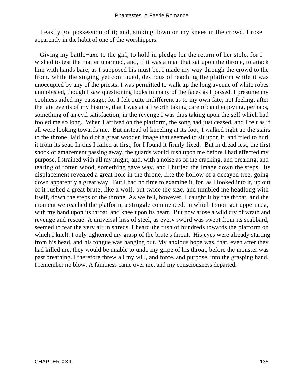I easily got possession of it; and, sinking down on my knees in the crowd, I rose apparently in the habit of one of the worshippers.

 Giving my battle−axe to the girl, to hold in pledge for the return of her stole, for I wished to test the matter unarmed, and, if it was a man that sat upon the throne, to attack him with hands bare, as I supposed his must be, I made my way through the crowd to the front, while the singing yet continued, desirous of reaching the platform while it was unoccupied by any of the priests. I was permitted to walk up the long avenue of white robes unmolested, though I saw questioning looks in many of the faces as I passed. I presume my coolness aided my passage; for I felt quite indifferent as to my own fate; not feeling, after the late events of my history, that I was at all worth taking care of; and enjoying, perhaps, something of an evil satisfaction, in the revenge I was thus taking upon the self which had fooled me so long. When I arrived on the platform, the song had just ceased, and I felt as if all were looking towards me. But instead of kneeling at its foot, I walked right up the stairs to the throne, laid hold of a great wooden image that seemed to sit upon it, and tried to hurl it from its seat. In this I failed at first, for I found it firmly fixed. But in dread lest, the first shock of amazement passing away, the guards would rush upon me before I had effected my purpose, I strained with all my might; and, with a noise as of the cracking, and breaking, and tearing of rotten wood, something gave way, and I hurled the image down the steps. Its displacement revealed a great hole in the throne, like the hollow of a decayed tree, going down apparently a great way. But I had no time to examine it, for, as I looked into it, up out of it rushed a great brute, like a wolf, but twice the size, and tumbled me headlong with itself, down the steps of the throne. As we fell, however, I caught it by the throat, and the moment we reached the platform, a struggle commenced, in which I soon got uppermost, with my hand upon its throat, and knee upon its heart. But now arose a wild cry of wrath and revenge and rescue. A universal hiss of steel, as every sword was swept from its scabbard, seemed to tear the very air in shreds. I heard the rush of hundreds towards the platform on which I knelt. I only tightened my grasp of the brute's throat. His eyes were already starting from his head, and his tongue was hanging out. My anxious hope was, that, even after they had killed me, they would be unable to undo my gripe of his throat, before the monster was past breathing. I therefore threw all my will, and force, and purpose, into the grasping hand. I remember no blow. A faintness came over me, and my consciousness departed.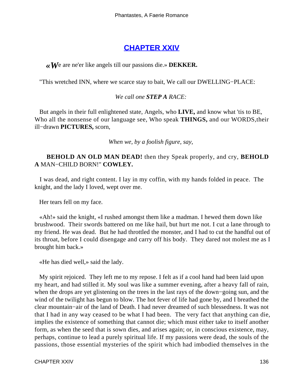# **[CHAPTER XXIV](#page-143-0)**

#### <span id="page-136-0"></span>*«W*e are ne'er like angels till our passions die.» **DEKKER.**

"This wretched INN, where we scarce stay to bait, We call our DWELLING−PLACE:

#### *We call one STEP A RACE:*

 But angels in their full enlightened state, Angels, who **LIVE,** and know what 'tis to BE, Who all the nonsense of our language see, Who speak **THINGS,** and our WORDS,their ill−drawn **PICTURES,** scorn,

*When we, by a foolish figure, say,* 

#### **BEHOLD AN OLD MAN DEAD!** then they Speak properly, and cry, **BEHOLD A** MAN−CHILD BORN!" **COWLEY.**

 I was dead, and right content. I lay in my coffin, with my hands folded in peace. The knight, and the lady I loved, wept over me.

Her tears fell on my face.

 «Ah!» said the knight, «I rushed amongst them like a madman. I hewed them down like brushwood. Their swords battered on me like hail, but hurt me not. I cut a lane through to my friend. He was dead. But he had throttled the monster, and I had to cut the handful out of its throat, before I could disengage and carry off his body. They dared not molest me as I brought him back.»

«He has died well,» said the lady.

 My spirit rejoiced. They left me to my repose. I felt as if a cool hand had been laid upon my heart, and had stilled it. My soul was like a summer evening, after a heavy fall of rain, when the drops are yet glistening on the trees in the last rays of the down−going sun, and the wind of the twilight has begun to blow. The hot fever of life had gone by, and I breathed the clear mountain−air of the land of Death. I had never dreamed of such blessedness. It was not that I had in any way ceased to be what I had been. The very fact that anything can die, implies the existence of something that cannot die; which must either take to itself another form, as when the seed that is sown dies, and arises again; or, in conscious existence, may, perhaps, continue to lead a purely spiritual life. If my passions were dead, the souls of the passions, those essential mysteries of the spirit which had imbodied themselves in the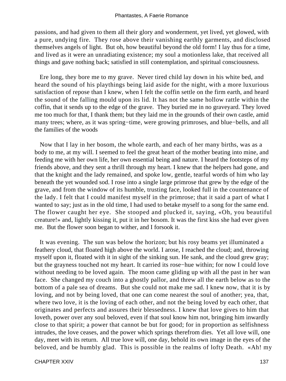passions, and had given to them all their glory and wonderment, yet lived, yet glowed, with a pure, undying fire. They rose above their vanishing earthly garments, and disclosed themselves angels of light. But oh, how beautiful beyond the old form! I lay thus for a time, and lived as it were an unradiating existence; my soul a motionless lake, that received all things and gave nothing back; satisfied in still contemplation, and spiritual consciousness.

 Ere long, they bore me to my grave. Never tired child lay down in his white bed, and heard the sound of his playthings being laid aside for the night, with a more luxurious satisfaction of repose than I knew, when I felt the coffin settle on the firm earth, and heard the sound of the falling mould upon its lid. It has not the same hollow rattle within the coffin, that it sends up to the edge of the grave. They buried me in no graveyard. They loved me too much for that, I thank them; but they laid me in the grounds of their own castle, amid many trees; where, as it was spring−time, were growing primroses, and blue−bells, and all the families of the woods

 Now that I lay in her bosom, the whole earth, and each of her many births, was as a body to me, at my will. I seemed to feel the great heart of the mother beating into mine, and feeding me with her own life, her own essential being and nature. I heard the footsteps of my friends above, and they sent a thrill through my heart. I knew that the helpers had gone, and that the knight and the lady remained, and spoke low, gentle, tearful words of him who lay beneath the yet wounded sod. I rose into a single large primrose that grew by the edge of the grave, and from the window of its humble, trusting face, looked full in the countenance of the lady. I felt that I could manifest myself in the primrose; that it said a part of what I wanted to say; just as in the old time, I had used to betake myself to a song for the same end. The flower caught her eye. She stooped and plucked it, saying, «Oh, you beautiful creature!» and, lightly kissing it, put it in her bosom. It was the first kiss she had ever given me. But the flower soon began to wither, and I forsook it.

 It was evening. The sun was below the horizon; but his rosy beams yet illuminated a feathery cloud, that floated high above the world. I arose, I reached the cloud; and, throwing myself upon it, floated with it in sight of the sinking sun. He sank, and the cloud grew gray; but the grayness touched not my heart. It carried its rose−hue within; for now I could love without needing to be loved again. The moon came gliding up with all the past in her wan face. She changed my couch into a ghostly pallor, and threw all the earth below as to the bottom of a pale sea of dreams. But she could not make me sad. I knew now, that it is by loving, and not by being loved, that one can come nearest the soul of another; yea, that, where two love, it is the loving of each other, and not the being loved by each other, that originates and perfects and assures their blessedness. I knew that love gives to him that loveth, power over any soul beloved, even if that soul know him not, bringing him inwardly close to that spirit; a power that cannot be but for good; for in proportion as selfishness intrudes, the love ceases, and the power which springs therefrom dies. Yet all love will, one day, meet with its return. All true love will, one day, behold its own image in the eyes of the beloved, and be humbly glad. This is possible in the realms of lofty Death. «Ah! my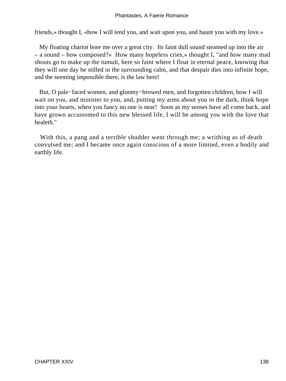friends,» thought I, «how I will tend you, and wait upon you, and haunt you with my love.»

 My floating chariot bore me over a great city. Its faint dull sound steamed up into the air – a sound – how composed?« How many hopeless cries,» thought I, "and how many mad shouts go to make up the tumult, here so faint where I float in eternal peace, knowing that they will one day be stilled in the surrounding calm, and that despair dies into infinite hope, and the seeming impossible there, is the law here!

 But, O pale−faced women, and gloomy−browed men, and forgotten children, how I will wait on you, and minister to you, and, putting my arms about you in the dark, think hope into your hearts, when you fancy no one is near! Soon as my senses have all come back, and have grown accustomed to this new blessed life, I will be among you with the love that healeth."

 With this, a pang and a terrible shudder went through me; a writhing as of death convulsed me; and I became once again conscious of a more limited, even a bodily and earthly life.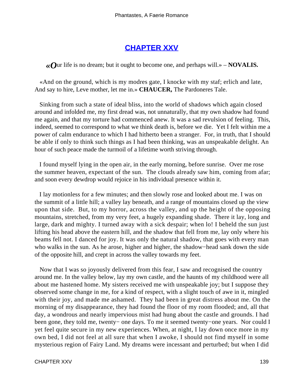# **[CHAPTER XXV](#page-143-0)**

<span id="page-139-0"></span>*«O*ur life is no dream; but it ought to become one, and perhaps will.» – **NOVALIS.**

 «And on the ground, which is my modres gate, I knocke with my staf; erlich and late, And say to hire, Leve mother, let me in.» **CHAUCER,** The Pardoneres Tale.

 Sinking from such a state of ideal bliss, into the world of shadows which again closed around and infolded me, my first dread was, not unnaturally, that my own shadow had found me again, and that my torture had commenced anew. It was a sad revulsion of feeling. This, indeed, seemed to correspond to what we think death is, before we die. Yet I felt within me a power of calm endurance to which I had hitherto been a stranger. For, in truth, that I should be able if only to think such things as I had been thinking, was an unspeakable delight. An hour of such peace made the turmoil of a lifetime worth striving through.

 I found myself lying in the open air, in the early morning, before sunrise. Over me rose the summer heaven, expectant of the sun. The clouds already saw him, coming from afar; and soon every dewdrop would rejoice in his individual presence within it.

 I lay motionless for a few minutes; and then slowly rose and looked about me. I was on the summit of a little hill; a valley lay beneath, and a range of mountains closed up the view upon that side. But, to my horror, across the valley, and up the height of the opposing mountains, stretched, from my very feet, a hugely expanding shade. There it lay, long and large, dark and mighty. I turned away with a sick despair; when lo! I beheld the sun just lifting his head above the eastern hill, and the shadow that fell from me, lay only where his beams fell not. I danced for joy. It was only the natural shadow, that goes with every man who walks in the sun. As he arose, higher and higher, the shadow−head sank down the side of the opposite hill, and crept in across the valley towards my feet.

 Now that I was so joyously delivered from this fear, I saw and recognised the country around me. In the valley below, lay my own castle, and the haunts of my childhood were all about me hastened home. My sisters received me with unspeakable joy; but I suppose they observed some change in me, for a kind of respect, with a slight touch of awe in it, mingled with their joy, and made me ashamed. They had been in great distress about me. On the morning of my disappearance, they had found the floor of my room flooded; and, all that day, a wondrous and nearly impervious mist had hung about the castle and grounds. I had been gone, they told me, twenty− one days. To me it seemed twenty−one years. Nor could I yet feel quite secure in my new experiences. When, at night, I lay down once more in my own bed, I did not feel at all sure that when I awoke, I should not find myself in some mysterious region of Fairy Land. My dreams were incessant and perturbed; but when I did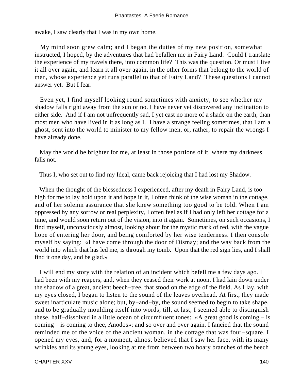awake, I saw clearly that I was in my own home.

 My mind soon grew calm; and I began the duties of my new position, somewhat instructed, I hoped, by the adventures that had befallen me in Fairy Land. Could I translate the experience of my travels there, into common life? This was the question. Or must I live it all over again, and learn it all over again, in the other forms that belong to the world of men, whose experience yet runs parallel to that of Fairy Land? These questions I cannot answer yet. But I fear.

 Even yet, I find myself looking round sometimes with anxiety, to see whether my shadow falls right away from the sun or no. I have never yet discovered any inclination to either side. And if I am not unfrequently sad, I yet cast no more of a shade on the earth, than most men who have lived in it as long as I. I have a strange feeling sometimes, that I am a ghost, sent into the world to minister to my fellow men, or, rather, to repair the wrongs I have already done.

 May the world be brighter for me, at least in those portions of it, where my darkness falls not.

Thus I, who set out to find my Ideal, came back rejoicing that I had lost my Shadow.

 When the thought of the blessedness I experienced, after my death in Fairy Land, is too high for me to lay hold upon it and hope in it, I often think of the wise woman in the cottage, and of her solemn assurance that she knew something too good to be told. When I am oppressed by any sorrow or real perplexity, I often feel as if I had only left her cottage for a time, and would soon return out of the vision, into it again. Sometimes, on such occasions, I find myself, unconsciously almost, looking about for the mystic mark of red, with the vague hope of entering her door, and being comforted by her wise tenderness. I then console myself by saying: «I have come through the door of Dismay; and the way back from the world into which that has led me, is through my tomb. Upon that the red sign lies, and I shall find it one day, and be glad.»

 I will end my story with the relation of an incident which befell me a few days ago. I had been with my reapers, and, when they ceased their work at noon, I had lain down under the shadow of a great, ancient beech−tree, that stood on the edge of the field. As I lay, with my eyes closed, I began to listen to the sound of the leaves overhead. At first, they made sweet inarticulate music alone; but, by−and−by, the sound seemed to begin to take shape, and to be gradually moulding itself into words; till, at last, I seemed able to distinguish these, half−dissolved in a little ocean of circumfluent tones: «A great good is coming – is coming – is coming to thee, Anodos»; and so over and over again. I fancied that the sound reminded me of the voice of the ancient woman, in the cottage that was four−square. I opened my eyes, and, for a moment, almost believed that I saw her face, with its many wrinkles and its young eyes, looking at me from between two hoary branches of the beech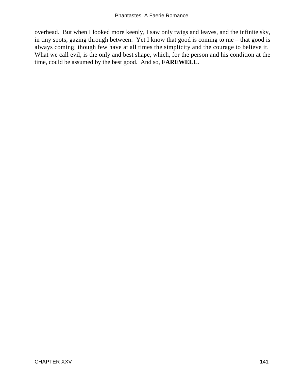overhead. But when I looked more keenly, I saw only twigs and leaves, and the infinite sky, in tiny spots, gazing through between. Yet I know that good is coming to me – that good is always coming; though few have at all times the simplicity and the courage to believe it. What we call evil, is the only and best shape, which, for the person and his condition at the time, could be assumed by the best good. And so, **FAREWELL.**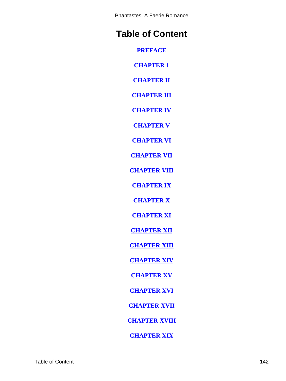Phantastes, A Faerie Romance

# **Table of Content**

**[PREFACE](#page-3-0)**

**[CHAPTER 1](#page-5-0)**

**[CHAPTER II](#page-8-0)**

**[CHAPTER III](#page-10-0)**

**[CHAPTER IV](#page-19-0)**

**[CHAPTER V](#page-26-0)**

**[CHAPTER VI](#page-32-0)**

**[CHAPTER VII](#page-37-0)**

**[CHAPTER VIII](#page-43-0)**

**[CHAPTER IX](#page-46-0)**

**[CHAPTER X](#page-50-0)**

**[CHAPTER XI](#page-55-0)**

**[CHAPTER XII](#page-59-0)**

**[CHAPTER XIII](#page-64-0)**

**[CHAPTER XIV](#page-80-0)**

**[CHAPTER XV](#page-85-0)**

**[CHAPTER XVI](#page-88-0)**

**[CHAPTER XVII](#page-89-0)**

**[CHAPTER XVIII](#page-93-0)**

**[CHAPTER XIX](#page-96-0)**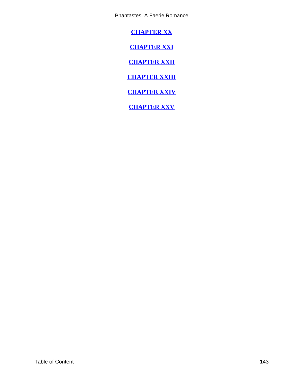<span id="page-143-0"></span>Phantastes, A Faerie Romance

**[CHAPTER XX](#page-110-0)**

**[CHAPTER XXI](#page-117-0)**

**[CHAPTER XXII](#page-121-0)**

**[CHAPTER XXIII](#page-127-0)**

**[CHAPTER XXIV](#page-136-0)**

**[CHAPTER XXV](#page-139-0)**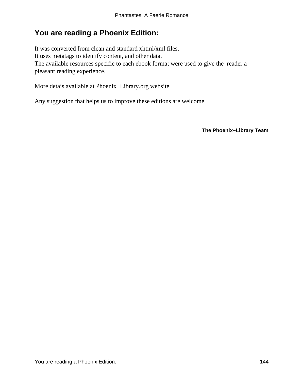## **You are reading a Phoenix Edition:**

It was converted from clean and standard xhtml/xml files. It uses metatags to identify content, and other data. The available resources specific to each ebook format were used to give the reader a pleasant reading experience.

More detais available at Phoenix−Library.org website.

Any suggestion that helps us to improve these editions are welcome.

**The Phoenix−Library Team**